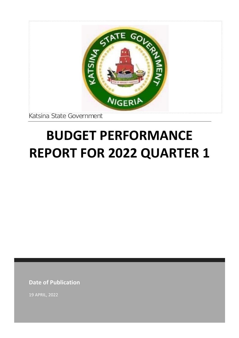

Katsina State Government

# **BUDGET PERFORMANCE REPORT FOR 2022 QUARTER 1**

**Date of Publication**

19 APRIL, 2022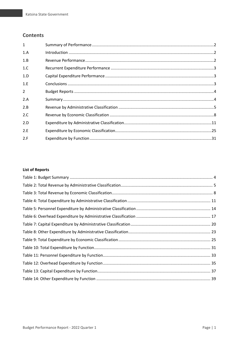## **Contents**

| $\mathbf{1}$   |  |
|----------------|--|
| 1.A            |  |
| 1.B            |  |
| 1.C            |  |
| 1.D            |  |
| 1.F            |  |
| $\overline{2}$ |  |
| 2.A            |  |
| 2.B            |  |
| 2.C            |  |
| 2.D            |  |
| 2.E            |  |
| 2.F            |  |

### **List of Reports**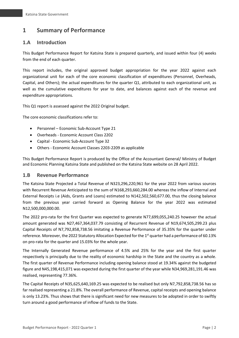# <span id="page-2-0"></span>**1 Summary of Performance**

## <span id="page-2-1"></span>**1.A Introduction**

This Budget Performance Report for Katsina State is prepared quarterly, and issued within four (4) weeks from the end of each quarter.

This report includes, the original approved budget appropriation for the year 2022 against each organizational unit for each of the core economic classification of expenditures (Personnel, Overheads, Capital, and Others); the actual expenditures for the quarter Q1, attributed to each organizational unit, as well as the cumulative expenditures for year to date, and balances against each of the revenue and expenditure appropriations.

This Q1 report is assessed against the 2022 Original budget.

The core economic classifications refer to:

- Personnel Economic Sub-Account Type 21
- Overheads Economic Account Class 2202
- Capital Economic Sub-Account Type 32
- Others Economic Account Classes 2203-2209 as applicable

This Budget Performance Report is produced by the Office of the Accountant General/ Ministry of Budget and Economic Planning Katsina State and published on the Katsina State website on 28 April 2022.

#### <span id="page-2-2"></span>**1.B Revenue Performance**

The Katsina State Projected a Total Revenue of N323,296,220,961 for the year 2022 from various sources with Recurrent Revenue Anticipated to the sum of N168,293,660,284.00 whereas the inflow of Internal and External Receipts i.e (Aids, Grants and Loans) estimated to N142,502,560,677.00, thus the closing balance from the previous year carried forward as Opening Balance for the year 2022 was estimated N12,500,000,000.00.

The 2022 pro-rata for the first Quarter was expected to generate N77,699,055,240.25 however the actual amount generated was N27,467,364,037.79 consisting of Recurrent Revenue of N19,674,505,299.23 plus Capital Receipts of N7,792,858,738.56 imitating a Revenue Performance of 35.35% for the quarter under reference. Moreover, the 2022 Statutory Allocation Expected for the 1<sup>st</sup> quarter had a performance of 60.13% on pro-rata for the quarter and 15.03% for the whole year.

The Internally Generated Revenue performance of 4.5% and 25% for the year and the first quarter respectively is principally due to the reality of economic hardship in the State and the country as a whole. The first quarter of Revenue Performance including opening balance stood at 19.34% against the budgeted figure and N45,198,415,071 was expected during the first quarter of the year while N34,969,281,191.46 was realised, representing 77.36%.

The Capital Receipts of N35,625,640,169.25 was expected to be realised but only N7,792,858,738.56 has so far realised representing a 21.8%. The overall performance of Revenue, capital receipts and opening balance is only 13.23%. Thus shows that there is significant need for new measures to be adopted in order to swiftly turn around a good performance of inflow of funds to the State.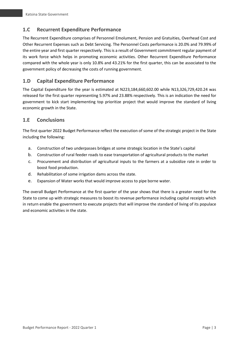## <span id="page-3-0"></span>**1.C Recurrent Expenditure Performance**

The Recurrent Expenditure comprises of Personnel Emolument, Pension and Gratuities, Overhead Cost and Other Recurrent Expenses such as Debt Servicing. The Personnel Costs performance is 20.0% and 79.99% of the entire year and first quarter respectively. This is a result of Government commitment regular payment of its work force which helps in promoting economic activities. Other Recurrent Expenditure Performance compared with the whole year is only 10.8% and 43.21% for the first quarter, this can be associated to the government policy of decreasing the costs of running government.

## <span id="page-3-1"></span>**1.D Capital Expenditure Performance**

The Capital Expenditure for the year is estimated at N223,184,660,602.00 while N13,326,729,420.24 was released for the first quarter representing 5.97% and 23.88% respectively. This is an indication the need for government to kick start implementing top prioritize project that would improve the standard of living economic growth in the State.

## <span id="page-3-2"></span>**1.E Conclusions**

The first quarter 2022 Budget Performance reflect the execution of some of the strategic project in the State including the following:

- a. Construction of two underpasses bridges at some strategic location in the State's capital
- b. Construction of rural feeder roads to ease transportation of agricultural products to the market
- c. Procurement and distribution of agricultural inputs to the farmers at a subsidize rate in order to boost food production.
- d. Rehabilitation of some irrigation dams across the state.
- e. Expansion of Water works that would improve access to pipe borne water.

The overall Budget Performance at the first quarter of the year shows that there is a greater need for the State to come up with strategic measures to boost its revenue performance including capital receipts which in return enable the government to execute projects that will improve the standard of living of its populace and economic activities in the state.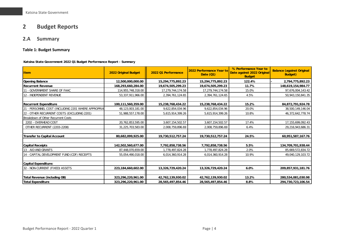# **2 Budget Reports**

# **2.A Summary**

#### **Table 1: Budget Summary**

#### **Katsina State Government 2022 Q1 Budget Performance Report - Summary**

<span id="page-4-2"></span><span id="page-4-1"></span><span id="page-4-0"></span>

| <b>Item</b>                                            | 2022 Original Budget | 2022 Q1 Performance | 2022 Performance Year to<br>Date $(Q1)$ | % Performance Year to<br>Date against 2022 Original<br><b>Budget</b> | <b>Balance (against Original</b><br><b>Budget</b> ) |
|--------------------------------------------------------|----------------------|---------------------|-----------------------------------------|----------------------------------------------------------------------|-----------------------------------------------------|
| <b>Opening Balance</b>                                 | 12,500,000,000.00    | 15,294,775,892.23   | 15,294,775,892.23                       | 122.4%                                                               | 2,794,775,892.23                                    |
| <b>Recurrent Revenue</b>                               | 168,293,660,284.00   | 19,674,505,299.23   | 19,674,505,299.23                       | 11.7%                                                                | 148,619,154,984.77                                  |
| - GOVERNMENT SHARE OF FAAC                             | 114,955,748,318.00   | 17,279,744,174.58   | 17,279,744,174.58                       | 15.0%                                                                | 97,676,004,143.42                                   |
| 12 - INDEPENDENT REVENUE                               | 53,337,911,966.00    | 2,394,761,124.65    | 2,394,761,124.65                        | 4.5%                                                                 | 50,943,150,841.35                                   |
| <b>Recurrent Expenditure</b>                           | 100,111,560,359.00   | 15,238,768,434.22   | 15,238,768,434.22                       | 15.2%                                                                | 84,872,791,924.78                                   |
| - PERSONNEL COST (INCLUDING 2201 WHERE APPROPRIA<br>21 | 48,123,003,181.00    | 9,622,854,034.96    | 9,622,854,034.96                        | 20.0%                                                                | 38,500,149,146.04                                   |
| - OTHER RECURRENT COSTS (EXCLUDING 2201)<br>22         | 51,988,557,178.00    | 5,615,914,399.26    | 5,615,914,399.26                        | 10.8%                                                                | 46,372,642,778.74                                   |
| Breakdown of Other Recurrent Costs                     |                      |                     |                                         |                                                                      |                                                     |
| 2202 - OVERHEAD COST                                   | 20,762,853,595.00    | 3,607,154,502.57    | 3,607,154,502.57                        | 17.4%                                                                | 17,155,699,092.43                                   |
| OTHER RECURRENT (2203-2208)                            | 31,225,703,583.00    | 2,008,759,896.69    | 2,008,759,896.69                        | 6.4%                                                                 | 29,216,943,686.31                                   |
| Transfer to Capital Account                            | 80,682,099,925.00    | 19,730,512,757.24   | 19,730,512,757.24                       | 24.5%                                                                | 60,951,587,167.76                                   |
| <b>Capital Receipts</b>                                | 142,502,560,677.00   | 7,792,858,738.56    | 7,792,858,738.56                        | 5.5%                                                                 | 134,709,701,938.44                                  |
| 13 - AID AND GRANTS                                    | 87,448,070,659.00    | 1,778,497,824.28    | 1,778,497,824.28                        | 2.0%                                                                 | 85,669,572,834.72                                   |
| 14 - CAPITAL DEVELOPMENT FUND (CDF) RECEIPTS           | 55,054,490,018.00    | 6,014,360,914.28    | 6,014,360,914.28                        | 10.9%                                                                | 49,040,129,103.72                                   |
| Capital Expenditure:                                   |                      |                     |                                         |                                                                      |                                                     |
| 32 - NON-CURRENT (FIXED) ASSETS                        | 223,184,660,602.00   | 13,326,729,420.24   | 13,326,729,420.24                       | 6.0%                                                                 | 209,857,931,181.76                                  |
| Total Revenue (including OB)                           | 323,296,220,961.00   | 42,762,139,930.02   | 42,762,139,930.02                       | 13.2%                                                                | 280,534,081,030.98                                  |
| <b>Total Expenditure</b>                               | 323,296,220,961.00   | 28,565,497,854.46   | 28,565,497,854.46                       | 8.8%                                                                 | 294,730,723,106.54                                  |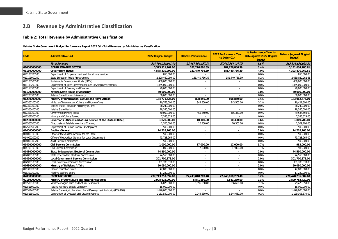## **2.B Revenue by Administrative Classification**

#### **Table 2: Total Revenue by Administrative Classification**

**Katsina State Government Budget Performance Report 2022 Q1 - Total Revenue by Administrative Classification**

<span id="page-5-1"></span><span id="page-5-0"></span>

| Code         | Adminstrative Unit                                                  | <b>2022 Original Budget</b> | 2022 Q1 Performance      | 2022 Performance Year<br>to Date (Q1) | % Performance Year to<br>Date against 2022 Original<br><b>Budget</b> | <b>Balance (against Original</b><br><b>Budget</b> ) |
|--------------|---------------------------------------------------------------------|-----------------------------|--------------------------|---------------------------------------|----------------------------------------------------------------------|-----------------------------------------------------|
|              | <b>Total Revenue</b>                                                | 310,796,220,961.00          | 27,467,364,037.79        | 27,467,364,037.79                     | 8.8%                                                                 | 283,328,856,923.21                                  |
| 010000000000 | <b>ADMINISTRATIVE SECTOR</b>                                        | 5.323.911.167.00            | 182.276.886.39           | 182,276,886.39                        | 3.4%                                                                 | 5,141,634,280.61                                    |
| 011100000000 | <b>Government House</b>                                             | 4,575,310,999.00            | 181,440,736.39           | 181,440,736.39                        | 4.0%                                                                 | 4,393,870,262.61                                    |
| 011100700100 | Department of Empowerment and Social Intervention                   | 850,000.00                  |                          |                                       | 0.0%                                                                 | 850,000.00                                          |
| 011101000100 | State Bureau of Public Procurement                                  | 2,220,460,999.00            | 181,440,736.39           | 181,440,736.39                        | 8.2%                                                                 | 2,039,020,262.61                                    |
| 011100500100 | Sustainable Development Goals (SDGs)                                | 400,000,000.00              |                          |                                       | 0.0%                                                                 | 400,000,000.00                                      |
| 011113200100 | Department of Inter-Governmental and Development Partners           | 1.855.000.000.00            | $\sim$                   |                                       | 0.0%                                                                 | 1.855.000.000.00                                    |
| 011118300100 | Department of Banking and Finance                                   | 99,000,000.00               | $\sim$                   | $\sim$                                | 0.0%                                                                 | 99.000.000.00                                       |
| 011200000000 | Katsina State House of Assembly                                     | 50,000,000.00               |                          | ٠                                     | 0.0%                                                                 | 50,000,000.00                                       |
| 011200300100 | Katsina State House of Assembly                                     | 50,000,000.00               |                          |                                       | 0.0%                                                                 | 50,000,000.00                                       |
| 012300000000 | Ministry of Information, Culture and Home Affairs                   | 184,771,525.00              | 808,850.00               | 808,850.00                            | 0.4%                                                                 | 183,962,675.00                                      |
| 012300100100 | Ministry of Information, Culture and Home Affairs                   | 10,765,000.00               | 343,500.00               | 343,500.00                            | 3.2%                                                                 | 10,421,500.00                                       |
| 012300300100 | Katsina State Television Authority (KTTV)                           | 38.240.000.00               | $\sim$                   | $\sim$                                | 0.0%                                                                 | 38.240.000.00                                       |
| 012300400100 | Katsina State Radio                                                 | 78,380,000.00               | $\sim$                   |                                       | 0.0%                                                                 | 78,380,000.00                                       |
| 012301300100 | <b>Government Printing Press</b>                                    | 50,000,000.00               | 465,350.00               | 465,350.00                            | 0.9%                                                                 | 49,534,650.00                                       |
| 012301500100 | History and Culture Bureau                                          | 7,386,525.00                |                          |                                       | 0.0%                                                                 | 7,386,525.00                                        |
| 012500000000 | Governor's Office (Head of Civil Service of the State (HOCSS))      | 1.820.000.00                | 10,300.00                | 10,300.00                             | 0.6%                                                                 | 1,809,700.00                                        |
| 012500500100 | Directorate of Establishment and Training                           | 1,320,000.00                | 10,300.00                | 10,300.00                             | 0.8%                                                                 | 1.309.700.00                                        |
| 012500500200 | Department of Human Capital Development                             | 500,000.00                  | $\sim$                   |                                       | 0.0%                                                                 | 500,000.00                                          |
| 014000000000 | <b>Auditor-General</b>                                              | 74,728,265.00               |                          |                                       | 0.0%                                                                 | 74,728,265.00                                       |
| 014000100100 | Office of the Auditor-General for the State                         | 500.000.00                  | $\overline{\phantom{a}}$ |                                       | 0.0%                                                                 | 500.000.00                                          |
| 014000200200 | Office of the Auditor-General for Local Government                  | 73.728.265.00               | $\sim$                   |                                       | 0.0%                                                                 | 73,728,265.00                                       |
| 014000300200 | <b>Audit Service Commission</b>                                     | 500,000.00                  | $\sim$                   | $\sim$                                | 0.0%                                                                 | 500.000.00                                          |
| 014700000000 | <b>Civil Service Commission</b>                                     | 1,000,000.00                | 17,000.00                | 17,000.00                             | 1.7%                                                                 | 983,000.00                                          |
| 014700100100 | Civil Service Commission                                            | 1,000,000.00                | 17,000.00                | 17.000.00                             | 1.7%                                                                 | 983,000.00                                          |
| 014800000000 | State Independent Electoral Commission                              | 74,550,000.00               | $\overline{\phantom{a}}$ |                                       | 0.0%                                                                 | 74,550,000.00                                       |
| 014800100100 | State Independent Electoral Commission                              | 74,550,000.00               |                          |                                       | 0.0%                                                                 | 74,550,000.00                                       |
| 014900000000 | <b>Local Government Service Commission</b>                          | 301,700,378.00              | $\blacksquare$           | ۰.                                    | 0.0%                                                                 | 301,700,378.00                                      |
| 014900100100 | Local Government Service Commission                                 | 301.700.378.00              | $\sim$                   | $\blacksquare$                        | 0.0%                                                                 | 301.700.378.00                                      |
| 016300000000 | <b>Ministry of Religious Affairs</b>                                | 60,030,000.00               | $\overline{\phantom{a}}$ | $\overline{\phantom{a}}$              | 0.0%                                                                 | 60,030,000.00                                       |
| 016300200100 | <b>Islamic Education Bureau</b>                                     | 42,800,000.00               | $\sim$                   | $\overline{\phantom{a}}$              | 0.0%                                                                 | 42.800.000.00                                       |
| 016300300100 | Pilgrims Welfare Board                                              | 17,230,000.00               |                          |                                       | 0.0%                                                                 | 17,230,000.00                                       |
| 020000000000 | <b>ECONOMIC SECTOR</b>                                              | 297.713.253.592.00          | 27,243,018,209.40        | 27,243,018,209.40                     | 9.2%                                                                 | 270,470,235,382.60                                  |
| 021500000000 | Ministry of Agriculture and Natural Resources                       | 2,908,625,000.00            | 8,841,280.00             | 8,841,280.00                          | 0.3%                                                                 | 2,899,783,720.00                                    |
| 021500100100 | Ministry of Agriculture and Natural Resources                       | 86,075,000.00               | 6,596,650.00             | 6,596,650.00                          | 7.7%                                                                 | 79,478,350.00                                       |
| 021511000100 | Katsina Farmers Supply Company                                      | 15,000,000.00               | $\sim$                   | $\overline{a}$                        | 0.0%                                                                 | 15,000,000.00                                       |
| 021511400100 | Katsina State Agricultural and Rural Development Authority (KTARDA) | 1,676,000,000.00            |                          |                                       | 0.0%                                                                 | 1,676,000,000.00                                    |
| 021511500100 | Department of Livestock and Grazing Reserve                         | 1,131,550,000.00            | 2,244,630.00             | 2,244,630.00                          | 0.2%                                                                 | 1,129,305,370.00                                    |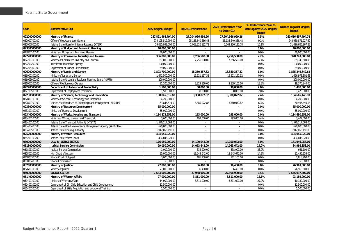| Code         | <b>Adminstrative Unit</b>                                     | 2022 Original Budget | 2022 Q1 Performance   | 2022 Performance Year<br>to Date (Q1) | % Performance Year to<br>Date against 2022 Original<br><b>Budget</b> | <b>Balance (against Original</b><br><b>Budget</b> ) |
|--------------|---------------------------------------------------------------|----------------------|-----------------------|---------------------------------------|----------------------------------------------------------------------|-----------------------------------------------------|
| 022000000000 | <b>Ministry of Finance</b>                                    | 287,821,464,794.00   | 27,204,966,999.26     | 27,204,966,999.26                     | 9.5%                                                                 | 260,616,497,794.74                                  |
| 022000700100 | Office of the Accountant-General                              | 274,125,512,794.00   | 25, 135, 640, 866. 48 | 25, 135, 640, 866. 48                 | 9.2%                                                                 | 248,989,871,927.52                                  |
| 022000800100 | Katsina State Board of Internal Revenue (KTBIR)               | 13,695,952,000.00    | 2,069,326,132.78      | 2,069,326,132.78                      | 15.1%                                                                | 11,626,625,867.22                                   |
| 023800000000 | Ministry of Budget and Economic Planning                      | 40,000,000.00        | $\sim$                |                                       | 0.0%                                                                 | 40,000,000.00                                       |
| 023800100100 | Ministry of Budget and Economic Planning                      | 40,000,000.00        |                       |                                       | 0.0%                                                                 | 40,000,000.00                                       |
| 022200000000 | Ministry of Commerce, Industry and Tourism                    | 336,000,000.00       | 7,256,500.00          | 7,256,500.00                          | 2.2%                                                                 | 328,743,500.00                                      |
| 022200100100 | Ministry of Commerce, Industry and Tourism                    | 167.000.000.00       | 7.256.500.00          | 7.256.500.00                          | 4.3%                                                                 | 159,743,500.00                                      |
| 022200200100 | <b>Investment Promotion Agency</b>                            | 100,000,000.00       | $\sim$                | $\sim$                                | 0.0%                                                                 | 100,000,000.00                                      |
| 022205300100 | Department of Market Development                              | 69,000,000.00        |                       |                                       | 0.0%                                                                 | 69,000,000.00                                       |
| 026000000000 | Ministry of Lands and Survey                                  | 1,893,700,000.00     | 18,350,357.32         | 18,350,357.32                         | 1.0%                                                                 | 1,875,349,642.68                                    |
| 026000100100 | Ministry of Lands and Survey                                  | 1.672.500.000.00     | 15,521,197.32         | 15,521,197.32                         | 0.9%                                                                 | 1.656.978.802.68                                    |
| 026001000100 | Katsina State Urban and Regional Planning Board (KURPB)       | 200.000.000.00       |                       |                                       | 0.0%                                                                 | 200,000,000.00                                      |
| 026000200100 | Office of the Surveyor-General                                | 21,200,000.00        | 2,829,160.00          | 2,829,160.00                          | 13.3%                                                                | 18,370,840.00                                       |
| 022700000000 | Department of Labour and Productivity                         | 1,500,000.00         | 30,000.00             | 30,000.00                             | 2.0%                                                                 | 1,470,000.00                                        |
| 022700500100 | Department of Employment Promotion                            | 1,500,000.00         | 30,000.00             | 30,000.00                             | 2.0%                                                                 | 1.470.000.00                                        |
| 022800000000 | Ministry of Science, Technology and Innovation                | 138,045,519.00       | 3,380,072.82          | 3.380.072.82                          | 2.4%                                                                 | 134,665,446.18                                      |
| 022800100100 | Ministry of Science, Technology and Innovation                | 84.200.000.00        | $\sim$                |                                       | 0.0%                                                                 | 84,200,000.00                                       |
| 022800700100 | Katsina State Institute of Technology and Management (KTSITM) | 53,845,519.00        | 3,380,072.82          | 3,380,072.82                          | 6.3%                                                                 | 50,465,446.18                                       |
| 023300000000 | Ministry of Resource Development                              | 55,000,000.00        | $\sim$                | $\blacksquare$                        | 0.0%                                                                 | 55,000,000.00                                       |
| 023300100100 | Ministry of Resource Development                              | 55,000,000.00        |                       |                                       | 0.0%                                                                 | 55,000,000.00                                       |
| 023400000000 | Ministry of Works, Housing and Transport                      | 4,114,873,259.00     | 193,000.00            | 193,000.00                            | 0.0%                                                                 | 4,114,680,259.00                                    |
| 023400100100 | Ministry of Works, Housing and Transport                      | 3.600.000.00         | 193,000.00            | 193,000.00                            | 5.4%                                                                 | 3,407,000.00                                        |
| 023400100200 | Katsina State Transport Authority (KTSTA)                     | 1,570,217,068.00     | $\sim$                |                                       | 0.0%                                                                 | 1,570,217,068.00                                    |
| 023400400100 | Katsina State Road Maintenance Management Agency (KASROMA)    | 629,000,000.00       | ×.                    |                                       | 0.0%                                                                 | 629,000,000.00                                      |
| 023400500100 | Katsina State Housing Authority                               | 1,912,056,191.00     | $\sim$                |                                       | 0.0%                                                                 | 1,912,056,191.00                                    |
| 025200000000 | <b>Ministry of Water Resources</b>                            | 404.045.020.00       | $\blacksquare$        | $\blacksquare$                        | 0.0%                                                                 | 404.045.020.00                                      |
| 025200100200 | Katsina State Water Board                                     | 404,045,020.00       | ×.                    |                                       | 0.0%                                                                 | 404,045,020.00                                      |
| 030000000000 | <b>LAW &amp; JUSTICE SECTOR</b>                               | 176,050,000.00       | 14,100,042.00         | 14,100,042.00                         | 8.0%                                                                 | 161,949,958.00                                      |
| 031800000000 | <b>Judicial Service Commission</b>                            | 99,050,000.00        | 14,063,642.00         | 14,063,642.00                         | 14.2%                                                                | 84,986,358.00                                       |
| 031801100100 | Judicial Service Commission                                   | 1,000,000.00         | 338,900.00            | 338,900.00                            | 33.9%                                                                | 661,100.00                                          |
| 031805100100 | <b>High Court of Justice</b>                                  | 95.000.000.00        | 13,543,642.00         | 13,543,642.00                         | 14.3%                                                                | 81,456,358.00                                       |
| 031805300100 | Sharia Court of Appeal                                        | 3,000,000.00         | 181,100.00            | 181,100.00                            | 6.0%                                                                 | 2,818,900.00                                        |
| 031805400100 | Sharia Commission                                             | 50,000.00            |                       |                                       | 0.0%                                                                 | 50,000.00                                           |
| 032600000000 | Ministry of Justice                                           | 77,000,000.00        | 36,400.00             | 36,400.00                             | 0.0%                                                                 | 76,963,600.00                                       |
| 032600100100 | Ministry of Justice                                           | 77,000,000.00        | 36,400.00             | 36,400.00                             | 0.0%                                                                 | 76,963,600.00                                       |
| 050000000000 | <b>SOCIAL SECTOR</b>                                          | 7,583,006,202.00     | 27,968,900.00         | 27,968,900.00                         | 0.4%                                                                 | 7,555,037,302.00                                    |
| 051400000000 | <b>Ministry of Women Affairs</b>                              | 27.000.000.00        | 3,811,000.00          | 3.811.000.00                          | 14.1%                                                                | 23,189,000.00                                       |
| 051400100100 | Ministry of Women Affairs                                     | 14,000,000.00        | 3,811,000.00          | 3,811,000.00                          | 27.2%                                                                | 10,189,000.00                                       |
| 051400100200 | Department of Girl Child Education and Child Development      | 11,500,000.00        | $\sim$                |                                       | 0.0%                                                                 | 11,500,000.00                                       |
| 051400200100 | Department of Skills Acquisition and Vocational Training      | 1,500,000.00         | $\sim$                |                                       | 0.0%                                                                 | 1,500,000.00                                        |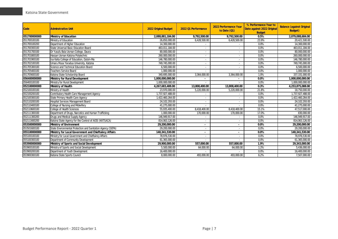| Code         | <b>Adminstrative Unit</b>                                   | 2022 Original Budget | 2022 Q1 Performance      | 2022 Performance Year<br>to Date (Q1) | % Performance Year to<br>Date against 2022 Original<br><b>Budget</b> | <b>Balance (against Original</b><br><b>Budget</b> ) |
|--------------|-------------------------------------------------------------|----------------------|--------------------------|---------------------------------------|----------------------------------------------------------------------|-----------------------------------------------------|
| 051700000000 | <b>Ministry of Education</b>                                | 2,088,881,184.00     | 9,792,500.00             | 9,792,500.00                          | 0.5%                                                                 | 2,079,088,684.00                                    |
| 051700100100 | Ministry of Education                                       | 26,850,000.00        | 6,428,500.00             | 6,428,500.00                          | 23.9%                                                                | 20,421,500.00                                       |
| 051700100200 | Department of Higher Education                              | 14,300,000.00        |                          |                                       | 0.0%                                                                 | 14,300,000.00                                       |
| 051700300100 | State Universal Basic Education Board                       | 463,011,184.00       |                          |                                       | 0.0%                                                                 | 463,011,184.00                                      |
| 051701700100 | Dr Yusufu Bala Usman College, Daura                         | 80,000,000.00        | $\overline{\phantom{a}}$ | $\sim$                                | 0.0%                                                                 | 80,000,000.00                                       |
| 051701800100 | Hassan Usman Katsina Polytechnic                            | 260,000,000.00       | $\overline{\phantom{a}}$ | $\overline{\phantom{a}}$              | 0.0%                                                                 | 260,000,000.00                                      |
| 051701900100 | Isa Kaita College of Education, Dutsin-Ma                   | 146,780,000.00       | $\sim$                   |                                       | 0.0%                                                                 | 146,780,000.00                                      |
| 051702100100 | Umaru Musa Yaradua University, Katsina                      | 749.745.000.00       |                          |                                       | 0.0%                                                                 | 749,745,000.00                                      |
| 051705300100 | Science and Technical Education Board                       | 6,500,000.00         |                          |                                       | $0.0\%$                                                              | 6,500,000.00                                        |
| 051705400100 | <b>Teachers Service Board</b>                               | 1,000,000.00         |                          |                                       | 0.0%                                                                 | 1,000,000.00                                        |
| 051705600100 | Katsina State Scholarship Board                             | 340,695,000.00       | 3,364,000.00             | 3,364,000.00                          | 1.0%                                                                 | 337,331,000.00                                      |
| 056400000000 | Ministry for Rural Development                              | 1,000,000,000.00     | $\overline{\phantom{a}}$ |                                       | 0.0%                                                                 | 1,000,000,000.00                                    |
| 056400100100 | Ministry for Rural Development                              | 1,000,000,000.00     |                          |                                       | 0.0%                                                                 | 1,000,000,000.00                                    |
| 052100000000 | Ministry of Health                                          | 4,267,683,488.00     | 13,808,400.00            | 13,808,400.00                         | 0.3%                                                                 | 4,253,875,088.00                                    |
| 052100100100 | Ministry of Health                                          | 23,970,000.00        | 5,220,000.00             | 5,220,000.00                          | 21.8%                                                                | 18,750,000.00                                       |
| 052100200100 | Contributory Health Care Management Agency                  | 1,737,927,488.00     |                          |                                       | 0.0%                                                                 | 1,737,927,488.00                                    |
| 052100300100 | State Primary Health Care Agency                            | 1,422,460,264.00     | $\blacksquare$           |                                       | 0.0%                                                                 | 1,422,460,264.00                                    |
| 052110200100 | Hospital Services Management Board                          | 24.102.293.00        |                          |                                       | 0.0%                                                                 | 24,102,293.00                                       |
| 052110400100 | College of Nursing and Midwifery                            | 41.275.000.00        |                          |                                       | 0.0%                                                                 | 41,275,000.00                                       |
| 052110600100 | College of Health Sciences                                  | 55,935,400.00        | 8,418,400.00             | 8,418,400.00                          | 15.1%                                                                | 47,517,000.00                                       |
| 052111300100 | Department of Drugs, Narcotics and Human Trafficking        | 1,000,000.00         | 170,000.00               | 170.000.00                            | 17.0%                                                                | 830,000.00                                          |
| 052111300200 | Drugs and Medical Supply Agency                             | 146,949,917.00       |                          |                                       | 0.0%                                                                 | 146,949,917.00                                      |
| 052111600200 | Katsina State Agency for the Control of AIDS (KATSACA)      | 814,063,126.00       |                          |                                       | 0.0%                                                                 | 814,063,126.00                                      |
| 053500000000 | Ministry of Environment                                     | 29,200,000.00        |                          |                                       | 0.0%                                                                 | 29,200,000.00                                       |
| 053501600100 | State Environmental Protection and Sanitation Agency (SEPA) | 29,200,000.00        |                          |                                       | 0.0%                                                                 | 29,200,000.00                                       |
| 055100000000 | Ministry for Local Government and Chieftaincy Affairs       | 140,341,530.00       | $\sim$                   |                                       | 0.0%                                                                 | 140,341,530.00                                      |
| 055100100100 | Ministry for Local Government and Chieftaincy Affairs       | 78,976,530.00        | $\overline{\phantom{a}}$ |                                       | 0.0%                                                                 | 78,976,530.00                                       |
| 055100300100 | Department of Community Development                         | 61,365,000.00        |                          |                                       | 0.0%                                                                 | 61,365,000.00                                       |
| 053900000000 | Ministry of Sports and Social Development                   | 29,900,000.00        | 557,000.00               | 557,000.00                            | 1.9%                                                                 | 29,343,000.00                                       |
| 053900100100 | Ministry of Sports and Social Development                   | 5,500,000.00         | 64,000.00                | 64,000.00                             | 1.2%                                                                 | 5,436,000.00                                        |
| 053900200100 | Department of Youth Development                             | 16.400.000.00        |                          |                                       | 0.0%                                                                 | 16,400,000.00                                       |
| 053900300100 | Katsina State Sports Council                                | 8,000,000.00         | 493,000.00               | 493,000.00                            | 6.2%                                                                 | 7,507,000.00                                        |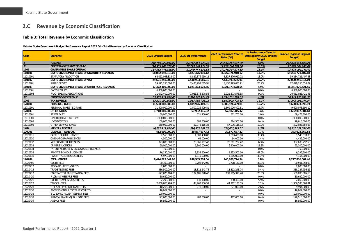## **2.C Revenue by Economic Classification**

#### **Table 3: Total Revenue by Economic Classification**

**Katsina State Government Budget Performance Report 2022 Q1 - Total Revenue by Economic Classification**

<span id="page-8-1"></span><span id="page-8-0"></span>

| Code     | <b>Economic</b>                               | 2022 Original Budget | 2022 Q1 Performance | 2022 Performance Year to<br>Date $(Q1)$ | % Performance Year to<br>Date against 2022 Original | <b>Balance (against Original</b><br><b>Budget</b> ) |
|----------|-----------------------------------------------|----------------------|---------------------|-----------------------------------------|-----------------------------------------------------|-----------------------------------------------------|
|          |                                               |                      |                     |                                         | <b>Budget</b>                                       |                                                     |
|          | <b>REVENUE</b>                                | 310.796.220.961.00   | 27.467.364.037.79   | 27.467.364.037.79                       | 8.8%                                                | 283.328.856.923.21                                  |
| 11       | <b>GOVERNMENT SHARE OF FAAC</b>               | 114,955,748,318.00   | 17.279.744.174.58   | 17,279,744,174.58                       | 15.0%                                               | 97,676,004,143.42                                   |
| 1101     | <b>GOVERNMENT SHARE OF FAAC</b>               | 114,955,748,318.00   | 17,279,744,174.58   | 17,279,744,174.58                       | 15.0%                                               | 97,676,004,143.42                                   |
| 110101   | STATE GOVERNMENT SHARE OF STATUTORY REVENUES  | 68,062,098,318.00    | 8,827,376,910.12    | 8,827,376,910.12                        | 13.0%                                               | 59,234,721,407.88                                   |
| 11010101 | STATUTORY ALLOCATION                          | 68,062,098,318.00    | 8,827,376,910.12    | 8,827,376,910.12                        | 13.0%                                               | 59,234,721,407.88                                   |
| 110102   | STATE GOVERNMENT SHARE OF VAT                 | 29,521,250,000.00    | 7,430,993,685.91    | 7,430,993,685.91                        | 25.2%                                               | 22,090,256,314.09                                   |
| 11010201 | SHARE OF VAT                                  | 29,521,250,000.00    | 7,430,993,685.91    | 7,430,993,685.91                        | 25.2%                                               | 22,090,256,314.09                                   |
| 110103   | STATE GOVERNMENT SHARE OF OTHER FAAC REVENUES | 17,372,400,000.00    | 1,021,373,578.55    | 1,021,373,578.55                        | 5.9%                                                | 16,351,026,421.45                                   |
| 11010301 | <b>EXCESS CRUDE</b>                           | 6,300,000,000.00     | $\sim$              |                                         | 0.0%                                                | 6,300,000,000.00                                    |
| 11010304 | FAAC SPECIAL ALLOCATIONS                      | 11,072,400,000.00    | 1,021,373,578.55    | 1,021,373,578.55                        | 9.2%                                                | 10,051,026,421.45                                   |
| 12       | <b>INDEPENDENT REVENUE</b>                    | 53,337,911,966.00    | 2,394,761,124.65    | 2,394,761,124.65                        | 4.5%                                                | 50,943,150,841.35                                   |
| 1201     | <b>TAX REVENUE</b>                            | 13,210,000,000.00    | 1,867,908,725.13    | 1,867,908,725.13                        | 14.1%                                               | 11,342,091,274.87                                   |
| 120101   | <b>PERSONAL TAXES</b>                         | 11,500,000,000.00    | 1,809,926,409.81    | 1,809,926,409.81                        | 15.7%                                               | 9,690,073,590.19                                    |
| 12010101 | PERSONAL TAXES (E.G PAYE)                     | 11,500,000,000.00    | 1,809,926,409.81    | 1,809,926,409.81                        | 15.7%                                               | 9,690,073,590.19                                    |
| 120103   | <b>OTHER TAXES</b>                            | 1,710,000,000.00     | 57,982,315.32       | 57,982,315.32                           | 3.4%                                                | 1,652,017,684.68                                    |
| 12010301 | <b>STAMP DUTY</b>                             | 50,000,000.00        | 521,700.00          | 521,700.00                              | 1.0%                                                | 49,478,300.00                                       |
| 12010303 | DEVELOPMENT TAX/LEVY                          | 1,000,000,000.00     |                     |                                         | 0.0%                                                | 1,000,000,000.00                                    |
| 12010305 | <b>LIVESTOCK TAX</b>                          | 100,000,000.00       | 384,500.00          | 384,500.00                              | 0.4%                                                | 99,615,500.00                                       |
| 12010306 | OTHER SERVICE TAXES                           | 560,000,000.00       | 57,076,115.32       | 57,076,115.32                           | 10.2%                                               | 502,923,884.68                                      |
| 1202     | <b>NON-TAX REVENUE</b>                        | 40,127,911,966.00    | 526,852,399.52      | 526,852,399.52                          | 7.3%                                                | 39,601,059,566.48                                   |
| 120201   | <b>LICENCES - GENERAL</b>                     | 412,900,000.00       | 39,877,637.42       | 39,877,637.42                           | 9.7%                                                | 373,022,362.58                                      |
| 12020116 | <b>CATTLE DEALER LICENCES</b>                 | 2,550,000.00         | 1.003.430.00        | 1,003,430.00                            | 39.4%                                               | 1,546,570.00                                        |
| 12020130 | CINEMATOGRAPH LICENCES                        | 4,500,000.00         | 64,000.00           | 64,000.00                               | 1.4%                                                | 4,436,000.00                                        |
| 12020132 | MOTOR VEHICLE LICENCES                        | 323,000,000.00       | 20,361,707.42       | 20,361,707.42                           | 6.3%                                                | 302,638,292.58                                      |
| 12020133 | <b>DRIVERS' LICENCES</b>                      | 60,000,000.00        | 6,800,000.00        | 6,800,000.00                            | 11.3%                                               | 53,200,000.00                                       |
| 12020134 | PATENT MEDICINE & DRUG STORES LICENCES        | 750.000.00           |                     |                                         | 0.0%                                                | 750.000.00                                          |
| 12020135 | PRIVATE SCHOOLS LICENCES                      | 16,130,000.00        | 9,833,500.00        | 9,833,500.00                            | 61.0%                                               | 6,296,500.00                                        |
| 12020136 | HEALTH FACILITIES LICENCES                    | 5,970,000.00         | 1,815,000.00        | 1,815,000.00                            | 30.4%                                               | 4,155,000.00                                        |
| 120204   | <b>FEES - GENERAL</b>                         | 6,474,825,842.00     | 246,989,774.54      | 246,989,774.54                          | 3.8%                                                | 6,227,836,067.46                                    |
| 12020401 | <b>COURT FEES</b>                             | 30,300,000.00        | 9,708,142.00        | 9,708,142.00                            | 32.0%                                               | 20,591,858.00                                       |
| 12020412 | <b>RESEARCH TESTING FEES</b>                  | 2,000,000.00         |                     |                                         | 0.0%                                                | 2,000,000.00                                        |
| 12020415 | <b>TRADE TESTING FEES</b>                     | 336,500,000.00       | 18,312,243.74       | 18,312,243.74                           | 5.4%                                                | 318, 187, 756. 26                                   |
| 12020417 | CONTRACTOR REGISTRATION FEES                  | 677,076,184.00       | 137, 185, 378.40    | 137, 185, 378.40                        | 20.3%                                               | 539,890,805.60                                      |
| 12020420 | PILGRIMS WELFARE FEES                         | 10,630,000.00        |                     |                                         | 0.0%                                                | 10,630,000.00                                       |
| 12020426 | COURT SUMMONS/OATH FEES                       | 2,200,000.00         | 130,400.00          | 130,400.00                              | 5.9%                                                | 2.069.600.00                                        |
| 12020427 | TENDER FEES                                   | 2,000,860,999.00     | 44,262,130.59       | 44,262,130.59                           | 2.2%                                                | 1,956,598,868.41                                    |
| 12020428 | FIRE SAFETY CERTIFICATE FEES                  | 10,265,000.00        | 271,000.00          | 271,000.00                              | 2.6%                                                | 9,994,000.00                                        |
| 12020430 | PROFESSIONAL REGISTRATION FEES                | 16,962,000.00        | $\sim$              | $\sim$                                  | 0.0%                                                | 16,962,000.00                                       |
| 12020436 | BILL BOARD ADVERTISEMENT FEES                 | 100,000,000.00       | $\sim$              |                                         | 0.0%                                                | 100.000.000.00                                      |
| 12020438 | SURVEY/ PLANNING/ BUILDING FEES               | 127,000,000.00       | 482,000.00          | 482,000.00                              | 0.4%                                                | 126,518,000.00                                      |
| 12020439 | <b>AGENCY FEES</b>                            | 16,952,000.00        | $\sim$              |                                         | 0.0%                                                | 16,952,000.00                                       |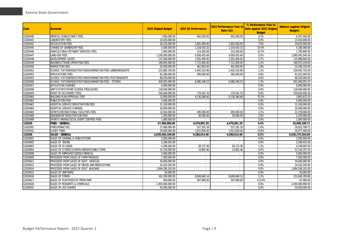| <b>Code</b> | <b>Economic</b>                                            | 2022 Original Budget | 2022 Q1 Performance      | 2022 Performance Year to<br>Date $(Q1)$ | % Performance Year to<br>Date against 2022 Original<br><b>Budget</b> | <b>Balance (against Original</b><br><b>Budget</b> ) |
|-------------|------------------------------------------------------------|----------------------|--------------------------|-----------------------------------------|----------------------------------------------------------------------|-----------------------------------------------------|
| 12020440    | MEDICAL CONSULTANCY FEES                                   | 7,000,000.00         | 642,500.00               | 642,500.00                              | 9.2%                                                                 | 6,357,500.00                                        |
| 12020441    | <b>LABORATORY FEES</b>                                     | 23,430,000.00        |                          |                                         | 0.0%                                                                 | 23,430,000.00                                       |
| 12020442    | <b>ASSOCIATION FEES</b>                                    | 20.225.000.00        | 1.601.000.00             | 1.601.000.00                            | 7.9%                                                                 | 18.624.000.00                                       |
| 12020445    | CHANGE OF OWNERSHIP FEES                                   | 5.500.000.00         | 1,319,433.32             | 1,319,433.32                            | 24.0%                                                                | 4,180,566.68                                        |
| 12020446    | AGRICULTURAL/VETINARY SERVICES FEES                        | 2.000.000.00         | 214,200.00               | 214,200.00                              | 10.7%                                                                | 1,785,800.00                                        |
| 12020447    | <b>LAND USE FEES</b>                                       | 1,100,000,000.00     | 4,956,455.64             | 4,956,455.64                            | 0.5%                                                                 | 1,095,043,544.36                                    |
| 12020448    | DEVELOPMENT LEVIES                                         | 137,000,000.00       | 1,001,400.00             | 1,001,400.00                            | 0.7%                                                                 | 135,998,600.00                                      |
| 12020449    | BUSINESS/TRADE OPERATING FEES                              | 248,695,000.00       | 7,721,850.00             | 7,721,850.00                            | 3.1%                                                                 | 240,973,150.00                                      |
| 12020450    | <b>INSPECTION FEES</b>                                     | 25,500,000.00        | 461,850.00               | 461,850.00                              | 1.8%                                                                 | 25,038,150.00                                       |
| 12020452    | SCHOOL TUITION/REGISTRATION/EXAMINATION FEES-UNDERGRADUATE | 231,885,259.00       | 2.442.533.96             | 2,442,533.96                            | 1.1%                                                                 | 229,442,725.04                                      |
| 12020453    | <b>APPLICATIONS FEES</b>                                   | 62,280,000.00        | 365,000.00               | 365,000.00                              | 0.6%                                                                 | 61,915,000.00                                       |
| 12020455    | SCHOOL TUITION/REGISTRATION/EXAMINATION FEES-POSTGRADUATE  | 68.250.000.00        |                          |                                         | 0.0%                                                                 | 68.250.000.00                                       |
| 12020456    | SCHOOL TUITION/REGISTRATION/EXAMINATION FEES - OTHERS      | 459,020,400.00       | 6,080,348.53             | 6,080,348.53                            | 1.3%                                                                 | 452,940,051.47                                      |
| 12020457    | AFFILIATION CHARGES                                        | 6,000,000.00         | $\overline{\phantom{a}}$ |                                         | 0.0%                                                                 | 6,000,000.00                                        |
| 12020458    | UNITY/STAFF/OTHER SCHOOL FEES/LEVIES                       | 118,040,000.00       |                          |                                         | 0.0%                                                                 | 118,040,000.00                                      |
| 12020459    | RIGHT OF OCCUPANCY FEES                                    | 540,000,000.00       | 170.541.70               | 170.541.70                              | 0.0%                                                                 | 539,829,458.30                                      |
| 12020460    | <b>BUILDING PLAN APPROVAL FEES</b>                         | 13,000,000.00        | 9,136,366.66             | 9,136,366.66                            | 70.3%                                                                | 3,863,633.34                                        |
| 12020462    | <b>PUBLICATION FEES</b>                                    | 4,000,000.00         |                          |                                         | 0.0%                                                                 | 4,000,000.00                                        |
| 12020463    | HOSPITAL SERVICE REGISTRATION FEES                         | 31,100,000.00        | $\sim$                   |                                         | 0.0%                                                                 | 31.100.000.00                                       |
| 12020464    | <b>HOSPITAL SERVICE CHARGES</b>                            | 16.000.000.00        |                          |                                         | 0.0%                                                                 | 16,000,000.00                                       |
| 12020465    | SPORTS/RECREATIONAL FACILITIES FEES                        | 22,654,000.00        | 495,000.00               | 495,000.00                              | 2.2%                                                                 | 22,159,000.00                                       |
| 12020466    | INDIGENSHIP REGISTRATION FEES                              | 1,500,000.00         | 30,000.00                | 30,000.00                               | 2.0%                                                                 | 1,470,000.00                                        |
| 12020489    | SPORTS ARENA/SOCIAL EVENT CENTRES FEES                     | 1,000,000.00         |                          |                                         | 0.0%                                                                 | 1,000,000.00                                        |
| 120205      | <b>FINES - GENERAL</b>                                     | 47,480,000.00        | 4,479,891.29             | 4,479,891.29                            | 9.4%                                                                 | 43,000,108.71                                       |
| 12020501    | <b>FINES/PENALTIES</b>                                     | 27,480,000.00        | 557.291.29               | 557,291.29                              | 2.0%                                                                 | 26,922,708.71                                       |
| 12020502    | <b>COURT FINES</b>                                         | 20,000,000.00        | 3,922,600.00             | 3.922.600.00                            | 19.6%                                                                | 16,077,400.00                                       |
| 120206      | <b>SALES - GENERAL</b>                                     | 4,639,456,169.00     | 9,280,614.96             | 9,280,614.96                            | 0.2%                                                                 | 4,630,175,554.04                                    |
| 12020601    | SALES OF JOURNAL & PUBLICATIONS                            | 2.050.000.00         |                          |                                         | 0.0%                                                                 | 2.050.000.00                                        |
| 12020602    | SALES OF BOOKS                                             | 2,299,425.00         | $\sim$                   |                                         | 0.0%                                                                 | 2,299,425.00                                        |
| 12020603    | SALES OF ID CARDS                                          | 4,299,260.00         | 50,172.36                | 50,172.36                               | 1.2%                                                                 | 4,249,087.64                                        |
| 12020604    | SALES OF STORES/SCRAPS/UNSERVICABLE ITEMS                  | 52,150,000.00        | 13,802.46                | 13,802.46                               | 0.0%                                                                 | 52, 136, 197.54                                     |
| 12020608    | SALES OF IMPROVED SEEDS/CHEMICAL                           | 5,000,000.00         | $\sim$                   | $\sim$                                  | 0.0%                                                                 | 5.000.000.00                                        |
| 12020609    | PROCEEDS FROM SALES OF FARM PRODUCE                        | 7,500,000.00         | $\overline{\phantom{a}}$ |                                         | 0.0%                                                                 | 7,500,000.00                                        |
| 12020611    | PROCEEDS FROM SALES OF GOVT. VEHICLES                      | 30,000,000.00        | $\sim$                   | $\overline{\phantom{a}}$                | 0.0%                                                                 | 30,000,000.00                                       |
| 12020612    | PROCEEDS FROM SALES OF DRUGS AND MEDICATIONS               | 24.102.293.00        | $\mathbf{r}$             |                                         | 0.0%                                                                 | 24.102.293.00                                       |
| 12020614    | PROCEEDS FROM SALES OF GOVT. BUILDING                      | 1,894,206,191.00     | $\overline{\phantom{a}}$ |                                         | 0.0%                                                                 | 1,894,206,191.00                                    |
| 12020615    | SALES OF UNIFORMS                                          | 50,000.00            | $\sim$                   | $\overline{\phantom{a}}$                | 0.0%                                                                 | 50,000.00                                           |
| 12020616    | <b>SALES OF FORMS</b>                                      | 162,299,000.00       | 8,649,640.14             | 8,649,640.14                            | 5.3%                                                                 | 153,649,359.86                                      |
| 12020617    | SALES OF PLAN PHOSTAT PRINT/MAP                            | 500,000.00           | 567,000.00               | 567,000.00                              | 113.4%                                                               | 67,000.00                                           |
| 12020618    | SALES OF REAGENTS & CHEMICALS                              | 2,405,000,000.00     | $\sim$                   |                                         | 0.0%                                                                 | 2,405,000,000.00                                    |
| 12020631    | SALES OF JAIZ SHARES                                       | 50.000.000.00        | $\sim$                   |                                         | 0.0%                                                                 | 50,000,000.00                                       |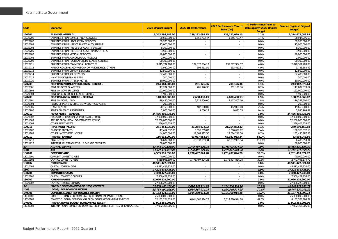| Code     | <b>Economic</b>                                                    | 2022 Original Budget | 2022 Q1 Performance         | 2022 Performance Year to<br>Date (Q1) | % Performance Year to<br>Date against 2022 Original<br><b>Budget</b> | <b>Balance (against Original</b><br><b>Budget</b> ) |
|----------|--------------------------------------------------------------------|----------------------|-----------------------------|---------------------------------------|----------------------------------------------------------------------|-----------------------------------------------------|
| 120207   | <b>EARNINGS - GENERAL</b>                                          | 3,353,794,188.00     | 139,122,099.15              | 139,122,099.15                        | 4.1%                                                                 | 3,214,672,088.85                                    |
| 12020701 | EARNINGS FROM CONSULTANCY SERVICES                                 | 90.500.000.00        | 1.555.703.47                | 1.555.703.47                          | 1.7%                                                                 | 88.944.296.53                                       |
| 12020702 | EARNINGS FROM LABORATORY SERVICES                                  | 39,200,000.00        | $\sim$                      | $\sim$                                | 0.0%                                                                 | 39,200,000.00                                       |
| 12020703 | EARNINGS FROM HIRE OF PLANTS & EQUIPMENT                           | 15,000,000.00        | $\overline{\phantom{a}}$    | ×.                                    | 0.0%                                                                 | 15,000,000.00                                       |
| 12020704 | EARNINGS FROM THE USE OF GOVT. VEHICLES                            | 8,300,000.00         | $\sim$                      | $\sim$                                | 0.0%                                                                 | 8,300,000.00                                        |
| 12020705 | EARNINGS FROM THE USE OF GOVT. HALLS/OTHERS                        | 3,500,000.00         | $\sim$                      | $\sim$                                | 0.0%                                                                 | 3,500,000.00                                        |
| 12020707 | EARNINGS FROM MEDICAL SERVICES                                     | 40,000,000.00        | ×.                          | ×.                                    | 0.0%                                                                 | 40.000.000.00                                       |
| 12020708 | EARNINGS FROM AGRICULTURAL PRODUCE                                 | 2,000,000.00         | $\sim$                      | $\sim$                                | 0.0%                                                                 | 2,000,000.00                                        |
| 12020709 | EARNINGS FROM TOURISM/CULTURE/ARTS CENTRES                         | 20,300,000.00        | $\mathcal{L}_{\mathcal{A}}$ |                                       | 0.0%                                                                 | 20.300.000.00                                       |
| 12020711 | EARNINGS FROM COMMERCIAL ACTIVITIES                                | 3,015,734,188.00     | 137, 372, 984. 17           | 137, 372, 984. 17                     | 4.6%                                                                 | 2,878,361,203.83                                    |
| 12020712 | HIRE OF ACADEMIC GOWN/BOOK OF PRECEEDINGS/OTHERS                   | 3,980,000.00         | 193,411.51                  | 193,411.51                            | 4.9%                                                                 | 3,786,588.49                                        |
| 12020713 | EARNINGS FROM LIBRARY SERVICES                                     | 12.500.000.00        | $\sim$                      |                                       | 0.0%                                                                 | 12.500.000.00                                       |
| 12020714 | EARNINGS FROM ICT SERVICES                                         | 52,480,000.00        | $\sim$                      | ×.                                    | 0.0%                                                                 | 52,480,000.00                                       |
| 12020715 | MAINTENANCE/REPAIRS FEES                                           | 300,000.00           | $\overline{\phantom{a}}$    | $\bar{a}$                             | 0.0%                                                                 | 300,000.00                                          |
| 12020720 | EARNINGS FROM KATSINA MOTEL                                        | 50,000,000.00        |                             |                                       | 0.0%                                                                 | 50,000,000.00                                       |
| 120208   | RENT ON GOVERNMENT BUILDINGS - GENERAL                             | 244.104.000.00       | 201,126.36                  | 201,126.36                            | 0.1%                                                                 | 243,902,873.64                                      |
| 12020801 | RENT ON GOVT.QUARTERS                                              | 117,204,000.00       | 201,126.36                  | 201,126.36                            | 0.2%                                                                 | 117,002,873.64                                      |
| 12020803 | <b>RENT ON GOVT BUILDINGS</b>                                      | 122,000,000.00       |                             |                                       | 0.0%                                                                 | 122,000,000.00                                      |
| 12020804 | RENT ON CONFERENCE CENTRES/HALLS                                   | 4,900,000.00         | $\sim$                      |                                       | 0.0%                                                                 | 4,900,000.00                                        |
| 120209   | RENT ON LAND & OTHERS - GENERAL                                    | 140,860,000.00       | 2,608,430.13                | 2,608,430.13                          | 1.9%                                                                 | 138,251,569.87                                      |
| 12020901 | RENT ON GOVT. LAND                                                 | 118,450,000.00       | 2,117,400.00                | 2,117,400.00                          | 1.8%                                                                 | 116,332,600.00                                      |
| 12020904 | RENTS OF PLOTS & SITES SERVICES PROGRAMME                          | 200,000.00           | $\sim$                      | $\mathbf{r}$                          | 0.0%                                                                 | 200,000.00                                          |
| 12020905 | <b>LEASE RENTAL</b>                                                | 20,150,000.00        | 482,000.00                  | 482,000.00                            | 2.4%                                                                 | 19,668,000.00                                       |
| 12020906 | RENTS ON GOVT. PROPERTIES                                          | 2,060,000.00         | 9,030.13                    | 9,030.13                              | 0.4%                                                                 | 2,050,969.87                                        |
| 120210   | <b>REPAYMENTS - GENERAL</b>                                        | 24,436,405,735.00    | $\sim$                      | $\sim$                                | 0.0%                                                                 | 24,436,405,735.00                                   |
| 12021002 | RECOVERIES FROM MISAPPROPRIATED FUNDS                              | 12.000.000.000.00    | $\sim$                      | $\sim$                                | 0.0%                                                                 | 12.000.000.000.00                                   |
| 12021003 | REFUND FROM LOCAL GOVERNMENTS COUNCIL                              | 12,200,000,000.00    | $\sim$                      | ÷.                                    | 0.0%                                                                 | 12,200,000,000.00                                   |
| 12021004 |                                                                    |                      |                             |                                       | 0.0%                                                                 |                                                     |
| 120211   | OTHER REPAYMENTS<br><b>INVESTMENT INCOME</b>                       | 236,405,735.00       | $\sim$                      | 21.254.872.32                         | 8.1%                                                                 | 236,405,735.00                                      |
|          |                                                                    | 261,454,032.00       | 21,254,872.32               |                                       | 7.4%                                                                 | 240,199,159.68                                      |
| 12021102 | DIVIDEND RECEIVED                                                  | 117,454,032.00       | 8,690,659.82                | 8,690,659.82                          |                                                                      | 108,763,372.18                                      |
| 12021103 | OTHER INVESTMENT INCOME                                            | 144,000,000.00       | 12,564,212.50               | 12,564,212.50                         | 8.7%                                                                 | 131,435,787.50                                      |
| 120212   | <b>INTEREST EARNED</b>                                             | 116,632,000.00       | 63,037,953.34               | 63,037,953.34                         | 54.0%                                                                | 53,594,046.66                                       |
| 12021210 | <b>BANK INTEREST</b>                                               | 56,632,000.00        | 63,037,953.34               | 63,037,953.34                         | 111.3%                                                               | 6,405,953.34                                        |
| 12021212 | INTEREST ON TREASURY BILLS & FIXED DEPOSITS                        | 60.000.000.00        | $\sim$                      |                                       | 0.0%                                                                 | 60.000.000.00                                       |
| 13       | A ID A ND GRANTS                                                   | 87,448,070,659.00    | 1,778,497,824.28            | 1,778,497,824.28                      | 2.0%                                                                 | 85,669,572,834.72                                   |
| 1301     | <b>AID</b>                                                         | 53,071,414,223.00    | 1,778,497,824.28            | 1,778,497,824.28                      | 3.4%                                                                 | 51,292,916,398.72                                   |
| 130101   | <b>DOMESTIC AIDS</b>                                               | 4,559,991,399.00     | 1,778,497,824.28            | 1,778,497,824.28                      | 39.0%                                                                | 2,781,493,574.72                                    |
| 13010101 | <b>CURRENT DOMESTIC AIDS</b>                                       | 40,000,000.00        |                             |                                       | 0.0%                                                                 | 40,000,000.00                                       |
| 13010102 | CAPITAL DOMESTIC AIDS                                              | 4,519,991,399.00     | 1,778,497,824.28            | 1,778,497,824.28                      | 39.3%                                                                | 2,741,493,574.72                                    |
| 130102   | <b>FOREIGN A IDS</b>                                               | 48,511,422,824.00    | $\blacksquare$              |                                       | 0.0%                                                                 | 48,511,422,824.00                                   |
| 13010202 | CAPITAL FOREIGN AIDS                                               | 48,511,422,824.00    | $\sim$                      | $\mathbf{r}$                          | 0.0%                                                                 | 48,511,422,824.00                                   |
| 1302     | Grants                                                             | 34,376,656,436.00    | $\sim$                      | $\tilde{\phantom{a}}$                 | 0.0%                                                                 | 34,376,656,436.00                                   |
| 130201   | <b>DOMESTIC GRANTS</b>                                             | 7,350,427,236.00     | $\mathbf{r}$                |                                       | 0.0%                                                                 | 7,350,427,236.00                                    |
| 13020102 | CAPITAL DOMESTIC GRANTS                                            | 7,350,427,236.00     | $\sim$                      | $\sim$                                | 0.0%                                                                 | 7,350,427,236.00                                    |
| 130202   | <b>FOREIGN GRANTS</b>                                              | 27,026,229,200.00    | $\blacksquare$              |                                       | 0.0%                                                                 | 27,026,229,200.00                                   |
| 13020202 | CAPITAL FOREIGN GRANTS                                             | 27,026,229,200.00    |                             |                                       | 0.0%                                                                 | 27,026,229,200.00                                   |
| 14       | CAPITAL DEVELOPMENT FUND (CDF) RECEIPTS                            | 55.054.490.018.00    | 6,014,360,914.28            | 6.014.360.914.28                      | 10.9%                                                                | 49.040.129.103.72                                   |
| 1403     | LOANS/ BORROWINGS RECEIPT                                          | 55,054,490,018.00    | 6,014,360,914.28            | 6,014,360,914.28                      | 10.9%                                                                | 49,040,129,103.72                                   |
| 140301   | DOMESTIC LOANS/ BORROWINGS RECEIPT                                 | 37, 152, 124, 813.00 | 6,014,360,914.28            | 6,014,360,914.28                      | 16.2%                                                                | 31,137,763,898.72                                   |
| 14030101 | DOMESTIC LOANS/ BORROWINGS FROM FINANCIAL INSTITUTIONS             | 25,000,000,000.00    | $\sim$                      | ×.                                    | 0.0%                                                                 | 25,000,000,000.00                                   |
| 14030102 | DOMESTIC LOANS/ BORROWINGS FROM OTHER GOVERNMENT ENTITIES          | 12.152.124.813.00    | 6,014,360,914.28            | 6.014.360.914.28                      | 49.5%                                                                | 6.137.763.898.72                                    |
| 140302   | INTERNATIONAL LOANS/ BORROWINGS RECEIPT                            | 17,902,365,205.00    |                             |                                       | 0.0%                                                                 | 17,902,365,205.00                                   |
| 14030203 | INTERNATIONAL LOANS/ BORROWINGS FROM OTHER ENTITIES/ ORGANISATIONS | 17,902,365,205.00    | $\sim$                      | $\sim$                                | 0.0%                                                                 | 17,902,365,205.00                                   |
|          |                                                                    |                      |                             |                                       |                                                                      |                                                     |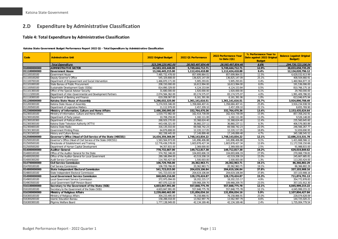## **2.D Expenditure by Administrative Classification**

#### **Table 4: Total Expenditure by Administrative Classification**

#### **Katsina State Government Budget Performance Report 2022 Q1 - Total Expenditure by Administrative Classification**

<span id="page-11-1"></span><span id="page-11-0"></span>

| Code         | <b>Adminstrative Unit</b>                                      | 2022 Original Budget | 2022 Q1 Performance | 2022 Performance Year<br>to Date (Q1) | % Performance Year to<br>Date against 2022 Original<br><b>Budget</b> | <b>Balance (against Original</b><br>Budget) |
|--------------|----------------------------------------------------------------|----------------------|---------------------|---------------------------------------|----------------------------------------------------------------------|---------------------------------------------|
|              | <b>Total Expenditure</b>                                       | 323,296,220,961.00   | 28,565,497,854.46   | 28,565,497,854.46                     | 8.8%                                                                 | 294,730,723,106.54                          |
| 010000000000 | <b>ADMINISTRATIVE SECTOR</b>                                   | 44,583,103,448.00    | 5.749.444.712.71    | 5,749,444,712.71                      | 12.9%                                                                | 38.833.658.735.29                           |
| 011100000000 | <b>Government House</b>                                        | 13,246,445,215.00    | 1,112,424,418.88    | 1,112,424,418.88                      | 8.4%                                                                 | 12,134,020,796.12                           |
| 011100100100 | Government House                                               | 7,485,732,478.00     | 857,699,864.01      | 857,699,864.01                        | 11.5%                                                                | 6,628,032,613.99                            |
| 011100100200 | Deputy Governor's Office                                       | 545,329,808.00       | 136,825,147.09      | 136,825,147.09                        | 25.1%                                                                | 408.504.660.91                              |
| 011100700100 | Department of Empowerment and Social Intervention              | 1,466,870,171.00     | 5,905,293.81        | 5,905,293.81                          | 0.4%                                                                 | 1,460,964,877.19                            |
| 011101000100 | State Bureau of Public Procurement                             | 208.150.000.00       | 16,613,994.00       | 16,613,994.00                         | 8.0%                                                                 | 191.536.006.00                              |
| 011100500100 | Sustainable Development Goals (SDGs)                           | 814,890,329.00       | 4,124,153.84        | 4,124,153.84                          | 0.5%                                                                 | 810,766,175.16                              |
| 011101300100 | Office of the Special Adviser Security                         | 31.680.000.00        | 1,920,000.00        | 1,920,000.00                          | 6.1%                                                                 | 29,760,000.00                               |
| 011113200100 | Department of Inter-Governmental and Development Partners      | 2,074,584,362.00     | 83,174,575.07       | 83,174,575.07                         | 4.0%                                                                 | 1,991,409,786.93                            |
| 011118300100 | Department of Banking and Finance                              | 619,208,067.00       | 6,161,391.06        | 6,161,391.06                          | 1.0%                                                                 | 613,046,675.94                              |
| 011200000000 | Katsina State House of Assembly                                | 5,286,032,325.00     | 1,361,141,616.51    | 1,361,141,616.51                      | 25.7%                                                                | 3,924,890,708.49                            |
| 011200300100 | Katsina State House of Assembly                                | 5,274,919,346.00     | 1,358,684,407.41    | 1,358,684,407.41                      | 25.8%                                                                | 3,916,234,938.59                            |
| 011200500100 | Department of Legislative Matters                              | 11,112,979.00        | 2,457,209.10        | 2,457,209.10                          | 22.1%                                                                | 8,655,769.90                                |
| 012300000000 | Ministry of Information, Culture and Home Affairs              | 2.486.200.095.00     | 332,764,470.36      | 332,764,470.36                        | 13.4%                                                                | 2,153,435,624.64                            |
| 012300100100 | Ministry of Information, Culture and Home Affairs              | 1,019,772,982.00     | 162,414,739.09      | 162.414.739.09                        | 15.9%                                                                | 857.358.242.91                              |
| 012300100200 | Department of Party Liaison                                    | 10,708,259.00        | 1,182,111.00        | 1,182,111.00                          | 11.0%                                                                | 9,526,148.00                                |
| 012300100300 | Department of Political Affairs                                | 268,929,270.00       | 33,368,624.40       | 33.368.624.40                         | 12.4%                                                                | 235.560.645.60                              |
| 012300300100 | Katsina State Television Authority (KTTV)                      | 443,436,321.00       | 36,860,237.11       | 36,860,237.11                         | 8.3%                                                                 | 406,576,083.89                              |
| 012300400100 | Katsina State Radio                                            | 316,135,010.00       | 69.568.742.23       | 69.568.742.23                         | 22.0%                                                                | 246,566,267.77                              |
| 012301300100 | <b>Government Printing Press</b>                               | 64.879.808.00        | 12.220.117.05       | 12.220.117.05                         | 18.8%                                                                | 52.659.690.95                               |
| 012301500100 | History and Culture Bureau                                     | 362,338,445.00       | 17,149,899.48       | 17,149,899.48                         | 4.7%                                                                 | 345, 188, 545.52                            |
| 012500000000 | Governor's Office (Head of Civil Service of the State (HOCSS)) | 14,434,359,366.00    | 1,748,143,834.22    | 1,748,143,834.22                      | 12.1%                                                                | 12,686,215,531.78                           |
| 012500100100 | Governor's Office (Head of Civil Service of the State (HOCSS)) | 1,563,564,973.00     | 141,896,406.88      | 141,896,406.88                        | 9.1%                                                                 | 1,421,668,566.12                            |
| 012500500100 | Directorate of Establishment and Training                      | 12,776,436,578.00    | 1,603,878,427.34    | 1,603,878,427.34                      | 12.6%                                                                | 11,172,558,150.66                           |
| 012500500200 | Department of Human Capital Development                        | 94,357,815.00        | 2,369,000.00        | 2,369,000.00                          | 2.5%                                                                 | 91,988,815.00                               |
| 014000000000 | <b>Auditor-General</b>                                         | 778,732,667.00       | 149,712,817.38      | 149,712,817.38                        | 19.2%                                                                | 629,019,849.62                              |
| 014000100100 | Office of the Auditor-General for the State                    | 374, 762, 346.00     | 104,693,606.19      | 104.693.606.19                        | 27.9%                                                                | 270.068.739.81                              |
| 014000200200 | Office of the Auditor-General for Local Government             | 289,186,894.00       | 43,519,208.19       | 43,519,208.19                         | 15.0%                                                                | 245,667,685.81                              |
| 014000300200 | <b>Audit Service Commission</b>                                | 114,783,427.00       | 1.500.003.00        | 1.500.003.00                          | 1.3%                                                                 | 113.283.424.00                              |
| 014700000000 | <b>Civil Service Commission</b>                                | 106,729,766.00       | 20,362,963.71       | 20,362,963.71                         | 19.1%                                                                | 86,366,802.29                               |
| 014700100100 | Civil Service Commission                                       | 106.729.766.00       | 20.362.963.71       | 20,362,963.71                         | 19.1%                                                                | 86.366.802.29                               |
| 014800000000 | State Independent Electoral Commission                         | 541,723,015.00       | 204,619,106.84      | 204,619,106.84                        | 37.8%                                                                | 337,103,908.16                              |
| 014800100100 | State Independent Electoral Commission                         | 541,723,015.00       | 204,619,106.84      | 204,619,106.84                        | 37.8%                                                                | 337, 103, 908. 16                           |
| 014900000000 | <b>Local Government Service Commission</b>                     | 840,045,216.00       | 128,170,424.87      | 128,170,424.87                        | 15.3%                                                                | 711,874,791.13                              |
| 014900100100 | Local Government Service Commission                            | 372,975,094.00       | 18,202,215.17       | 18,202,215.17                         | 4.9%                                                                 | 354,772,878.83                              |
| 014903500100 | Local Government Staff Pension Board                           | 467,070,122.00       | 109,968,209.70      | 109,968,209.70                        | 23.5%                                                                | 357, 101, 912.30                            |
| 016100000000 | Secretary to the Government of the State (SGS)                 | 4,603,847,991.00     | 557,848,775.78      | 557,848,775.78                        | 12.1%                                                                | 4,045,999,215.22                            |
| 016100100100 | Secretary to the Government of the State (SGS)                 | 4,603,847,991.00     | 557,848,775.78      | 557,848,775.78                        | 12.1%                                                                | 4,045,999,215.22                            |
| 016300000000 | Ministry of Religious Affairs                                  | 2,239,660,462.00     | 131,856,034.16      | 131,856,034.16                        | 5.9%                                                                 | 2,107,804,427.84                            |
| 016300100100 | Ministry of Religious Affairs                                  | 304,233,495.00       | 76,158,866.91       | 76,158,866.91                         | 25.0%                                                                | 228,074,628.09                              |
| 016300200100 | <b>Islamic Education Bureau</b>                                | 158,288,018.00       | 13,562,997.79       | 13,562,997.79                         | 8.6%                                                                 | 144,725,020.21                              |
| 016300300100 | Pilgrims Welfare Board                                         | 1.777.138.949.00     | 42,134,169.46       | 42, 134, 169. 46                      | 2.4%                                                                 | 1,735,004,779.54                            |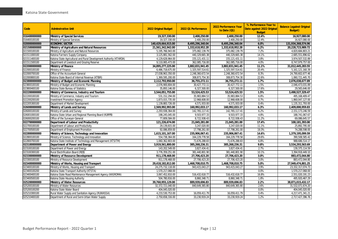| Code         | <b>Adminstrative Unit</b>                                           | 2022 Original Budget | 2022 Q1 Performance | 2022 Performance Year<br>to Date (Q1) | % Performance Year to<br>Date against 2022 Original<br><b>Budget</b> | <b>Balance (against Original</b><br><b>Budget</b> ) |
|--------------|---------------------------------------------------------------------|----------------------|---------------------|---------------------------------------|----------------------------------------------------------------------|-----------------------------------------------------|
| 016400000000 | Ministry of Special Services                                        | 19.327.330.00        | 2,400,250.00        | 2,400,250.00                          | 12.4%                                                                | 16.927.080.00                                       |
| 016400100100 | Ministry of Special Services                                        | 19,327,330.00        | 2,400,250.00        | 2,400,250.00                          | 12.4%                                                                | 16,927,080.00                                       |
| 020000000000 | <b>ECONOMIC SECTOR</b>                                              | 140,429,664,915.00   | 8,495,296,340.04    | 8,495,296,340.04                      | 6.0%                                                                 | 131,934,368,574.96                                  |
| 021500000000 | Ministry of Agriculture and Natural Resources                       | 21,561,342,942.00    | 1,332,618,952.28    | 1,332,618,952.28                      | 6.2%                                                                 | 20,228,723,989.72                                   |
| 021500100100 | Ministry of Agriculture and Natural Resources                       | 5,195,766,943.00     | 375,082,139.79      | 375,082,139.79                        | 7.2%                                                                 | 4,820,684,803.21                                    |
| 021511000100 | Katsina Farmers Supply Company                                      | 3,125,881,562.00     | 440,329,665.38      | 440,329,665.38                        | 14.1%                                                                | 2,685,551,896.62                                    |
| 021511400100 | Katsina State Agricultural and Rural Development Authority (KTARDA) | 4,129,628,964.00     | 155, 121, 431. 11   | 155, 121, 431. 11                     | 3.8%                                                                 | 3,974,507,532.89                                    |
| 021511500100 | Department of Livestock and Grazing Reserve                         | 9,110,065,473.00     | 362,085,716.00      | 362,085,716.00                        | 4.0%                                                                 | 8,747,979,757.00                                    |
| 022000000000 | <b>Ministry of Finance</b>                                          | 34,895,277,225.00    | 3,882,831,941.45    | 3,882,831,941.45                      | 11.1%                                                                | 31,012,445,283.55                                   |
| 022000100100 | Ministry of Finance                                                 | 6,486,718,675.00     | 1,325,597,514.61    | 1,325,597,514.61                      | 20.4%                                                                | 5, 161, 121, 160. 39                                |
| 022000700100 | Office of the Accountant-General                                    | 27,038,963,350.00    | 2,248,360,672.54    | 2.248.360.672.54                      | 8.3%                                                                 | 24.790.602.677.46                                   |
| 022000800100 | Katsina State Board of Internal Revenue (KTBIR)                     | 1,369,595,200.00     | 308,873,754.30      | 308,873,754.30                        | 22.6%                                                                | 1,060,721,445.70                                    |
| 023800000000 | Ministry of Budget and Economic Planning                            | 2,112,793,950.00     | 36,755,272.11       | 36,755,272.11                         | 1.7%                                                                 | 2,076,038,677.89                                    |
| 023800100100 | Ministry of Budget and Economic Planning                            | 2,076,900,804.00     | 30,427,772.11       | 30,427,772.11                         | 1.5%                                                                 | 2,046,473,031.89                                    |
| 023800400100 | Katsina State Bureau of Statistics                                  | 35,893,146.00        | 6,327,500.00        | 6,327,500.00                          | 17.6%                                                                | 29,565,646.00                                       |
| 022200000000 | Ministry of Commerce, Industry and Tourism                          | 3,544,051,755.00     | 53,524,425.53       | 53,524,425.53                         | 1.5%                                                                 | 3,490,527,329.47                                    |
| 022200100100 | Ministry of Commerce, Industry and Tourism                          | 531,152,294.00       | 35,983,884.53       | 35,983,884.53                         | 6.8%                                                                 | 495, 168, 409. 47                                   |
| 022200200100 | <b>Investment Promotion Agency</b>                                  | 1,873,015,735.00     | 12,968,608.00       | 12,968,608.00                         | 0.7%                                                                 | 1,860,047,127.00                                    |
| 022205300100 | Department of Market Development                                    | 1,139,883,726.00     | 4,571,933.00        | 4,571,933.00                          | 0.4%                                                                 | 1,135,311,793.00                                    |
| 026000000000 | Ministry of Lands and Survey                                        | 2,569,992,993.00     | 160,992,033.17      | 160,992,033.17                        | 6.3%                                                                 | 2,409,000,959.83                                    |
| 026000100100 | Ministry of Lands and Survey                                        | 2,293,938,364.00     | 142,765,117.41      | 142,765,117.41                        | 6.2%                                                                 | 2,151,173,246.59                                    |
| 026001000100 | Katsina State Urban and Regional Planning Board (KURPB)             | 198,245,045.00       | 9,503,977.33        | 9,503,977.33                          | 4.8%                                                                 | 188,741,067.67                                      |
| 026000200100 | Office of the Surveyor-General                                      | 77,809,584.00        | 8,722,938.43        | 8,722,938.43                          | 11.2%                                                                | 69,086,645.57                                       |
| 022700000000 | Department of Labour and Productivity                               | 121,226,674.00       | 21,045,281.00       | 21,045,281.00                         | 17.4%                                                                | 100,181,393.00                                      |
| 022700100100 | Department of Labour and Productivity                               | 29,139,815.00        | 3,247,020.00        | 3,247,020.00                          | 11.1%                                                                | 25,892,795.00                                       |
| 022700500100 | Department of Employment Promotion                                  | 92,086,859.00        | 17,798,261.00       | 17,798,261.00                         | 19.3%                                                                | 74,288,598.00                                       |
| 022800000000 | Ministry of Science, Technology and Innovation                      | 1,615,101,167.00     | 235,906,067.41      | 235,906,067.41                        | 14.6%                                                                | 1,379,195,099.59                                    |
| 022800100100 | Ministry of Science, Technology and Innovation                      | 554,738,364.00       | 164,229,778.58      | 164,229,778.58                        | 29.6%                                                                | 390,508,585.42                                      |
| 022800700100 | Katsina State Institute of Technology and Management (KTSITM)       | 1,060,362,803.00     | 71,676,288.83       | 71,676,288.83                         | 6.8%                                                                 | 988,686,514.17                                      |
| 023100000000 | Department of Power and Energy                                      | 3,919,561,800.00     | 385,268,236.31      | 385,268,236.31                        | 9.8%                                                                 | 3,534,293,563.69                                    |
| 023100100100 | Department of Power and Energy                                      | 143,202,549.00       | 3,827,434.41        | 3,827,434.41                          | 2.7%                                                                 | 139, 375, 114.59                                    |
| 023100300100 | Rural Electrification Board (REB)                                   | 3,776,359,251.00     | 381,440,801.90      | 381,440,801.90                        | 10.1%                                                                | 3,394,918,449.10                                    |
| 023300000000 | Ministry of Resource Development                                    | 911,178,468.00       | 27,706,423.20       | 27,706,423.20                         | 3.0%                                                                 | 883,472,044.80                                      |
| 023300100100 | Ministry of Resource Development                                    | 911,178,468.00       | 27,706,423.20       | 27,706,423.20                         | 3.0%                                                                 | 883,472,044.80                                      |
| 023400000000 | Ministry of Works, Housing and Transport                            | 29,418,182,812.00    | 1,468,708,010.75    | 1,468,708,010.75                      | 5.0%                                                                 | 27,949,474,801.25                                   |
| 023400100100 | Ministry of Works, Housing and Transport                            | 24,275,732,118.00    | 943,415,043.27      | 943,415,043.27                        | 3.9%                                                                 | 23,332,317,074.73                                   |
| 023400100200 | Katsina State Transport Authority (KTSTA)                           | 1,570,217,068.00     |                     |                                       | 0.0%                                                                 | 1,570,217,068.00                                    |
| 023400400100 | Katsina State Road Maintenance Management Agency (KASROMA)          | 3,067,452,810.00     | 516,432,618.77      | 516,432,618.77                        | 16.8%                                                                | 2,551,020,191.23                                    |
| 023400500100 | Katsina State Housing Authority                                     | 504,780,816.00       | 8,860,348.71        | 8,860,348.71                          | 1.8%                                                                 | 495,920,467.29                                      |
| 025200000000 | Ministry of Water Resources                                         | 39,760,955,129.00    | 889,939,696.83      | 889,939,696.83                        | 2.2%                                                                 | 38,871,015,432.17                                   |
| 025200100100 | Ministry of Water Resources                                         | 32,372,721,040.00    | 840,649,365.80      | 840,649,365.80                        | 2.6%                                                                 | 31,532,071,674.20                                   |
| 025200100200 | Katsina State Water Board                                           | 404,045,020.00       |                     |                                       | 0.0%                                                                 | 404,045,020.00                                      |
| 025210300100 | Rural Water Supply and Sanitation Agency (RUWASSA)                  | 4,233,530,753.00     | 16,059,411.79       | 16,059,411.79                         | 0.4%                                                                 | 4,217,471,341.21                                    |
| 025210400100 | Department of Rural and Semi-Urban Water Supply                     | 2,750,658,316.00     | 33,230,919.24       | 33,230,919.24                         | 1.2%                                                                 | 2,717,427,396.76                                    |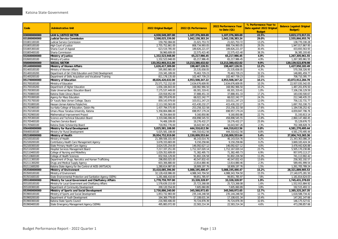|              |                                                             |                      |                     | 2022 Performance Year | % Performance Year to      | <b>Balance (against Original</b> |
|--------------|-------------------------------------------------------------|----------------------|---------------------|-----------------------|----------------------------|----------------------------------|
| Code         | <b>Adminstrative Unit</b>                                   | 2022 Original Budget | 2022 Q1 Performance | to Date (Q1)          | Date against 2022 Original | Budget)                          |
|              |                                                             |                      |                     |                       | <b>Budget</b>              |                                  |
| 030000000000 | <b>LAW &amp; JUSTICE SECTOR</b>                             | 4,930,549,287.00     | 1,107,376,369.69    | 1,107,376,369.69      | 22.5%                      | 3,823,172,917.31                 |
| 031800000000 | Judicial Service Commission                                 | 3,598,025,339.00     | 1,042,158,383.24    | 1,042,158,383.24      | 29.0%                      | 2,555,866,955.76                 |
| 031801100100 | Judicial Service Commission                                 | 159,792,084.00       | 21,021,753.72       | 21,021,753.72         | 13.2%                      | 138,770,330.28                   |
| 031805100100 | <b>High Court of Justice</b>                                | 2.755.752.861.00     | 808,734,993.05      | 808,734,993.05        | 29.3%                      | 1.947.017.867.95                 |
| 031805300100 | Sharia Court of Appeal                                      | 623,519,785.00       | 189,826,221.07      | 189,826,221.07        | 30.4%                      | 433,693,563.93                   |
| 031805400100 | Sharia Commission                                           | 58,960,609.00        | 22,575,415.40       | 22,575,415.40         | 38.3%                      | 36,385,193.60                    |
| 032600000000 | Ministry of Justice                                         | 1,332,523,948.00     | 65,217,986.45       | 65,217,986.45         | 4.9%                       | 1,267,305,961.55                 |
| 032600100100 | Ministry of Justice                                         | 1,332,523,948.00     | 65,217,986.45       | 65,217,986.45         | 4.9%                       | 1,267,305,961.55                 |
| 050000000000 | <b>SOCIAL SECTOR</b>                                        | 133,352,903,311.00   | 13,213,380,432.02   | 13,213,380,432.02     | 9.9%                       | 120, 139, 522, 878. 98           |
| 051400000000 | <b>Ministry of Women Affairs</b>                            | 1,626,417,309.00     | 198,467,126.51      | 198,467,126.51        | 12.2%                      | 1,427,950,182.49                 |
| 051400100100 | Ministry of Women Affairs                                   | 595,893,985.00       | 25,535,658.05       | 25,535,658.05         | 4.3%                       | 570,358,326.95                   |
| 051400100200 | Department of Girl Child Education and Child Development    | 219,345,189.00       | 70,463,729.23       | 70,463,729.23         | 32.1%                      | 148,881,459.77                   |
| 051400200100 | Department of Skills Acquisition and Vocational Training    | 811, 178, 135.00     | 102,467,739.23      | 102,467,739.23        | 12.6%                      | 708,710,395.77                   |
| 051700000000 | Ministry of Education                                       | 48,826,420,632.00    | 4,953,508,347.22    | 4,953,508,347.22      | 10.1%                      | 43,872,912,284.78                |
| 051700100100 | Ministry of Education                                       | 25,571,712,152.00    | 2,634,676,609.95    | 2,634,676,609.95      | 10.3%                      | 22,937,035,542.05                |
| 051700100200 | Department of Higher Education                              | 1,656,184,843.00     | 168,982,966.50      | 168,982,966.50        | 10.2%                      | 1,487,201,876.50                 |
| 051700300100 | State Universal Basic Education Board                       | 7,175,537,449.00     | 69,301,319.41       | 69,301,319.41         | 1.0%                       | 7,106,236,129.59                 |
| 051700800100 | Katsina State Library Board                                 | 220,918,952.00       | 37,888,451.33       | 37,888,451.33         | 17.2%                      | 183,030,500.67                   |
| 051701000100 | Agency for Mass Education                                   | 280,370,678.00       | 68,022,242.77       | 68,022,242.77         | 24.3%                      | 212,348,435.23                   |
| 051701700100 | Dr Yusufu Bala Usman College, Daura                         | 859,143,979.00       | 103,011,247.23      | 103,011,247.23        | 12.0%                      | 756,132,731.77                   |
| 051701800100 | Hassan Usman Katsina Polytechnic                            | 2,113,193,563.00     | 415,430,232.27      | 415,430,232.27        | 19.7%                      | 1,697,763,330.73                 |
| 051701900100 | Isa Kaita College of Education, Dutsin-Ma                   | 1,437,794,575.00     | 253,258,322.58      | 253,258,322.58        | 17.6%                      | 1,184,536,252.42                 |
| 051702100100 | Umaru Musa Yaradua University, Katsina                      | 5,358,804,886.00     | 698, 957, 179.24    | 698, 957, 179.24      | 13.0%                      | 4,659,847,706.76                 |
| 051702900100 | Mathematical Improvement Project                            | 40,354,664.00        | 9,160,850.86        | 9,160,850.86          | 22.7%                      | 31,193,813.14                    |
| 051705300100 | Science and Technical Education Board                       | 3,319,046,006.00     | 458,898,545.55      | 458,898,545.55        | 13.8%                      | 2,860,147,460.45                 |
| 051705400100 | Teachers Service Board                                      | 74,406,109.00        | 19,276,432.27       | 19,276,432.27         | 25.9%                      | 55,129,676.73                    |
| 051705600100 | Katsina State Scholarship Board                             | 718,952,776.00       | 16,643,947.26       | 16,643,947.26         | 2.3%                       | 702,308,828.74                   |
| 056400000000 | Ministry for Rural Development                              | 5,025,581,108.00     | 444,310,612.56      | 444,310,612.56        | 8.8%                       | 4,581,270,495.44                 |
| 056400100100 | Ministry for Rural Development                              | 5,025,581,108.00     | 444,310,612.56      | 444,310,612.56        | 8.8%                       | 4,581,270,495.44                 |
| 052100000000 | Ministry of Health                                          | 39,954,752,919.00    | 2,150,009,553.64    | 2,150,009,553.64      | 5.4%                       | 37,804,743,365.36                |
| 052100100100 | Ministry of Health                                          | 21,389,506,101.00    | 46,143,014.76       | 46, 143, 014. 76      | 0.2%                       | 21,343,363,086.24                |
| 052100200100 | Contributory Health Care Management Agency                  | 3,678,333,683.00     | 9,150,258.66        | 9,150,258.66          | 0.2%                       | 3,669,183,424.34                 |
| 052100300100 | State Primary Health Care Agency                            | 3,624,535,254.00     | 146,092,627.12      | 146,092,627.12        | 4.0%                       | 3,478,442,626.88                 |
| 052110200100 | Hospital Services Management Board                          | 7,217,337,251.00     | 1,712,167,020.14    | 1,712,167,020.14      | 23.7%                      | 5,505,170,230.86                 |
| 052110400100 | College of Nursing and Midwifery                            | 1,029,352,609.00     | 71,382,495.73       | 71,382,495.73         | 6.9%                       | 957,970,113.27                   |
| 052110600100 | College of Health Sciences                                  | 832,916,129.00       | 91,802,226.58       | 91,802,226.58         | 11.0%                      | 741,113,902.42                   |
| 052111300100 | Department of Drugs, Narcotics and Human Trafficking        | 298,850,025.00       | 40,547,832.43       | 40,547,832.43         | 13.6%                      | 258,302,192.57                   |
| 052111300200 | Drugs and Medical Supply Agency                             | 603,306,880.00       | 13,814,880.46       | 13,814,880.46         | 2.3%                       | 589,491,999.54                   |
| 052111600200 | Katsina State Agency for the Control of AIDS (KATSACA)      | 1,280,614,987.00     | 18,909,197.76       | 18,909,197.76         | 1.5%                       | 1,261,705,789.24                 |
| 053500000000 | Ministry of Environment                                     | 33,410,085,396.00    | 5,088,195,490.47    | 5,088,195,490.47      | 15.2%                      | 28,321,889,905.53                |
| 053500100100 | Ministry of Environment                                     | 32,128,418,986.00    | 4,988,343,704.50    | 4,988,343,704.50      | 15.5%                      | 27,140,075,281.50                |
| 053501600100 | State Environmental Protection and Sanitation Agency (SEPA) | 1,281,666,410.00     | 99,851,785.97       | 99,851,785.97         | 7.8%                       | 1,181,814,624.03                 |
| 055100000000 | Ministry for Local Government and Chieftaincy Affairs       | 1,778,759,707.00     | 33,328,328.97       | 33,328,328.97         | 1.9%                       | 1,745,431,378.03                 |
| 055100100100 | Ministry for Local Government and Chieftaincy Affairs       | 1,578,639,153.00     | 25,723,268.08       | 25,723,268.08         | 1.6%                       | 1,552,915,884.92                 |
| 055100300100 | Department of Community Development                         | 200,120,554.00       | 7,605,060.89        | 7,605,060.89          | 3.8%                       | 192,515,493.11                   |
| 053900000000 | Ministry of Sports and Social Development                   | 2,730,886,240.00     | 345,560,972.65      | 345,560,972.65        | 12.7%                      | 2,385,325,267.35                 |
| 053900100100 | Ministry of Sports and Social Development                   | 1,853,732,983.00     | 235, 144, 248.58    | 235, 144, 248.58      | 12.7%                      | 1,618,588,734.42                 |
| 053900200100 | Department of Youth Development                             | 164, 369, 779.00     | 17,108,631.34       | 17,108,631.34         | 10.4%                      | 147,261,147.66                   |
| 053900300100 | Katsina State Sports Council                                | 216,900,406.00       | 70,724,878.39       | 70,724,878.39         | 32.6%                      | 146, 175, 527.61                 |
| 053900400100 | State Emergency Management Agency (SEMA)                    | 495,883,072.00       | 22,583,214.34       | 22,583,214.34         | 4.6%                       | 473,299,857.66                   |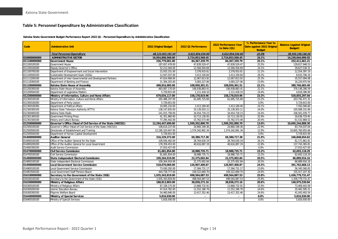#### **Table 5: Personnel Expenditure by Administrative Classification**

**Katsina State Government Budget Performance Report 2022 Q1 - Personnel Expenditure by Administrative Classification**

<span id="page-14-0"></span>

| Code         | <b>Adminstrative Unit</b>                                      | 2022 Original Budget | 2022 Q1 Performance | 2022 Performance Year<br>to Date (Q1) | % Performance Year to<br>Date against 2022 Original<br><b>Budget</b> | <b>Balance (against Original</b><br><b>Budget</b> ) |
|--------------|----------------------------------------------------------------|----------------------|---------------------|---------------------------------------|----------------------------------------------------------------------|-----------------------------------------------------|
|              | <b>Total Personnel Expenditure</b>                             | 48,123,003,181.00    | 9,622,854,034.96    | 9.622.854.034.96                      | 20.0%                                                                | 38,500,149,146.04                                   |
| 010000000000 | <b>ADMINISTRATIVE SECTOR</b>                                   | 16,954,898,568.00    | 2,724,853,568.45    | 2,724,853,568.45                      | 16.1%                                                                | 14,230,044,999.55                                   |
| 011100000000 | <b>Government House</b>                                        | 336,779,001.00       | 84, 367, 339. 79    | 84, 367, 339. 79                      | 25.1%                                                                | 252,411,661.21                                      |
| 011100100100 | Government House                                               | 187,657,478.00       | 47,839,529.47       | 47,839,529.47                         | 25.5%                                                                | 139,817,948.53                                      |
| 011100100200 | Deputy Governor's Office                                       | 52,212,044.00        | 12,584,504.69       | 12,584,504.69                         | 24.1%                                                                | 39,627,539.31                                       |
| 011100700100 | Department of Empowerment and Social Intervention              | 15,933,331.00        | 3,378,933.81        | 3,378,933.81                          | 21.2%                                                                | 12,554,397.19                                       |
| 011100500100 | Sustainable Development Goals (SDGs)                           | 12,047,037.00        | 3,413,330.84        | 3,413,330.84                          | 28.3%                                                                | 8,633,706.16                                        |
| 011113200100 | Department of Inter-Governmental and Development Partners      | 47,624,908.00        | 12,067,813.92       | 12,067,813.92                         | 25.3%                                                                | 35,557,094.08                                       |
| 011118300100 | Department of Banking and Finance                              | 21,304,203.00        | 5,083,227.06        | 5,083,227.06                          | 23.9%                                                                | 16,220,975.94                                       |
| 011200000000 | Katsina State House of Assembly                                | 488.816.985.00       | 108,050,301.51      | 108,050,301.51                        | 22.1%                                                                | 380,766,683.49                                      |
| 011200300100 | Katsina State House of Assembly                                | 483,087,170.00       | 106,938,883.41      | 106,938,883.41                        | 22.1%                                                                | 376, 148, 286.59                                    |
| 011200500100 | Department of Legislative Matters                              | 5,729,815.00         | 1,111,418.10        | 1,111,418.10                          | 19.4%                                                                | 4,618,396.90                                        |
| 012300000000 | Ministry of Information, Culture and Home Affairs              | 679,034,117.00       | 158,178,819.96      | 158,178,819.96                        | 23.3%                                                                | 520,855,297.04                                      |
| 012300100100 | Ministry of Information, Culture and Home Affairs              | 265,488,197.00       | 61,695,725.69       | 61,695,725.69                         | 23.2%                                                                | 203,792,471.31                                      |
| 012300100200 | Department of Party Liaison                                    | 5.729.815.00         |                     |                                       | 0.0%                                                                 | 5,729,815.00                                        |
| 012300100300 | Department of Political Affairs                                | 10,005,210.00        | 2,413,169.40        | 2,413,169.40                          | 24.1%                                                                | 7,592,040.60                                        |
| 012300300100 | Katsina State Television Authority (KTTV)                      | 138,147,835.00       | 33,139,503.11       | 33,139,503.11                         | 24.0%                                                                | 105,008,331.89                                      |
| 012300400100 | Katsina State Radio                                            | 141,015,758.00       | 34.454.718.23       | 34.454.718.23                         | 24.4%                                                                | 106.561.039.77                                      |
| 012301300100 | <b>Government Printing Press</b>                               | 41,351,860.00        | 10,713,130.05       | 10,713,130.05                         | 25.9%                                                                | 30,638,729.95                                       |
| 012301500100 | History and Culture Bureau                                     | 77,295,442.00        | 15,762,573.48       | 15,762,573.48                         | 20.4%                                                                | 61,532,868.52                                       |
| 012500000000 | Governor's Office (Head of Civil Service of the State (HOCSS)) | 12,294,447,699.00    | 1,599,202,890.70    | 1,599,202,890.70                      | 13.0%                                                                | 10,695,244,808.30                                   |
| 012500100100 | Governor's Office (Head of Civil Service of the State (HOCSS)) | 108,614,237.00       | 24,860,199.36       | 24,860,199.36                         | 22.9%                                                                | 83,754,037.64                                       |
| 012500500100 | Directorate of Establishment and Training                      | 12,180,103,647.00    | 1,574,342,691.34    | 1,574,342,691.34                      | 12.9%                                                                | 10,605,760,955.66                                   |
| 012500500200 | Department of Human Capital Development                        | 5,729,815.00         |                     |                                       | 0.0%                                                                 | 5,729,815.00                                        |
| 014000000000 | <b>Auditor-General</b>                                         | 316,229,372.00       | 69,380,717.38       | 69,380,717.38                         | 21.9%                                                                | 246,848,654.62                                      |
| 014000100100 | Office of the Auditor-General for the State                    | 109,936,492.00       | 28,764,630.19       | 28.764.630.19                         | 26.2%                                                                | 81,171,861.81                                       |
| 014000200200 | Office of the Auditor-General for Local Government             | 178,359,453.00       | 40,616,087.19       | 40,616,087.19                         | 22.8%                                                                | 137, 743, 365.81                                    |
| 014000300200 | <b>Audit Service Commission</b>                                | 27,933,427.00        |                     |                                       | 0.0%                                                                 | 27,933,427.00                                       |
| 014700000000 | <b>Civil Service Commission</b>                                | 81,681,854.00        | 18,988,735.71       | 18,988,735.71                         | 23.2%                                                                | 62,693,118.29                                       |
| 014700100100 | Civil Service Commission                                       | 81,681,854.00        | 18,988,735.71       | 18,988,735.71                         | 23.2%                                                                | 62,693,118.29                                       |
| 014800000000 | <b>State Independent Electoral Commission</b>                  | 109,264,919.00       | 22,375,002.84       | 22,375,002.84                         | 20.5%                                                                | 86,889,916.16                                       |
| 014800100100 | State Independent Electoral Commission                         | 109,264,919.00       | 22,375,002.84       | 22,375,002.84                         | 20.5%                                                                | 86,889,916.16                                       |
| 014900000000 | Local Government Service Commission                            | 518,670,069.00       | 126,907,400.87      | 126,907,400.87                        | 24.5%                                                                | 391,762,668.13                                      |
| 014900100100 | Local Government Service Commission                            | 73,930,292.00        | 17,584,731.17       | 17,584,731.17                         | 23.8%                                                                | 56,345,560.83                                       |
| 014903500100 | Local Government Staff Pension Board                           | 444,739,777.00       | 109,322,669.70      | 109,322,669.70                        | 24.6%                                                                | 335,417,107.30                                      |
| 016100000000 | Secretary to the Government of the State (SGS)                 | 1,935,343,819.00     | 498,564,087.53      | 498,564,087.53                        | 25.8%                                                                | 1,436,779,731.47                                    |
| 016100100100 | Secretary to the Government of the State (SGS)                 | 1,935,343,819.00     | 498,564,087.53      | 498,564,087.53                        | 25.8%                                                                | 1,436,779,731.47                                    |
| 016300000000 | <b>Ministry of Religious Affairs</b>                           | 188,813,803.00       | 38,838,272.16       | 38,838,272.16                         | 20.6%                                                                | 149,975,530.84                                      |
| 016300100100 | Ministry of Religious Affairs                                  | 87,338,175.00        | 13,868,732.91       | 13,868,732.91                         | 15.9%                                                                | 73,469,442.09                                       |
| 016300200100 | <b>Islamic Education Bureau</b>                                | 47,014,782.00        | 11,552,186.79       | 11,552,186.79                         | 24.6%                                                                | 35,462,595.21                                       |
| 016300300100 | Pilgrims Welfare Board                                         | 54,460,846.00        | 13,417,352.46       | 13,417,352.46                         | 24.6%                                                                | 41,043,493.54                                       |
| 016400000000 | <b>Ministry of Special Services</b>                            | 5,816,930.00         | $\sim$              | $\sim$                                | 0.0%                                                                 | 5,816,930.00                                        |
| 016400100100 | Ministry of Special Services                                   | 5,816,930.00         | $\sim$              |                                       | 0.0%                                                                 | 5,816,930.00                                        |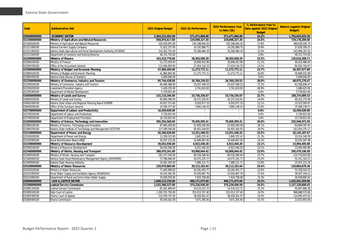| Code         | <b>Adminstrative Unit</b>                                           | 2022 Original Budget | 2022 Q1 Performance         | 2022 Performance Year<br>to Date (Q1) | % Performance Year to<br>Date against 2022 Original<br><b>Budget</b> | <b>Balance (against Original</b><br><b>Budget</b> ) |
|--------------|---------------------------------------------------------------------|----------------------|-----------------------------|---------------------------------------|----------------------------------------------------------------------|-----------------------------------------------------|
| 020000000000 | <b>ECONOMIC SECTOR</b>                                              | 2,364,315,492.00     | 571,471,866.80              | 571,471,866.80                        | 24.2%                                                                | 1,792,843,625.20                                    |
| 021500000000 | Ministry of Agriculture and Natural Resources                       | 958,876,617.00       | 229,698,327.20              | 229,698,327.20                        | 24.0%                                                                | 729,178,289.80                                      |
| 021500100100 | Ministry of Agriculture and Natural Resources                       | 526,029,875.00       | 145, 198, 944. 26           | 145, 198, 944. 26                     | 27.6%                                                                | 380,830,930.74                                      |
| 021511000100 | Katsina Farmers Supply Company                                      | 71,822,257.00        | 14, 192, 898. 75            | 14, 192, 898. 75                      | 19.8%                                                                | 57,629,358.25                                       |
| 021511400100 | Katsina State Agricultural and Rural Development Authority (KTARDA) | 314,302,752.00       | 70,306,484.19               | 70,306,484.19                         | 22.4%                                                                | 243,996,267.81                                      |
| 021511500100 | Department of Livestock and Grazing Reserve                         | 46,721,733.00        | $\sim$                      |                                       | 0.0%                                                                 | 46.721.733.00                                       |
| 022000000000 | Ministry of Finance                                                 | 163,319,778.00       | 38,303,569.29               | 38,303,569.29                         | 23.5%                                                                | 125,016,208.71                                      |
| 022000100100 | Ministry of Finance                                                 | 51,272,919.00        | 10,849,452.96               | 10,849,452.96                         | 21.2%                                                                | 40,423,466.04                                       |
| 022000700100 | Office of the Accountant-General                                    | 112,046,859.00       | 27,454,116.33               | 27,454,116.33                         | 24.5%                                                                | 84,592,742.67                                       |
| 023800000000 | Ministry of Budget and Economic Planning                            | 47,580,450.00        | 11,272,772.11               | 11,272,772.11                         | 23.7%                                                                | 36, 307, 677.89                                     |
| 023800100100 | Ministry of Budget and Economic Planning                            | 41,880,804.00        | 11,272,772.11               | 11,272,772.11                         | 26.9%                                                                | 30,608,031.89                                       |
| 023800400100 | Katsina State Bureau of Statistics                                  | 5,699,646.00         |                             |                                       | 0.0%                                                                 | 5,699,646.00                                        |
| 022200000000 | Ministry of Commerce, Industry and Tourism                          | 95,744,438.00        | 26,769,159.53               | 26,769,159.53                         | 28.0%                                                                | 68,975,278.47                                       |
| 022200100100 | Ministry of Commerce, Industry and Tourism                          | 84,586,388.00        | 23,027,549.53               | 23,027,549.53                         | 27.2%                                                                | 61,558,838.47                                       |
| 022200200100 | <b>Investment Promotion Agency</b>                                  | 5,428,235.00         | 3,741,610.00                | 3,741,610.00                          | 68.9%                                                                | 1,686,625.00                                        |
| 022205300100 | Department of Market Development                                    | 5,729,815.00         |                             |                                       | 0.0%                                                                 | 5,729,815.00                                        |
| 026000000000 | Ministry of Lands and Survey                                        | 142,110,346.00       | 33,736,336.67               | 33,736,336.67                         | 23.7%                                                                | 108,374,009.33                                      |
| 026000100100 | Ministry of Lands and Survey                                        | 65,694,396.00        | 16,372,220.91               | 16,372,220.91                         | 24.9%                                                                | 49,322,175.09                                       |
| 026001000100 | Katsina State Urban and Regional Planning Board (KURPB)             | 43,057,573.00        | 9,503,977.33                | 9,503,977.33                          | 22.1%                                                                | 33,553,595.67                                       |
| 026000200100 | Office of the Surveyor-General                                      | 33,358,377.00        | 7,860,138.43                | 7,860,138.43                          | 23.6%                                                                | 25,498,238.57                                       |
| 022700000000 | Department of Labour and Productivity                               | 16,459,630.00        |                             |                                       | 0.0%                                                                 | 16,459,630.00                                       |
| 022700100100 | Department of Labour and Productivity                               | 5,729,815.00         | $\mathcal{L}_{\mathcal{A}}$ |                                       | 0.0%                                                                 | 5,729,815.00                                        |
| 022700500100 | Department of Employment Promotion                                  | 10,729,815.00        |                             |                                       | 0.0%                                                                 | 10,729,815.00                                       |
| 022800000000 | Ministry of Science, Technology and Innovation                      | 305,354,568.00       | 79,405,595.41               | 79,405,595.41                         | 26.0%                                                                | 225,948,972.59                                      |
| 022800100100 | Ministry of Science, Technology and Innovation                      | 87,845,028.00        | 22,950,430.58               | 22,950,430.58                         | 26.1%                                                                | 64,894,597.42                                       |
| 022800700100 | Katsina State Institute of Technology and Management (KTSITM)       | 217,509,540.00       | 56,455,164.83               | 56,455,164.83                         | 26.0%                                                                | 161,054,375.17                                      |
| 023100000000 | Department of Power and Energy                                      | 56,396,628.00        | 13,251,440.33               | 13,251,440.33                         | 23.5%                                                                | 43, 145, 187. 67                                    |
| 023100100100 | Department of Power and Energy                                      | 13,359,513.00        | 2,845,372.41                | 2,845,372.41                          | 21.3%                                                                | 10,514,140.59                                       |
| 023100300100 | Rural Electrification Board (REB)                                   | 43,037,115.00        | 10,406,067.92               | 10,406,067.92                         | 24.2%                                                                | 32,631,047.08                                       |
| 023300000000 | Ministry of Resource Development                                    | 30,016,936.00        | 6,922,440.20                | 6.922.440.20                          | 23.1%                                                                | 23.094.495.80                                       |
| 023300100100 | Ministry of Resource Development                                    | 30,016,936.00        | 6,922,440.20                | 6,922,440.20                          | 23.1%                                                                | 23,094,495.80                                       |
| 023400000000 | Ministry of Works, Housing and Transport                            | 388,479,241.00       | 93,000,044.42               | 93,000,044.42                         | 23.9%                                                                | 295,479,196.58                                      |
| 023400100100 | Ministry of Works, Housing and Transport                            | 281,237,250.00       | 66,526,596.94               | 66,526,596.94                         | 23.7%                                                                | 214,710,653.06                                      |
| 023400400100 | Katsina State Road Maintenance Management Agency (KASROMA)          | 73,786,646.00        | 18,475,325.77               | 18,475,325.77                         | 25.0%                                                                | 55,311,320.23                                       |
| 023400500100 | Katsina State Housing Authority                                     | 33,455,345.00        | 7,998,121.71                | 7,998,121.71                          | 23.9%                                                                | 25,457,223.29                                       |
| 025200000000 | Ministry of Water Resources                                         | 159,976,860.00       | 39,112,181.64               | 39,112,181.64                         | 24.4%                                                                | 120,864,678.36                                      |
| 025200100100 | Ministry of Water Resources                                         | 71,483,999.00        | 16, 165, 455. 77            | 16, 165, 455. 77                      | 22.6%                                                                | 55,318,543.23                                       |
| 025210300100 | Rural Water Supply and Sanitation Agency (RUWASSA)                  | 54,534,302.00        | 15,026,967.79               | 15,026,967.79                         | 27.6%                                                                | 39,507,334.21                                       |
| 025210400100 | Department of Rural and Semi-Urban Water Supply                     | 33,958,559.00        | 7,919,758.08                | 7,919,758.08                          | 23.3%                                                                | 26.038.800.92                                       |
| 030000000000 | <b>LAW &amp; JUSTICE SECTOR</b>                                     | 1,668,213,235.00     | 406,171,675.04              | 406,171,675.04                        | 24.3%                                                                | 1,262,041,559.96                                    |
| 031800000000 | Judicial Service Commission                                         | 1,532,386,537.00     | 375,226,936.59              | 375,226,936.59                        | 24.5%                                                                | 1,157,159,600.41                                    |
| 031801100100 | Judicial Service Commission                                         | 65,361,909.00        | 14,514,212.72               | 14,514,212.72                         | 22.2%                                                                | 50,847,696.28                                       |
| 031805100100 | <b>High Court of Justice</b>                                        | 1,283,701,730.00     | 315,013,157.40              | 315,013,157.40                        | 24.5%                                                                | 968,688,572.60                                      |
| 031805300100 | Sharia Court of Appeal                                              | 152,978,737.00       | 38,028,261.07               | 38,028,261.07                         | 24.9%                                                                | 114,950,475.93                                      |
| 031805400100 | Sharia Commission                                                   | 30,344,161.00        | 7,671,305.40                | 7,671,305.40                          | 25.3%                                                                | 22,672,855.60                                       |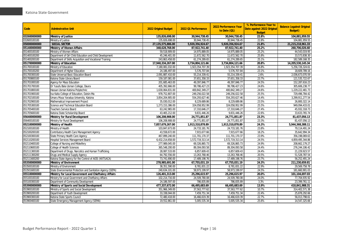| Code         | <b>Adminstrative Unit</b>                                   | 2022 Original Budget | 2022 Q1 Performance | 2022 Performance Year<br>to Date (Q1) | % Performance Year to<br>Date against 2022 Original<br><b>Budget</b> | <b>Balance (against Original</b><br><b>Budget</b> ) |
|--------------|-------------------------------------------------------------|----------------------|---------------------|---------------------------------------|----------------------------------------------------------------------|-----------------------------------------------------|
| 032600000000 | <b>Ministry of Justice</b>                                  | 135.826.698.00       | 30.944.738.45       | 30.944.738.45                         | 22.8%                                                                | 104,881,959.55                                      |
| 032600100100 | Ministry of Justice                                         | 135,826,698.00       | 30,944,738.45       | 30,944,738.45                         | 22.8%                                                                | 104,881,959.55                                      |
| 050000000000 | <b>SOCIAL SECTOR</b>                                        | 27,135,575,886.00    | 5,920,356,924.67    | 5,920,356,924.67                      | 21.8%                                                                | 21,215,218,961.33                                   |
| 051400000000 | <b>Ministry of Women Affairs</b>                            | 348.628.768.00       | 87.922.741.40       | 87.922.741.40                         | 25.2%                                                                | 260.706.026.60                                      |
| 051400100100 | Ministry of Women Affairs                                   | 59,518,909.00        | 14,975,889.05       | 14,975,889.05                         | 25.2%                                                                | 44,543,019.95                                       |
| 051400100200 | Department of Girl Child Education and Child Development    | 45,246,401.00        | 11,672,562.70       | 11,672,562.70                         | 25.8%                                                                | 33,573,838.30                                       |
| 051400200100 | Department of Skills Acquisition and Vocational Training    | 243,863,458.00       | 61,274,289.65       | 61,274,289.65                         | 25.1%                                                                | 182,589,168.35                                      |
| 051700000000 | Ministry of Education                                       | 17,940,334,267.00    | 3,734,804,121.66    | 3,734,804,121.66                      | 20.8%                                                                | 14,205,530,145.34                                   |
| 051700100100 | Ministry of Education                                       | 7,180,081,032.00     | 1,923,354,707.39    | 1,923,354,707.39                      | 26.8%                                                                | 5,256,726,324.61                                    |
| 051700100200 | Department of Higher Education                              | 24,186,497.00        | 5,576,707.84        | 5,576,707.84                          | 23.1%                                                                | 18,609,789.16                                       |
| 051700300100 | State Universal Basic Education Board                       | 2,091,887,410.00     | 55,214,339.41       | 55,214,339.41                         | 2.6%                                                                 | 2,036,673,070.59                                    |
| 051700800100 | Katsina State Library Board                                 | 159,187,081.00       | 37,651,358.33       | 37,651,358.33                         | 23.7%                                                                | 121,535,722.67                                      |
| 051701000100 | Agency for Mass Education                                   | 201,685,463.00       | 49,397,846.77       | 49,397,846.77                         | 24.5%                                                                | 152,287,616.23                                      |
| 051701700100 | Dr Yusufu Bala Usman College, Daura                         | 405,392,666.00       | 99,786,427.23       | 99,786,427.23                         | 24.6%                                                                | 305,606,238.77                                      |
| 051701800100 | Hassan Usman Katsina Polytechnic                            | 1,630,064,831.00     | 400,842,349.27      | 400,842,349.27                        | 24.6%                                                                | 1,229,222,481.73                                    |
| 051701900100 | Isa Kaita College of Education, Dutsin-Ma                   | 978,752,807.00       | 249,256,022.58      | 249,256,022.58                        | 25.5%                                                                | 729,496,784.42                                      |
| 051702100100 | Umaru Musa Yaradua University, Katsina                      | 3,854,204,905.00     | 554,293,627.46      | 554,293,627.46                        | 14.4%                                                                | 3,299,911,277.54                                    |
| 051702900100 | Mathematical Improvement Project                            | 35,030,012.00        | 8,229,689.86        | 8,229,689.86                          | 23.5%                                                                | 26,800,322.14                                       |
| 051705300100 | Science and Technical Education Board                       | 1,273,153,386.00     | 324,058,952.99      | 324,058,952.99                        | 25.5%                                                                | 949,094,433.01                                      |
| 051705400100 | Teachers Service Board                                      | 63,242,965.00        | 17,310,646.27       | 17,310,646.27                         | 27.4%                                                                | 45,932,318.73                                       |
| 051705600100 | Katsina State Scholarship Board                             | 43,465,212.00        | 9,831,446.26        | 9,831,446.26                          | 22.6%                                                                | 33,633,765.74                                       |
| 056400000000 | Ministry for Rural Development                              | 106,208,908.00       | 24,771,851.87       | 24,771,851.87                         | 23.3%                                                                | 81,437,056.13                                       |
| 056400100100 | Ministry for Rural Development                              | 106,208,908.00       | 24,771,851.87       | 24,771,851.87                         | 23.3%                                                                | 81.437.056.13                                       |
| 052100000000 | Ministry of Health                                          | 7,857,679,267.00     | 1,913,310,878.89    | 1,913,310,878.89                      | 24.3%                                                                | 5,944,368,388.11                                    |
| 052100100100 | Ministry of Health                                          | 103,847,673.00       | 24,733,181.76       | 24,733,181.76                         | 23.8%                                                                | 79,114,491.24                                       |
| 052100200100 | Contributory Health Care Management Agency                  | 43,558,672.00        | 7,915,677.66        | 7,915,677.66                          | 18.2%                                                                | 35,642,994.34                                       |
| 052100300100 | State Primary Health Care Agency                            | 467,899,240.00       | 111,701,170.37      | 111,701,170.37                        | 23.9%                                                                | 356,198,069.63                                      |
| 052110200100 | Hospital Services Management Board                          | 6,432,214,658.00     | 1,572,719,313.14    | 1,572,719,313.14                      | 24.5%                                                                | 4,859,495,344.86                                    |
| 052110400100 | College of Nursing and Midwifery                            | 277,989,045.00       | 69,326,865.73       | 69,326,865.73                         | 24.9%                                                                | 208,662,179.27                                      |
| 052110600100 | College of Health Sciences                                  | 365,548,200.00       | 89,304,093.58       | 89,304,093.58                         | 24.4%                                                                | 276,244,106.42                                      |
| 052111300100 | Department of Drugs, Narcotics and Human Trafficking        | 28,087,533.00        | 6,857,609.43        | 6,857,609.43                          | 24.4%                                                                | 21,229,923.57                                       |
| 052111300200 | Drugs and Medical Supply Agency                             | 64,792,556.00        | 13,263,768.46       | 13,263,768.46                         | 20.5%                                                                | 51,528,787.54                                       |
| 052111600200 | Katsina State Agency for the Control of AIDS (KATSACA)      | 73,741,690.00        | 17,489,198.76       | 17,489,198.76                         | 23.7%                                                                | 56,252,491.24                                       |
| 053500000000 | Ministry of Environment                                     | 278,985,691.00       | 67,755,031.19       | 67,755,031.19                         | 24.3%                                                                | 211,230,659.81                                      |
| 053500100100 | Ministry of Environment                                     | 38,351,590.00        | 8,781,831.22        | 8,781,831.22                          | 22.9%                                                                | 29,569,758.78                                       |
| 053501600100 | State Environmental Protection and Sanitation Agency (SEPA) | 240,634,101.00       | 58,973,199.97       | 58,973,199.97                         | 24.5%                                                                | 181,660,901.03                                      |
| 055100000000 | Ministry for Local Government and Chieftaincy Affairs       | 126,401,313.00       | 25,296,615.97       | 25,296,615.97                         | 20.0%                                                                | 101,104,697.03                                      |
| 055100100100 | Ministry for Local Government and Chieftaincy Affairs       | 102,214,716.00       | 24,509,780.08       | 24,509,780.08                         | 24.0%                                                                | 77,704,935.92                                       |
| 055100300100 | Department of Community Development                         | 24,186,597.00        | 786,835.89          | 786,835.89                            | 3.3%                                                                 | 23,399,761.11                                       |
| 053900000000 | Ministry of Sports and Social Development                   | 477,337,672.00       | 66,495,683.69       | 66,495,683.69                         | 13.9%                                                                | 410,841,988.31                                      |
| 053900100100 | Ministry of Sports and Social Development                   | 351,966,349.00       | 37,563,777.62       | 37,563,777.62                         | 10.7%                                                                | 314,402,571.38                                      |
| 053900200100 | Department of Youth Development                             | 33,338,044.00        | 7,459,751.34        | 7,459,751.34                          | 22.4%                                                                | 25,878,292.66                                       |
| 053900300100 | Katsina State Sports Council                                | 72,480,418.00        | 16,466,619.39       | 16,466,619.39                         | 22.7%                                                                | 56,013,798.61                                       |
| 053900400100 | State Emergency Management Agency (SEMA)                    | 19,552,861.00        | 5,005,535.34        | 5,005,535.34                          | 25.6%                                                                | 14,547,325.66                                       |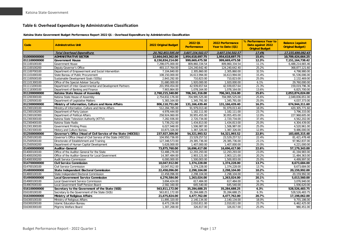#### **Table 6: Overhead Expenditure by Administrative Classification**

#### **Katsina State Government Budget Performance Report 2022 Q1 - Overhead Expenditure by Administrative Classification**

<span id="page-17-0"></span>

| Code         | <b>Adminstrative Unit</b>                                      | 2022 Original Budget | 2022 Q1<br><b>Performance</b> | 2022 Performance<br>Year to Date (Q1) | % Performance Year to<br>Date against 2022<br><b>Original Budget</b> | <b>Balance (against</b><br><b>Original Budget)</b> |
|--------------|----------------------------------------------------------------|----------------------|-------------------------------|---------------------------------------|----------------------------------------------------------------------|----------------------------------------------------|
|              | <b>Total Overhead Expenditure</b>                              | 20,762,853,595.00    | 3,607,154,502.57              | 3,607,154,502.57                      | 17.4%                                                                | 17,155,699,092.43                                  |
| 010000000000 | <b>ADMINISTRATIVE SECTOR</b>                                   | 12,664,043,362.00    | 1,954,618,697.75              | 1,954,618,697.75                      | 15.4%                                                                | 10,709,424,664.25                                  |
| 011100000000 | <b>Government House</b>                                        | 8,150,834,214.00     | 999,669,475.58                | 999,669,475.58                        | 12.3%                                                                | 7,151,164,738.42                                   |
| 011100100100 | <b>Government House</b>                                        | 7,298,075,000.00     | 809,860,334.54                | 809,860,334.54                        | 11.1%                                                                | 6,488,214,665.46                                   |
| 011100100200 | Deputy Governor's Office                                       | 493,117,764.00       | 124,240,642.40                | 124,240,642.40                        | 25.2%                                                                | 368,877,121.60                                     |
| 011100700100 | Department of Empowerment and Social Intervention              | 7,104,840.00         | 2,305,860.00                  | 2,305,860.00                          | 32.5%                                                                | 4,798,980.00                                       |
| 011101000100 | State Bureau of Public Procurement                             | 108,150,000.00       | 16,613,994.00                 | 16,613,994.00                         | 15.4%                                                                | 91,536,006.00                                      |
| 011100500100 | Sustainable Development Goals (SDGs)                           | 2,843,292.00         | 710,823.00                    | 710,823.00                            | 25.0%                                                                | 2,132,469.00                                       |
| 011101300100 | Office of the Special Adviser Security                         | 31,680,000.00        | 1,920,000.00                  | 1,920,000.00                          | 6.1%                                                                 | 29,760,000.00                                      |
| 011113200100 | Department of Inter-Governmental and Development Partners      | 201,959,454.00       | 42.939.657.64                 | 42.939.657.64                         | 21.3%                                                                | 159.019.796.36                                     |
| 011118300100 | Department of Banking and Finance                              | 7,903,864.00         | 1,078,164.00                  | 1,078,164.00                          | 13.6%                                                                | 6,825,700.00                                       |
| 011200000000 | Katsina State House of Assembly                                | 2,760,215,340.00     | 706,341,316.00                | 706,341,316.00                        | 25.6%                                                                | 2,053,874,024.00                                   |
| 011200300100 | Katsina State House of Assembly                                | 2,754,832,176.00     | 704,995,525.00                | 704,995,525.00                        | 25.6%                                                                | 2,049,836,651.00                                   |
| 011200500100 | Department of Legislative Matters                              | 5,383,164.00         | 1,345,791.00                  | 1,345,791.00                          | 25.0%                                                                | 4,037,373.00                                       |
| 012300000000 | Ministry of Information, Culture and Home Affairs              | 806,110,751.00       | 131, 166, 439. 40             | 131, 166, 439. 40                     | 16.3%                                                                | 674,944,311.60                                     |
| 012300100100 | Ministry of Information, Culture and Home Affairs              | 512,284,785.00       | 91,979,013.40                 | 91,979,013.40                         | 18.0%                                                                | 420,305,771.60                                     |
| 012300100200 | Department of Party Liaison                                    | 4,978,444.00         | 1,182,111.00                  | 1,182,111.00                          | 23.7%                                                                | 3,796,333.00                                       |
| 012300100300 | Department of Political Affairs                                | 258,924,060.00       | 30,955,455.00                 | 30,955,455.00                         | 12.0%                                                                | 227,968,605.00                                     |
| 012300300100 | Katsina State Television Authority (KTTV)                      | 7,282,936.00         | 2,720,734.00                  | 2,720,734.00                          | 37.4%                                                                | 4,562,202.00                                       |
| 012300400100 | Katsina State Radio                                            | 5,739,252.00         | 1,434,813.00                  | 1,434,813.00                          | 25.0%                                                                | 4,304,439.00                                       |
| 012301300100 | <b>Government Printing Press</b>                               | 6,027,948.00         | 1,506,987.00                  | 1.506.987.00                          | 25.0%                                                                | 4.520.961.00                                       |
| 012301500100 | History and Culture Bureau                                     | 10,873,326.00        | 1,387,326.00                  | 1,387,326.00                          | 12.8%                                                                | 9,486,000.00                                       |
| 012500000000 | Governor's Office (Head of Civil Service of the State (HOCSS)) | 237,927,309.00       | 54,321,993.52                 | 54,321,993.52                         | 22.8%                                                                | 183,605,315.48                                     |
| 012500100100 | Governor's Office (Head of Civil Service of the State (HOCSS)) | 104,950,736.00       | 23,529,257.52                 | 23,529,257.52                         | 22.4%                                                                | 81,421,478.48                                      |
| 012500500100 | Directorate of Establishment and Training                      | 127,348,573.00       | 29,385,736.00                 | 29,385,736.00                         | 23.1%                                                                | 97.962.837.00                                      |
| 012500500200 | Department of Human Capital Development                        | 5,628,000.00         | 1,407,000.00                  | 1,407,000.00                          | 25.0%                                                                | 4,221,000.00                                       |
| 014000000000 | <b>Auditor-General</b>                                         | 73,875,760.00        | 16,696,417.00                 | 16,696,417.00                         | 22.6%                                                                | 57,179,343.00                                      |
| 014000100100 | Office of the Auditor-General for the State                    | 53,488,276.00        | 12,293,293.00                 | 12,293,293.00                         | 23.0%                                                                | 41,194,983.00                                      |
| 014000200200 | Office of the Auditor-General for Local Government             | 14,387,484.00        | 2,903,121.00                  | 2,903,121.00                          | 20.2%                                                                | 11,484,363.00                                      |
| 014000300200 | <b>Audit Service Commission</b>                                | 6,000,000.00         | 1,500,003.00                  | 1,500,003.00                          | 25.0%                                                                | 4,499,997.00                                       |
| 014700000000 | <b>Civil Service Commission</b>                                | 10,047,912.00        | 1,374,228.00                  | 1,374,228.00                          | 13.7%                                                                | 8,673,684.00                                       |
| 014700100100 | Civil Service Commission                                       | 10,047,912.00        | 1,374,228.00                  | 1,374,228.00                          | 13.7%                                                                | 8,673,684.00                                       |
| 014800000000 | <b>State Independent Electoral Commission</b>                  | 22,458,096.00        | 2,298,104.00                  | 2,298,104.00                          | 10.2%                                                                | 20,159,992.00                                      |
| 014800100100 | State Independent Electoral Commission                         | 22,458,096.00        | 2,298,104.00                  | 2,298,104.00                          | 10.2%                                                                | 20,159,992.00                                      |
| 014900000000 | <b>Local Government Service Commission</b>                     | 6,276,584.00         | 1,263,024.00                  | 1,263,024.00                          | 20.1%                                                                | 5,013,560.00                                       |
| 014900100100 | Local Government Service Commission                            | 3,694,424.00         | 617,484.00                    | 617,484.00                            | 16.7%                                                                | 3,076,940.00                                       |
| 014903500100 | Local Government Staff Pension Board                           | 2,582,160.00         | 645,540.00                    | 645,540.00                            | 25.0%                                                                | 1,936,620.00                                       |
| 016100000000 | Secretary to the Government of the State (SGS)                 | 563,811,172.00       | 35,284,688.25                 | 35,284,688.25                         | 6.3%                                                                 | 528,526,483.75                                     |
| 016100100100 | Secretary to the Government of the State (SGS)                 | 563,811,172.00       | 35,284,688.25                 | 35,284,688.25                         | 6.3%                                                                 | 528,526,483.75                                     |
| 016300000000 | Ministry of Religious Affairs                                  | 21,675,824.00        | 4,477,762.00                  | 4,477,762.00                          | 20.7%                                                                | 17,198,062.00                                      |
| 016300100100 | Ministry of Religious Affairs                                  | 11,895,320.00        | 2,140,134.00                  | 2,140,134.00                          | 18.0%                                                                | 9,755,186.00                                       |
| 016300200100 | <b>Islamic Education Bureau</b>                                | 8,473,236.00         | 2,010,811.00                  | 2,010,811.00                          | 23.7%                                                                | 6,462,425.00                                       |
| 016300300100 | Pilgrims Welfare Board                                         | 1,307,268.00         | 326,817.00                    | 326,817.00                            | 25.0%                                                                | 980,451.00                                         |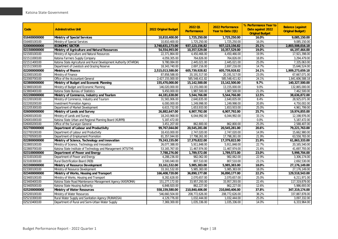|              |                                                                     |                      | 2022 01                           | 2022 Performance                  | % Performance Year to           | <b>Balance (against</b>           |
|--------------|---------------------------------------------------------------------|----------------------|-----------------------------------|-----------------------------------|---------------------------------|-----------------------------------|
| Code         | <b>Adminstrative Unit</b>                                           | 2022 Original Budget | <b>Performance</b>                | Year to Date (Q1)                 | Date against 2022               | <b>Original Budget)</b>           |
| 016400000000 | Ministry of Special Services                                        | 10,810,400.00        | 1,725,250.00                      | 1,725,250.00                      | <b>Original Budget</b><br>16.0% |                                   |
| 016400100100 | Ministry of Special Services                                        | 10,810,400.00        | 1,725,250.00                      | 1,725,250.00                      | 16.0%                           | 9,085,150.00<br>9,085,150.00      |
| 020000000000 | <b>ECONOMIC SECTOR</b>                                              |                      |                                   |                                   | 25.1%                           |                                   |
| 021500000000 | Ministry of Agriculture and Natural Resources                       | 3,740,631,173.00     | 937, 123, 156.82<br>10,357,529.00 | 937, 123, 156.82<br>10,357,529.00 | 19.0%                           | 2,803,508,016.18<br>44,197,464.00 |
|              |                                                                     | 54,554,993.00        |                                   |                                   |                                 |                                   |
| 021500100100 | Ministry of Agriculture and Natural Resources                       | 22,371,864.00        | 4,450,466.00                      | 4,450,466.00                      | 19.9%                           | 17,921,398.00                     |
| 021511000100 | Katsina Farmers Supply Company                                      | 4,059,305.00         | 764,826.00                        | 764,826.00                        | 18.8%                           | 3,294,479.00                      |
| 021511400100 | Katsina State Agricultural and Rural Development Authority (KTARDA) | 9,780,084.00         | 2,445,021.00                      | 2,445,021.00                      | 25.0%                           | 7,335,063.00                      |
| 021511500100 | Department of Livestock and Grazing Reserve                         | 18,343,740.00        | 2,697,216.00                      | 2,697,216.00                      | 14.7%                           | 15,646,524.00                     |
| 022000000000 | <b>Ministry of Finance</b>                                          | 2,515,013,588.00     | 605,739,928.82                    | 605,739,928.82                    | 24.1%                           | 1,909,273,659.18                  |
| 022000100100 | Ministry of Finance                                                 | 87,858,588.00        | 20,191,517.00                     | 20,191,517.00                     | 23.0%                           | 67,667,071.00                     |
| 022000700100 | Office of the Accountant-General                                    | 2,427,155,000.00     | 585,548,411.82                    | 585,548,411.82                    | 24.1%                           | 1,841,606,588.18                  |
| 023800000000 | Ministry of Budget and Economic Planning                            | 155,470,000.00       | 15,142,500.00                     | 15,142,500.00                     | 9.7%                            | 140,327,500.00                    |
| 023800100100 | Ministry of Budget and Economic Planning                            | 146,020,000.00       | 13,155,000.00                     | 13,155,000.00                     | 9.0%                            | 132,865,000.00                    |
| 023800400100 | Katsina State Bureau of Statistics                                  | 9,450,000.00         | 1,987,500.00                      | 1,987,500.00                      | 21.0%                           | 7,462,500.00                      |
| 022200000000 | Ministry of Commerce, Industry and Tourism                          | 44,181,638.00        | 5,544,766.00                      | 5,544,766.00                      | 12.5%                           | 38,636,872.00                     |
| 022200100100 | Ministry of Commerce, Industry and Tourism                          | 31,565,906.00        | 2,640,835.00                      | 2,640,835.00                      | 8.4%                            | 28,925,071.00                     |
| 022200200100 | <b>Investment Promotion Agency</b>                                  | 6,000,000.00         | 1,249,998.00                      | 1,249,998.00                      | 20.8%                           | 4,750,002.00                      |
| 022205300100 | Department of Market Development                                    | 6,615,732.00         | 1,653,933.00                      | 1,653,933.00                      | 25.0%                           | 4,961,799.00                      |
| 026000000000 | Ministry of Lands and Survey                                        | 26,882,647.00        | 6,907,792.00                      | 6,907,792.00                      | 25.7%                           | 19,974,855.00                     |
| 026000100100 | Ministry of Lands and Survey                                        | 18,243,968.00        | 6,044,992.00                      | 6,044,992.00                      | 33.1%                           | 12,198,976.00                     |
| 026001000100 | Katsina State Urban and Regional Planning Board (KURPB)             | 5,187,472.00         |                                   |                                   | 0.0%                            | 5,187,472.00                      |
| 026000200100 | Office of the Surveyor-General                                      | 3,451,207.00         | 862,800.00                        | 862,800.00                        | 25.0%                           | 2,588,407.00                      |
| 022700000000 | Department of Labour and Productivity                               | 99,767,044.00        | 20,545,281.00                     | 20,545,281.00                     | 20.6%                           | 79,221,763.00                     |
| 022700100100 | Department of Labour and Productivity                               | 18,410,000.00        | 2,747,020.00                      | 2,747,020.00                      | 14.9%                           | 15,662,980.00                     |
| 022700500100 | Department of Employment Promotion                                  | 81,357,044.00        | 17,798,261.00                     | 17,798,261.00                     | 21.9%                           | 63,558,783.00                     |
| 022800000000 | Ministry of Science, Technology and Innovation                      | 79,243,155.00        | 17,379,822.00                     | 17,379,822.00                     | 21.9%                           | 61,863,333.00                     |
| 022800100100 | Ministry of Science, Technology and Innovation                      | 26,077,388.00        | 5,911,848.00                      | 5,911,848.00                      | 22.7%                           | 20,165,540.00                     |
| 022800700100 | Katsina State Institute of Technology and Management (KTSITM)       | 53, 165, 767.00      | 11,467,974.00                     | 11,467,974.00                     | 21.6%                           | 41,697,793.00                     |
| 023100000000 | Department of Power and Energy                                      | 7,788,276.00         | 1,789,572.00                      | 1,789,572.00                      | 23.0%                           | 5,998,704.00                      |
| 023100100100 | Department of Power and Energy                                      | 4,288,236.00         | 982,062.00                        | 982,062.00                        | 22.9%                           | 3,306,174.00                      |
| 023100300100 | Rural Electrification Board (REB)                                   | 3,500,040.00         | 807,510.00                        | 807,510.00                        | 23.1%                           | 2,692,530.00                      |
| 023300000000 | Ministry of Resource Development                                    | 33,161,532.00        | 5,985,383.00                      | 5,985,383.00                      | 18.0%                           | 27,176,149.00                     |
| 023300100100 | Ministry of Resource Development                                    | 33, 161, 532.00      | 5,985,383.00                      | 5,985,383.00                      | 18.0%                           | 27,176,149.00                     |
| 023400000000 | Ministry of Works, Housing and Transport                            | 166,408,720.00       | 36,890,177.00                     | 36,890,177.00                     | 22.2%                           | 129,518,543.00                    |
| 023400100100 | Ministry of Works, Housing and Transport                            | 8,282,628.00         | 2,070,657.00                      | 2,070,657.00                      | 25.0%                           | 6,211,971.00                      |
| 023400400100 | Katsina State Road Maintenance Management Agency (KASROMA)          | 151,277,172.00       | 33,957,293.00                     | 33,957,293.00                     | 22.4%                           | 117,319,879.00                    |
| 023400500100 | Katsina State Housing Authority                                     | 6,848,920.00         | 862,227.00                        | 862,227.00                        | 12.6%                           | 5,986,693.00                      |
| 025200000000 | Ministry of Water Resources                                         | 558,159,580.00       | 210,840,406.00                    | 210,840,406.00                    | 37.8%                           | 347,319,174.00                    |
| 025200100100 | Ministry of Water Resources                                         | 546,660,504.00       | 208,772,626.00                    | 208,772,626.00                    | 38.2%                           | 337,887,878.00                    |
| 025210300100 | Rural Water Supply and Sanitation Agency (RUWASSA)                  | 4,129,776.00         | 1,032,444.00                      | 1,032,444.00                      | 25.0%                           | 3,097,332.00                      |
| 025210400100 | Department of Rural and Semi-Urban Water Supply                     | 7.369.300.00         | 1,035,336.00                      | 1,035,336.00                      | 14.0%                           | 6,333,964.00                      |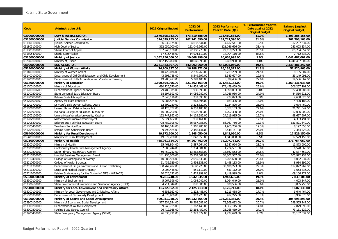|              |                                                             |                      | 2022 01            | 2022 Performance  | % Performance Year to                       | <b>Balance (against</b> |
|--------------|-------------------------------------------------------------|----------------------|--------------------|-------------------|---------------------------------------------|-------------------------|
| Code         | <b>Adminstrative Unit</b>                                   | 2022 Original Budget | <b>Performance</b> | Year to Date (Q1) | Date against 2022<br><b>Original Budget</b> | <b>Original Budget)</b> |
| 030000000000 | <b>LAW &amp; JUSTICE SECTOR</b>                             | 1,576,695,753.00     | 173,410,588.00     | 173,410,588.00    | 11.0%                                       | 1,403,285,165.00        |
| 031800000000 | <b>Judicial Service Commission</b>                          | 524,539,753.00       | 162,741,590.00     | 162,741,590.00    | 31.0%                                       | 361,798,163.00          |
| 031801100100 | Judicial Service Commission                                 | 36,930,175.00        | 4,632,541.00       | 4,632,541.00      | 12.5%                                       | 32,297,634.00           |
| 031805100100 | <b>High Court of Justice</b>                                | 362.050.000.00       | 121,046,666.00     | 121.046.666.00    | 33.4%                                       | 241.003.334.00          |
| 031805300100 | Sharia Court of Appeal                                      | 107,943,130.00       | 22,158,273.00      | 22,158,273.00     | 20.5%                                       | 85,784,857.00           |
| 031805400100 | Sharia Commission                                           | 17,616,448.00        | 14,904,110.00      | 14,904,110.00     | 84.6%                                       | 2,712,338.00            |
| 032600000000 | Ministry of Justice                                         | 1,052,156,000.00     | 10,668,998.00      | 10,668,998.00     | 1.0%                                        | 1,041,487,002.00        |
| 032600100100 | Ministry of Justice                                         | 1,052,156,000.00     | 10,668,998.00      | 10,668,998.00     | 1.0%                                        | 1,041,487,002.00        |
| 050000000000 | <b>SOCIAL SECTOR</b>                                        | 2,781,483,307.00     | 542.002.060.00     | 542.002.060.00    | 19.5%                                       | 2,239,481,247.00        |
| 051400000000 | Ministry of Women Affairs                                   | 74,109,337.00        | 16,188,372.00      | 16,188,372.00     | 21.8%                                       | 57,920,965.00           |
| 051400100100 | Ministry of Women Affairs                                   | 10,425,076.00        | 2,239,269.00       | 2,239,269.00      | 21.5%                                       | 8,185,807.00            |
| 051400100200 | Department of Girl Child Education and Child Development    | 43,698,788.00        | 8,549,697.00       | 8,549,697.00      | 19.6%                                       | 35,149,091.00           |
| 051400200100 | Department of Skills Acquisition and Vocational Training    | 19,985,473.00        | 5,399,406.00       | 5,399,406.00      | 27.0%                                       | 14,586,067.00           |
| 051700000000 | Ministry of Education                                       | 1,690,594,096.00     | 321,462,163.00     | 321,462,163.00    | 19.0%                                       | 1,369,131,933.00        |
| 051700100100 | Ministry of Education                                       | 680,726,570.00       | 174,459,469.00     | 174,459,469.00    | 25.6%                                       | 506,267,101.00          |
| 051700100200 | Department of Higher Education                              | 29,486,375.00        | 1,998,093.00       | 1,998,093.00      | 6.8%                                        | 27,488,282.00           |
| 051700300100 | State Universal Basic Education Board                       | 58,597,591.00        | 14,086,980.00      | 14,086,980.00     | 24.0%                                       | 44,510,611.00           |
| 051700800100 | Katsina State Library Board                                 | 2,845,116.00         | 237,093.00         | 237,093.00        | 8.3%                                        | 2,608,023.00            |
| 051701000100 | Agency for Mass Education                                   | 5,083,584.00         | 663,396.00         | 663,396.00        | 13.0%                                       | 4,420,188.00            |
| 051701700100 | Dr Yusufu Bala Usman College, Daura                         | 12,899,280.00        | 3,224,820.00       | 3,224,820.00      | 25.0%                                       | 9,674,460.00            |
| 051701800100 | Hassan Usman Katsina Polytechnic                            | 28,128,732.00        | 6,357,183.00       | 6,357,183.00      | 22.6%                                       | 21,771,549.00           |
| 051701900100 | Isa Kaita College of Education, Dutsin-Ma                   | 16,009,200.00        | 4,002,300.00       | 4,002,300.00      | 25.0%                                       | 12,006,900.00           |
| 051702100100 | Umaru Musa Yaradua University, Katsina                      | 122.747.892.00       | 24,119,985.00      | 24,119,985.00     | 19.7%                                       | 98,627,907.00           |
| 051702900100 | Mathematical Improvement Project                            | 5,324,652.00         | 931,161.00         | 931,161.00        | 17.5%                                       | 4,393,491.00            |
| 051705300100 | Science and Technical Education Board                       | 708,789,396.00       | 86,967,756.00      | 86, 967, 756.00   | 12.3%                                       | 621,821,640.00          |
| 051705400100 | Teachers Service Board                                      | 10,163,144.00        | 1,965,786.00       | 1,965,786.00      | 19.3%                                       | 8,197,358.00            |
| 051705600100 | Katsina State Scholarship Board                             | 9,792,564.00         | 2,448,141.00       | 2,448,141.00      | 25.0%                                       | 7,344,423.00            |
| 056400000000 | Ministry for Rural Development                              | 19,372,200.00        | 1,843,050.00       | 1,843,050.00      | 9.5%                                        | 17,529,150.00           |
| 056400100100 | Ministry for Rural Development                              | 19,372,200.00        | 1,843,050.00       | 1,843,050.00      | 9.5%                                        | 17,529,150.00           |
| 052100000000 | Ministry of Health                                          | 465,961,824.00       | 94,207,762.00      | 94,207,762.00     | 20.2%                                       | 371,754,062.00          |
| 052100100100 | Ministry of Health                                          | 15,461,864.00        | 3,587,964.00       | 3,587,964.00      | 23.2%                                       | 11,873,900.00           |
| 052100200100 | Contributory Health Care Management Agency                  | 7.805.244.00         | 1,234,581.00       | 1,234,581.00      | 15.8%                                       | 6,570,663.00            |
| 052100300100 | State Primary Health Care Agency                            | 56,450,212.00        | 13,862,553.00      | 13,862,553.00     | 24.6%                                       | 42,587,659.00           |
| 052110200100 | Hospital Services Management Board                          | 141,230,300.00       | 35,307,567.00      | 35,307,567.00     | 25.0%                                       | 105,922,733.00          |
| 052110400100 | College of Nursing and Midwifery                            | 10,088,564.00        | 2,055,630.00       | 2,055,630.00      | 20.4%                                       | 8,032,934.00            |
| 052110600100 | College of Health Sciences                                  | 11,432,529.00        | 2,498,133.00       | 2,498,133.00      | 21.9%                                       | 8,934,396.00            |
| 052111300100 | Department of Drugs, Narcotics and Human Trafficking        | 150,762,492.00       | 33,690,223.00      | 33,690,223.00     | 22.3%                                       | 117,072,269.00          |
| 052111300200 | Drugs and Medical Supply Agency                             | 2,204,448.00         | 551,112.00         | 551,112.00        | 25.0%                                       | 1,653,336.00            |
| 052111600200 | Katsina State Agency for the Control of AIDS (KATSACA)      | 70,526,171.00        | 1,419,999.00       | 1,419,999.00      | 2.0%                                        | 69,106,172.00           |
| 053500000000 | Ministry of Environment                                     | 9,781,740.00         | 1,942,635.00       | 1,942,635.00      | 19.9%                                       | 7,839,105.00            |
| 053500100100 | Ministry of Environment                                     | 5,067,396.00         | 1,064,049.00       | 1,064,049.00      | 21.0%                                       | 4,003,347.00            |
| 053501600100 | State Environmental Protection and Sanitation Agency (SEPA) | 4,714,344.00         | 878,586.00         | 878,586.00        | 18.6%                                       | 3,835,758.00            |
| 055100000000 | Ministry for Local Government and Chieftaincy Affairs       | 11,732,852.00        | 2,125,713.00       | 2,125,713.00      | 18.1%                                       | 9,607,139.00            |
| 055100100100 | Ministry for Local Government and Chieftaincy Affairs       | 6,853,952.00         | 1,213,488.00       | 1,213,488.00      | 17.7%                                       | 5,640,464.00            |
| 055100300100 | Department of Community Development                         | 4,878,900.00         | 912,225.00         | 912,225.00        | 18.7%                                       | 3,966,675.00            |
| 053900000000 | Ministry of Sports and Social Development                   | 509,931,258.00       | 104,232,365.00     | 104,232,365.00    | 20.4%                                       | 405,698,893.00          |
| 053900100100 | Ministry of Sports and Social Development                   | 377,934,324.00       | 78,369,082.00      | 78,369,082.00     | 20.7%                                       | 299,565,242.00          |
| 053900200100 | Department of Youth Development                             | 9,246,735.00         | 1,367,145.00       | 1,367,145.00      | 14.8%                                       | 7,879,590.00            |
| 053900300100 | Katsina State Sports Council                                | 96,419,988.00        | 23,268,459.00      | 23,268,459.00     | 24.1%                                       | 73, 151, 529.00         |
| 053900400100 | State Emergency Management Agency (SEMA)                    | 26,330,211.00        | 1,227,679.00       | 1,227,679.00      | 4.7%                                        | 25,102,532.00           |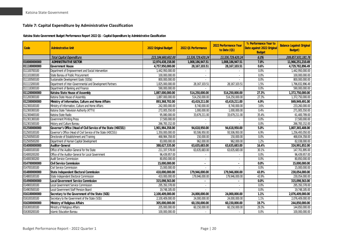### **Table 7: Capital Expenditure by Administrative Classification**

**Katsina State Government Budget Performance Report 2022 Q1 - Capital Expenditure by Administrative Classification**

<span id="page-20-0"></span>

| Code         | <b>Adminstrative Unit</b>                                      | 2022 Original Budget | 2022 Q1 Performance      | 2022 Performance Year<br>to Date (Q1) | % Performance Year to<br>Date against 2022 Original<br><b>Budget</b> | <b>Balance (against Original</b><br><b>Budget</b> ) |
|--------------|----------------------------------------------------------------|----------------------|--------------------------|---------------------------------------|----------------------------------------------------------------------|-----------------------------------------------------|
|              | <b>Total Capital Expenditure</b>                               | 223,184,660,602.00   | 13,326,729,420.24        | 13,326,729,420.24                     | 6.0%                                                                 | 209,857,931,181.76                                  |
| 010000000000 | <b>ADMINISTRATIVE SECTOR</b>                                   | 12,974,438,158.00    | 1,008,186,947.51         | 1,008,186,947.51                      | 7.8%                                                                 | 11,966,251,210.49                                   |
| 011100000000 | <b>Covernment House</b>                                        | 4,757,950,000.00     | 28, 167, 103.51          | 28, 167, 103.51                       | 0.6%                                                                 | 4,729,782,896.49                                    |
| 011100700100 | Department of Empowerment and Social Intervention              | 1,442,950,000.00     |                          |                                       | 0.0%                                                                 | 1,442,950,000.00                                    |
| 011101000100 | State Bureau of Public Procurement                             | 100,000,000.00       |                          |                                       | 0.0%                                                                 | 100,000,000.00                                      |
| 011100500100 | Sustainable Development Goals (SDGs)                           | 800,000,000.00       | $\overline{a}$           |                                       | 0.0%                                                                 | 800,000,000.00                                      |
| 011113200100 | Department of Inter-Governmental and Development Partners      | 1,825,000,000.00     | 28, 167, 103.51          | 28, 167, 103.51                       | 1.5%                                                                 | 1,796,832,896.49                                    |
| 011118300100 | Department of Banking and Finance                              | 590,000,000.00       |                          |                                       | 0.0%                                                                 | 590,000,000.00                                      |
| 011200000000 | Katsina State House of Assembly                                | 1,887,000,000.00     | 514,250,000.00           | 514,250,000.00                        | 27.3%                                                                | 1,372,750,000.00                                    |
| 011200300100 | Katsina State House of Assembly                                | 1.887.000.000.00     | 514,250,000.00           | 514,250,000.00                        | 27.3%                                                                | 1,372,750,000.00                                    |
| 012300000000 | Ministry of Information, Culture and Home Affairs              | 893,368,702.00       | 43,419,211.00            | 43,419,211.00                         | 4.9%                                                                 | 849,949,491.00                                      |
| 012300100100 | Ministry of Information, Culture and Home Affairs              | 242,000,000.00       | 8,740,000.00             | 8,740,000.00                          | 3.6%                                                                 | 233,260,000.00                                      |
| 012300300100 | Katsina State Television Authority (KTTV)                      | 272,005,550.00       | 1,000,000.00             | 1,000,000.00                          | 0.4%                                                                 | 271,005,550.00                                      |
| 012300400100 | Katsina State Radio                                            | 95,080,000.00        | 33,679,211.00            | 33,679,211.00                         | 35.4%                                                                | 61,400,789.00                                       |
| 012301300100 | <b>Government Printing Press</b>                               | 17,500,000.00        |                          |                                       | 0.0%                                                                 | 17,500,000.00                                       |
| 012301500100 | History and Culture Bureau                                     | 266,783,152.00       |                          |                                       | 0.0%                                                                 | 266,783,152.00                                      |
| 012500000000 | Governor's Office (Head of Civil Service of the State (HOCSS)) | 1,901,984,358.00     | 94,618,950.00            | 94,618,950.00                         | 5.0%                                                                 | 1,807,365,408.00                                    |
| 012500100100 | Governor's Office (Head of Civil Service of the State (HOCSS)) | 1.350.000.000.00     | 93.506.950.00            | 93.506.950.00                         | 6.9%                                                                 | 1.256.493.050.00                                    |
| 012500500100 | Directorate of Establishment and Training                      | 468,984,358.00       | 150,000.00               | 150,000.00                            | 0.0%                                                                 | 468,834,358.00                                      |
| 012500500200 | Department of Human Capital Development                        | 83,000,000.00        | 962,000.00               | 962,000.00                            | 1.2%                                                                 | 82,038,000.00                                       |
| 014000000000 | <b>Auditor-General</b>                                         | 388,627,535.00       | 63,635,683.00            | 63,635,683.00                         | 16.4%                                                                | 324,991,852.00                                      |
| 014000100100 | Office of the Auditor-General for the State                    | 211,337,578.00       | 63,635,683.00            | 63,635,683.00                         | 30.1%                                                                | 147,701,895.00                                      |
| 014000200200 | Office of the Auditor-General for Local Government             | 96,439,957.00        |                          |                                       | 0.0%                                                                 | 96,439,957.00                                       |
| 014000300200 | <b>Audit Service Commission</b>                                | 80,850,000.00        | $\overline{a}$           |                                       | 0.0%                                                                 | 80,850,000.00                                       |
| 014700000000 | <b>Civil Service Commission</b>                                | 15,000,000.00        |                          |                                       | 0.0%                                                                 | 15,000,000.00                                       |
| 014700100100 | <b>Civil Service Commission</b>                                | 15,000,000.00        |                          |                                       | 0.0%                                                                 | 15,000,000.00                                       |
| 014800000000 | <b>State Independent Electoral Commission</b>                  | 410,000,000.00       | 179,946,000.00           | 179,946,000.00                        | 43.9%                                                                | 230,054,000.00                                      |
| 014800100100 | State Independent Electoral Commission                         | 410,000,000.00       | 179,946,000.00           | 179,946,000.00                        | 43.9%                                                                | 230,054,000.00                                      |
| 014900000000 | <b>Local Covernment Service Commission</b>                     | 315,098,563.00       |                          |                                       | 0.0%                                                                 | 315,098,563.00                                      |
| 014900100100 | Local Government Service Commission                            | 295,350,378.00       | $\overline{\phantom{a}}$ |                                       | 0.0%                                                                 | 295,350,378.00                                      |
| 014903500100 | Local Government Staff Pension Board                           | 19,748,185.00        |                          |                                       | 0.0%                                                                 | 19,748,185.00                                       |
| 016100000000 | Secretary to the Government of the State (SGS)                 | 2,100,409,000.00     | 24,000,000.00            | 24,000,000.00                         | 1.1%                                                                 | 2,076,409,000.00                                    |
| 016100100100 | Secretary to the Government of the State (SGS)                 | 2,100,409,000.00     | 24,000,000.00            | 24,000,000.00                         | 1.1%                                                                 | 2,076,409,000.00                                    |
| 016300000000 | Ministry of Religious Affairs                                  | 305,000,000.00       | 60,150,000.00            | 60,150,000.00                         | 19.7%                                                                | 244,850,000.00                                      |
| 016300100100 | Ministry of Religious Affairs                                  | 205,000,000.00       | 60,150,000.00            | 60,150,000.00                         | 29.3%                                                                | 144,850,000.00                                      |
| 016300200100 | <b>Islamic Education Bureau</b>                                | 100,000,000.00       | $\overline{\phantom{a}}$ |                                       | 0.0%                                                                 | 100,000,000.00                                      |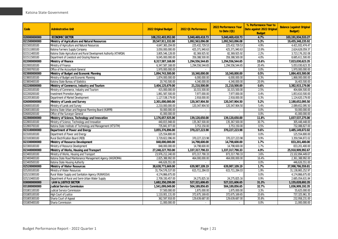| Code         | <b>Adminstrative Unit</b>                                           | 2022 Original Budget | 2022 Q1 Performance         | 2022 Performance Year<br>to Date (Q1) | % Performance Year to<br>Date against 2022 Original<br><b>Budget</b> | <b>Balance (against Original</b><br><b>Budget</b> ) |
|--------------|---------------------------------------------------------------------|----------------------|-----------------------------|---------------------------------------|----------------------------------------------------------------------|-----------------------------------------------------|
| 020000000000 | <b>ECONOMIC SECTOR</b>                                              | 108,232,403,952.00   | 5,040,469,418.73            | 5,040,469,418.73                      | 4.7%                                                                 | 103, 191, 934, 533. 27                              |
| 021500000000 | Ministry of Agriculture and Natural Resources                       | 20,547,911,332.00    | 1,092,563,096.08            | 1,092,563,096.08                      | 5.3%                                                                 | 19,455,348,235.92                                   |
| 021500100100 | Ministry of Agriculture and Natural Resources                       | 4,647,365,204.00     | 225,432,729.53              | 225,432,729.53                        | 4.9%                                                                 | 4,421,932,474.47                                    |
| 021511000100 | Katsina Farmers Supply Company                                      | 3,050,000,000.00     | 425,371,940.63              | 425,371,940.63                        | 13.9%                                                                | 2,624,628,059.37                                    |
| 021511400100 | Katsina State Agricultural and Rural Development Authority (KTARDA) | 3,805,546,128.00     | 82,369,925.92               | 82,369,925.92                         | 2.2%                                                                 | 3,723,176,202.08                                    |
| 021511500100 | Department of Livestock and Grazing Reserve                         | 9,045,000,000.00     | 359,388,500.00              | 359,388,500.00                        | 4.0%                                                                 | 8,685,611,500.00                                    |
| 022000000000 | Ministry of Finance                                                 | 8,317,587,168.00     | 1,294,556,544.65            | 1,294,556,544.65                      | 15.6%                                                                | 7,023,030,623.35                                    |
| 022000100100 | Ministry of Finance                                                 | 6,347,587,168.00     | 1,294,556,544.65            | 1,294,556,544.65                      | 20.4%                                                                | 5,053,030,623.35                                    |
| 022000700100 | Office of the Accountant-General                                    | 1,970,000,000.00     |                             |                                       | 0.0%                                                                 | 1,970,000,000.00                                    |
| 023800000000 | Ministry of Budget and Economic Planning                            | 1,894,743,500.00     | 10,340,000.00               | 10,340,000.00                         | 0.5%                                                                 | 1,884,403,500.00                                    |
| 023800100100 | Ministry of Budget and Economic Planning                            | 1,874,000,000.00     | 6,000,000.00                | 6,000,000.00                          | 0.3%                                                                 | 1,868,000,000.00                                    |
| 023800400100 | Katsina State Bureau of Statistics                                  | 20,743,500.00        | 4,340,000.00                | 4,340,000.00                          | 20.9%                                                                | 16,403,500.00                                       |
| 022200000000 | Ministry of Commerce, Industry and Tourism                          | 3,404,125,679.00     | 21,210,500.00               | 21,210,500.00                         | 0.6%                                                                 | 3,382,915,179.00                                    |
| 022200100100 | Ministry of Commerce, Industry and Tourism                          | 415,000,000.00       | 10,315,500.00               | 10,315,500.00                         | 2.5%                                                                 | 404,684,500.00                                      |
| 022200200100 | <b>Investment Promotion Agency</b>                                  | 1,861,587,500.00     | 7,977,000.00                | 7,977,000.00                          | 0.4%                                                                 | 1,853,610,500.00                                    |
| 022205300100 | Department of Market Development                                    | 1,127,538,179.00     | 2,918,000.00                | 2,918,000.00                          | 0.3%                                                                 | 1,124,620,179.00                                    |
| 026000000000 | Ministry of Lands and Survey                                        | 2,301,000,000.00     | 120,347,904.50              | 120,347,904.50                        | 5.2%                                                                 | 2,180,652,095.50                                    |
| 026000100100 | Ministry of Lands and Survey                                        | 2,210,000,000.00     | 120,347,904.50              | 120,347,904.50                        | 5.4%                                                                 | 2,089,652,095.50                                    |
| 026001000100 | Katsina State Urban and Regional Planning Board (KURPB)             | 50,000,000.00        |                             |                                       | 0.0%                                                                 | 50,000,000.00                                       |
| 026000200100 | Office of the Surveyor-General                                      | 41,000,000.00        | $\mathcal{L}_{\mathcal{A}}$ | $\sim$                                | 0.0%                                                                 | 41,000,000.00                                       |
| 022800000000 | Ministry of Science, Technology and Innovation                      | 1,176,657,925.00     | 139,120,650.00              | 139,120,650.00                        | 11.8%                                                                | 1,037,537,275.00                                    |
| 022800100100 | Ministry of Science, Technology and Innovation                      | 440,815,948.00       | 135,367,500.00              | 135,367,500.00                        | 30.7%                                                                | 305,448,448.00                                      |
| 022800700100 | Katsina State Institute of Technology and Management (KTSITM)       | 735,841,977.00       | 3,753,150.00                | 3,753,150.00                          | 0.5%                                                                 | 732,088,827.00                                      |
| 023100000000 | Department of Power and Energy                                      | 3,855,376,896.00     | 370,227,223.98              | 370,227,223.98                        | 9.6%                                                                 | 3,485,149,672.02                                    |
| 023100100100 | Department of Power and Energy                                      | 125.554.800.00       |                             |                                       | 0.0%                                                                 | 125,554,800.00                                      |
| 023100300100 | Rural Electrification Board (REB)                                   | 3,729,822,096.00     | 370,227,223.98              | 370, 227, 223.98                      | 9.9%                                                                 | 3,359,594,872.02                                    |
| 023300000000 | Ministry of Resource Development                                    | 848,000,000.00       | 14,798,600.00               | 14,798,600.00                         | 1.7%                                                                 | 833,201,400.00                                      |
| 023300100100 | Ministry of Resource Development                                    | 848,000,000.00       | 14,798,600.00               | 14,798,600.00                         | 1.7%                                                                 | 833,201,400.00                                      |
| 023400000000 | Ministry of Works, Housing and Transport                            | 27,248,227,783.00    | 1,337,317,790.33            | 1,337,317,790.33                      | 4.9%                                                                 | 25,910,909,992.67                                   |
| 023400100100 | Ministry of Works, Housing and Transport                            | 23,976,212,240.00    | 873,317,790.33              | 873,317,790.33                        | 3.6%                                                                 | 23, 102, 894, 449.67                                |
| 023400400100 | Katsina State Road Maintenance Management Agency (KASROMA)          | 2,825,388,992.00     | 464,000,000.00              | 464,000,000.00                        | 16.4%                                                                | 2,361,388,992.00                                    |
| 023400500100 | Katsina State Housing Authority                                     | 446,626,551.00       |                             |                                       | 0.0%                                                                 | 446,626,551.00                                      |
| 025200000000 | Ministry of Water Resources                                         | 38,638,773,669.00    | 639,987,109.19              | 639,987,109.19                        | 1.7%                                                                 | 37,998,786,559.81                                   |
| 025200100100 | Ministry of Water Resources                                         | 31,754,576,537.00    | 615,711,284.03              | 615,711,284.03                        | 1.9%                                                                 | 31, 138, 865, 252. 97                               |
| 025210300100 | Rural Water Supply and Sanitation Agency (RUWASSA)                  | 4,174,866,675.00     |                             |                                       | 0.0%                                                                 | 4,174,866,675.00                                    |
| 025210400100 | Department of Rural and Semi-Urban Water Supply                     | 2,709,330,457.00     | 24,275,825.16               | 24,275,825.16                         | 0.9%                                                                 | 2,685,054,631.84                                    |
| 030000000000 | <b>LAW &amp; JUSTICE SECTOR</b>                                     | 1,682,350,299.00     | 527,321,606.65              | 527,321,606.65                        | 31.3%                                                                | 1,155,028,692.35                                    |
| 031800000000 | <b>Judicial Service Commission</b>                                  | 1,541,099,049.00     | 504,189,856.65              | 504,189,856.65                        | 32.7%                                                                | 1,036,909,192.35                                    |
| 031801100100 | Judicial Service Commission                                         | 57,500,000.00        | 1,875,000.00                | 1,875,000.00                          | 3.3%                                                                 | 55,625,000.00                                       |
| 031805100100 | High Court of Justice                                               | 1,110,001,131.00     | 372,675,169.65              | 372,675,169.65                        | 33.6%                                                                | 737, 325, 961.35                                    |
| 031805300100 | Sharia Court of Appeal                                              | 362,597,918.00       | 129,639,687.00              | 129,639,687.00                        | 35.8%                                                                | 232,958,231.00                                      |
| 031805400100 | Sharia Commission                                                   | 11,000,000.00        | $\sim$                      | $\sim$                                | 0.0%                                                                 | 11,000,000.00                                       |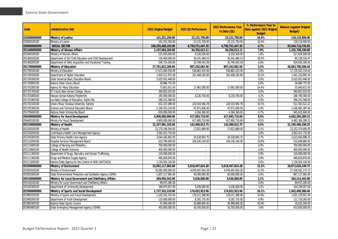| Code         | <b>Adminstrative Unit</b>                                   | 2022 Original Budget | 2022 Q1 Performance | 2022 Performance Year<br>to Date (Q1) | % Performance Year to<br>Date against 2022 Original<br><b>Budget</b> | <b>Balance (against Original</b><br><b>Budget</b> ) |
|--------------|-------------------------------------------------------------|----------------------|---------------------|---------------------------------------|----------------------------------------------------------------------|-----------------------------------------------------|
| 032600000000 | <b>Ministry of Justice</b>                                  | 141,251,250.00       | 23,131,750.00       | 23,131,750.00                         | 16.4%                                                                | 118,119,500.00                                      |
| 032600100100 | Ministry of Justice                                         | 141,251,250.00       | 23,131,750.00       | 23,131,750.00                         | 16.4%                                                                | 118,119,500.00                                      |
| 050000000000 | <b>SOCIAL SECTOR</b>                                        | 100,295,468,193.00   | 6,750,751,447.35    | 6,750,751,447.35                      | 6.7%                                                                 | 93,544,716,745.65                                   |
| 051400000000 | <b>Ministry of Women Affairs</b>                            | 1,197,064,204.00     | 94,356,013.11       | 94,356,013.11                         | 7.9%                                                                 | 1,102,708,190.89                                    |
| 051400100100 | Ministry of Women Affairs                                   | 525,950,000.00       | 8,320,500.00        | 8,320,500.00                          | 1.6%                                                                 | 517.629.500.00                                      |
| 051400100200 | Department of Girl Child Education and Child Development    | 130,400,000.00       | 50,241,469.53       | 50,241,469.53                         | 38.5%                                                                | 80,158,530.47                                       |
| 051400200100 | Department of Skills Acquisition and Vocational Training    | 540,714,204.00       | 35,794,043.58       | 35,794,043.58                         | 6.6%                                                                 | 504,920,160.42                                      |
| 051700000000 | Ministry of Education                                       | 27,761,022,269.00    | 897,242,062.56      | 897,242,062.56                        | 3.2%                                                                 | 26,863,780,206.44                                   |
| 051700100100 | Ministry of Education                                       | 17,672,404,550.00    | 536,862,433.56      | 536,862,433.56                        | 3.0%                                                                 | 17, 135, 542, 116.44                                |
| 051700100200 | Department of Higher Education                              | 1,602,511,971.00     | 161,408,165.66      | 161,408,165.66                        | 10.1%                                                                | 1,441,103,805.34                                    |
| 051700300100 | State Universal Basic Education Board                       | 5,025,052,448.00     |                     |                                       | 0.0%                                                                 | 5,025,052,448.00                                    |
| 051700800100 | Katsina State Library Board                                 | 58,886,755.00        | ÷                   |                                       | 0.0%                                                                 | 58,886,755.00                                       |
| 051701000100 | Agency for Mass Education                                   | 73,601,631.00        | 17,961,000.00       | 17,961,000.00                         | 24.4%                                                                | 55,640,631.00                                       |
| 051701700100 | Dr Yusufu Bala Usman College, Daura                         | 360,852,033.00       | ÷.                  |                                       | 0.0%                                                                 | 360,852,033.00                                      |
| 051701800100 | Hassan Usman Katsina Polytechnic                            | 195,000,000.00       | 8,230,700.00        | 8,230,700.00                          | 4.2%                                                                 | 186,769,300.00                                      |
| 051701900100 | Isa Kaita College of Education, Dutsin-Ma                   | 296,252,568.00       |                     |                                       | 0.0%                                                                 | 296,252,568.00                                      |
| 051702100100 | Umaru Musa Yaradua University, Katsina                      | 632,107,089.00       | 120,543,566.78      | 120,543,566.78                        | 19.1%                                                                | 511,563,522.22                                      |
| 051705300100 | Science and Technical Education Board                       | 1,194,353,224.00     | 47,871,836.56       | 47,871,836.56                         | 4.0%                                                                 | 1,146,481,387.44                                    |
| 051705600100 | Katsina State Scholarship Board                             | 650,000,000.00       | 4,364,360.00        | 4,364,360.00                          | 0.7%                                                                 | 645,635,640.00                                      |
| 056400000000 | Ministry for Rural Development                              | 4,900,000,000.00     | 417,695,710.69      | 417,695,710.69                        | 8.5%                                                                 | 4,482,304,289.31                                    |
| 056400100100 | Ministry for Rural Development                              | 4,900,000,000.00     | 417,695,710.69      | 417,695,710.69                        | 8.5%                                                                 | 4,482,304,289.31                                    |
| 052100000000 | Ministry of Health                                          | 31,337,981,103.00    | 142,490,912.75      | 142,490,912.75                        | 0.5%                                                                 | 31,195,490,190.25                                   |
| 052100100100 | Ministry of Health                                          | 21,270,196,564.00    | 17,821,869.00       | 17,821,869.00                         | 0.1%                                                                 | 21,252,374,695.00                                   |
| 052100200100 | Contributory Health Care Management Agency                  | 3,562,415,735.00     |                     |                                       | 0.0%                                                                 | 3,562,415,735.00                                    |
| 052100300100 | State Primary Health Care Agency                            | 3,044,185,802.00     | 20,528,903.75       | 20,528,903.75                         | 0.7%                                                                 | 3,023,656,898.25                                    |
| 052110200100 | Hospital Services Management Board                          | 619,790,000.00       | 104,140,140.00      | 104,140,140.00                        | 16.8%                                                                | 515,649,860.00                                      |
| 052110400100 | College of Nursing and Midwifery                            | 700,000,000.00       |                     |                                       | 0.0%                                                                 | 700,000,000.00                                      |
| 052110600100 | College of Health Sciences                                  | 400,000,000.00       |                     |                                       | 0.0%                                                                 | 400,000,000.00                                      |
| 052111300100 | Department of Drugs, Narcotics and Human Trafficking        | 120,000,000.00       | $\sim$              | $\sim$                                | 0.0%                                                                 | 120,000,000.00                                      |
| 052111300200 | Drugs and Medical Supply Agency                             | 490,829,876.00       | $\sim$              | $\blacksquare$                        | 0.0%                                                                 | 490,829,876.00                                      |
| 052111600200 | Katsina State Agency for the Control of AIDS (KATSACA)      | 1,130,563,126.00     |                     |                                       | 0.0%                                                                 | 1,130,563,126.00                                    |
| 053500000000 | Ministry of Environment                                     | 33,092,117,965.00    | 5,018,497,824.28    | 5,018,497,824.28                      | 15.2%                                                                | 28,073,620,140.72                                   |
| 053500100100 | Ministry of Environment                                     | 32,085,000,000.00    | 4,978,497,824.28    | 4,978,497,824.28                      | 15.5%                                                                | 27,106,502,175.72                                   |
| 053501600100 | State Environmental Protection and Sanitation Agency (SEPA) | 1,007,117,965.00     | 40,000,000.00       | 40,000,000.00                         | 4.0%                                                                 | 967,117,965.00                                      |
| 055100000000 | Ministry for Local Government and Chieftaincy Affairs       | 269,950,342.00       | 5,636,000.00        | 5,636,000.00                          | 2.1%                                                                 | 264,314,342.00                                      |
| 055100100100 | Ministry for Local Government and Chieftaincy Affairs       | 99.975.285.00        |                     |                                       | 0.0%                                                                 | 99,975,285.00                                       |
| 055100300100 | Department of Community Development                         | 169,975,057.00       | 5,636,000.00        | 5,636,000.00                          | 3.3%                                                                 | 164,339,057.00                                      |
| 053900000000 | Ministry of Sports and Social Development                   | 1,737,332,310.00     | 174,832,923.96      | 174,832,923.96                        | 10.1%                                                                | 1,562,499,386.04                                    |
| 053900100100 | Ministry of Sports and Social Development                   | 1,120,332,310.00     | 119,211,388.96      | 119,211,388.96                        | 10.6%                                                                | 1,001,120,921.04                                    |
| 053900200100 | Department of Youth Development                             | 120,000,000.00       | 8,281,735.00        | 8,281,735.00                          | 6.9%                                                                 | 111,718,265.00                                      |
| 053900300100 | Katsina State Sports Council                                | 47,000,000.00        | 30,989,800.00       | 30,989,800.00                         | 65.9%                                                                | 16,010,200.00                                       |
| 053900400100 | State Emergency Management Agency (SEMA)                    | 450,000,000.00       | 16,350,000.00       | 16,350,000.00                         | 3.6%                                                                 | 433,650,000.00                                      |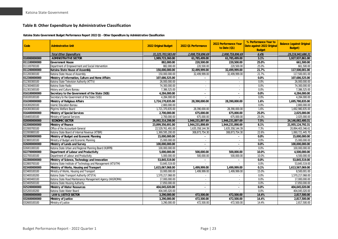#### **Table 8: Other Expenditure by Administrative Classification**

#### **Katsina State Government Budget Performance Report 2022 Q1 - Other Expenditure by Administrative Classification**

<span id="page-23-0"></span>

| Code         | <b>Adminstrative Unit</b>                                     | 2022 Original Budget | 2022 Q1 Performance | 2022 Performance Year<br>to Date (Q1) | % Performance Year to<br>Date against 2022 Original<br><b>Budget</b> | <b>Balance (against Original</b><br><b>Budget</b> ) |
|--------------|---------------------------------------------------------------|----------------------|---------------------|---------------------------------------|----------------------------------------------------------------------|-----------------------------------------------------|
|              | <b>Total Other Expenditure</b>                                | 31,225,703,583.00    | 2,008,759,896.69    | 2,008,759,896.69                      | 6.4%                                                                 | 29,216,943,686.31                                   |
| 010000000000 | <b>ADMINISTRATIVE SECTOR</b>                                  | 1,989,723,360.00     | 61,785,499.00       | 61,785,499.00                         | 3.1%                                                                 | 1,927,937,861.00                                    |
| 011100000000 | <b>Government House</b>                                       | 882,000.00           | 220,500.00          | 220,500.00                            | 25.0%                                                                | 661.500.00                                          |
| 011100700100 | Department of Empowerment and Social Intervention             | 882,000.00           | 220,500.00          | 220,500.00                            | 25.0%                                                                | 661,500.00                                          |
| 011200000000 | Katsina State House of Assembly                               | 150,000,000.00       | 32,499,999.00       | 32,499,999.00                         | 21.7%                                                                | 117,500,001.00                                      |
| 011200300100 | Katsina State House of Assembly                               | 150,000,000.00       | 32,499,999.00       | 32,499,999.00                         | 21.7%                                                                | 117,500,001.00                                      |
| 012300000000 | Ministry of Information, Culture and Home Affairs             | 107,686,525.00       |                     |                                       | $0.0\%$                                                              | 107,686,525.00                                      |
| 012300300100 | Katsina State Television Authority (KTTV)                     | 26,000,000.00        | $\sim$              | ×.                                    | 0.0%                                                                 | 26,000,000.00                                       |
| 012300400100 | Katsina State Radio                                           | 74,300,000.00        | $\sim$              |                                       | 0.0%                                                                 | 74,300,000.00                                       |
| 012301500100 | History and Culture Bureau                                    | 7,386,525.00         | $\sim$              |                                       | 0.0%                                                                 | 7,386,525.00                                        |
| 016100000000 | Secretary to the Government of the State (SGS)                | 4,284,000.00         | $\blacksquare$      | $\blacksquare$                        | $0.0\%$                                                              | 4,284,000.00                                        |
| 016100100100 | Secretary to the Government of the State (SGS)                | 4,284,000.00         |                     |                                       | 0.0%                                                                 | 4,284,000.00                                        |
| 016300000000 | Ministry of Religious Affairs                                 | 1,724,170,835.00     | 28,390,000.00       | 28,390,000.00                         | 1.6%                                                                 | 1,695,780,835.00                                    |
| 016300200100 | <b>Islamic Education Bureau</b>                               | 2,800,000.00         |                     |                                       | 0.0%                                                                 | 2,800,000.00                                        |
| 016300300100 | Pilarims Welfare Board                                        | 1,721,370,835.00     | 28,390,000.00       | 28,390,000.00                         | 1.6%                                                                 | 1,692,980,835.00                                    |
| 016400000000 | <b>Ministry of Special Services</b>                           | 2,700,000.00         | 675,000.00          | 675,000.00                            | 25.0%                                                                | 2,025,000.00                                        |
| 016400100100 | Ministry of Special Services                                  | 2,700,000.00         | 675,000.00          | 675,000.00                            | 25.0%                                                                | 2,025,000.00                                        |
| 020000000000 | <b>ECONOMIC SECTOR</b>                                        | 26,092,314,298.00    | 1,946,231,897.69    | 1,946,231,897.69                      | 7.5%                                                                 | 24,146,082,400.31                                   |
| 022000000000 | Ministry of Finance                                           | 23,899,356,691.00    | 1,944,231,898.69    | 1,944,231,898.69                      | 8.1%                                                                 | 21.955.124.792.31                                   |
| 022000700100 | Office of the Accountant-General                              | 22,529,761,491.00    | 1,635,358,144.39    | 1,635,358,144.39                      | 7.3%                                                                 | 20,894,403,346.61                                   |
| 022000800100 | Katsina State Board of Internal Revenue (KTBIR)               | 1,369,595,200.00     | 308,873,754.30      | 308,873,754.30                        | 22.6%                                                                | 1,060,721,445.70                                    |
| 023800000000 | Ministry of Budget and Economic Planning                      | 15,000,000.00        |                     |                                       | 0.0%                                                                 | 15,000,000.00                                       |
| 023800100100 | Ministry of Budget and Economic Planning                      | 15,000,000.00        | $\sim$              | ×.                                    | 0.0%                                                                 | 15,000,000.00                                       |
| 026000000000 | Ministry of Lands and Survey                                  | 100,000,000.00       | $\blacksquare$      |                                       | $0.0\%$                                                              | 100,000,000.00                                      |
| 026001000100 | Katsina State Urban and Regional Planning Board (KURPB)       | 100,000,000.00       | $\sim$              | $\sim$                                | 0.0%                                                                 | 100,000,000.00                                      |
| 022700000000 | Department of Labour and Productivity                         | 5,000,000.00         | 500,000.00          | 500,000.00                            | 10.0%                                                                | 4,500,000.00                                        |
| 022700100100 | Department of Labour and Productivity                         | 5.000.000.00         | 500.000.00          | 500,000.00                            | 10.0%                                                                | 4.500.000.00                                        |
| 022800000000 | Ministry of Science, Technology and Innovation                | 53,845,519.00        | $\blacksquare$      |                                       | 0.0%                                                                 | 53,845,519.00                                       |
| 022800700100 | Katsina State Institute of Technology and Management (KTSITM) | 53,845,519.00        |                     |                                       | 0.0%                                                                 | 53,845,519.00                                       |
| 023400000000 | Ministry of Works, Housing and Transport                      | 1,615,067,068.00     | 1,499,999.00        | 1,499,999.00                          | 0.1%                                                                 | 1,613,567,069.00                                    |
| 023400100100 | Ministry of Works, Housing and Transport                      | 10,000,000.00        | 1.499.999.00        | 1,499,999.00                          | 15.0%                                                                | 8,500,001.00                                        |
| 023400100200 | Katsina State Transport Authority (KTSTA)                     | 1,570,217,068.00     | $\sim$              | $\sim$                                | 0.0%                                                                 | 1,570,217,068.00                                    |
| 023400400100 | Katsina State Road Maintenance Management Agency (KASROMA)    | 17,000,000.00        | $\sim$              | ٠                                     | 0.0%                                                                 | 17,000,000.00                                       |
| 023400500100 | Katsina State Housing Authority                               | 17,850,000.00        | $\sim$              |                                       | 0.0%                                                                 | 17,850,000.00                                       |
| 025200000000 | <b>Ministry of Water Resources</b>                            | 404,045,020.00       | $\sim$              |                                       | 0.0%                                                                 | 404,045,020.00                                      |
| 025200100200 | Katsina State Water Board                                     | 404,045,020.00       | $\sim$              | $\sim$                                | 0.0%                                                                 | 404,045,020.00                                      |
| 030000000000 | <b>LAW &amp; JUSTICE SECTOR</b>                               | 3,290,000.00         | 472,500.00          | 472,500.00                            | 14.4%                                                                | 2,817,500.00                                        |
| 032600000000 | Ministry of Justice                                           | 3,290,000.00         | 472,500.00          | 472,500.00                            | 14.4%                                                                | 2,817,500.00                                        |
| 032600100100 | Ministry of Justice                                           | 3,290,000.00         | 472,500.00          | 472,500.00                            | 14.4%                                                                | 2,817,500.00                                        |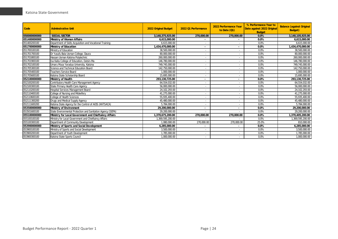| Code         | <b>Adminstrative Unit</b>                                   | <b>2022 Original Budget</b> | 2022 Q1 Performance      | 2022 Performance Year<br>to Date $(Q1)$ | % Performance Year to<br>Date against 2022 Original<br><b>Budget</b> | <b>Balance (against Original</b><br>Budget) |
|--------------|-------------------------------------------------------------|-----------------------------|--------------------------|-----------------------------------------|----------------------------------------------------------------------|---------------------------------------------|
| 050000000000 | <b>SOCIAL SECTOR</b>                                        | 3,140,375,925.00            | 270,000.00               | 270,000.00                              | 0.0%                                                                 | 3,140,105,925.00                            |
| 051400000000 | Ministry of Women Affairs                                   | 6.615.000.00                |                          |                                         | 0.0%                                                                 | 6,615,000.00                                |
| 051400200100 | Department of Skills Acquisition and Vocational Training    | 6,615,000.00                | $\overline{\phantom{a}}$ |                                         | 0.0%                                                                 | 6,615,000.00                                |
| 051700000000 | Ministry of Education                                       | 1,434,470,000.00            |                          |                                         | 0.0%                                                                 | 1,434,470,000.00                            |
| 051700100100 | Ministry of Education                                       | 38,500,000.00               | $\overline{\phantom{a}}$ |                                         | 0.0%                                                                 | 38,500,000.00                               |
| 051701700100 | Dr Yusufu Bala Usman College, Daura                         | 80,000,000.00               |                          |                                         | 0.0%                                                                 | 80,000,000.00                               |
| 051701800100 | Hassan Usman Katsina Polytechnic                            | 260,000,000.00              |                          |                                         | 0.0%                                                                 | 260,000,000.00                              |
| 051701900100 | Isa Kaita College of Education, Dutsin-Ma                   | 146,780,000.00              | $\overline{\phantom{a}}$ |                                         | 0.0%                                                                 | 146,780,000.00                              |
| 051702100100 | Umaru Musa Yaradua University, Katsina                      | 749,745,000.00              | $\overline{\phantom{a}}$ |                                         | 0.0%                                                                 | 749,745,000.00                              |
| 051705300100 | Science and Technical Education Board                       | 142,750,000.00              | $\sim$                   |                                         | 0.0%                                                                 | 142,750,000.00                              |
| 051705400100 | <b>Teachers Service Board</b>                               | 1,000,000.00                | $\sim$                   | ٠                                       | 0.0%                                                                 | 1.000.000.00                                |
| 051705600100 | Katsina State Scholarship Board                             | 15,695,000.00               |                          |                                         | 0.0%                                                                 | 15,695,000.00                               |
| 052100000000 | Ministry of Health                                          | 293,130,725.00              |                          |                                         | 0.0%                                                                 | 293,130,725.00                              |
| 052100200100 | Contributory Health Care Management Agency                  | 64,554,032.00               |                          |                                         | 0.0%                                                                 | 64,554,032.00                               |
| 052100300100 | State Primary Health Care Agency                            | 56,000,000.00               |                          |                                         | 0.0%                                                                 | 56,000,000.00                               |
| 052110200100 | Hospital Services Management Board                          | 24,102,293.00               | $\overline{\phantom{a}}$ |                                         | 0.0%                                                                 | 24,102,293.00                               |
| 052110400100 | College of Nursing and Midwifery                            | 41,275,000.00               |                          |                                         | 0.0%                                                                 | 41,275,000.00                               |
| 052110600100 | College of Health Sciences                                  | 55,935,400.00               | $\overline{\phantom{a}}$ |                                         | 0.0%                                                                 | 55,935,400.00                               |
| 052111300200 | Drugs and Medical Supply Agency                             | 45,480,000.00               |                          |                                         | 0.0%                                                                 | 45,480,000.00                               |
| 052111600200 | Katsina State Agency for the Control of AIDS (KATSACA)      | 5,784,000.00                |                          |                                         | 0.0%                                                                 | 5,784,000.00                                |
| 053500000000 | Ministry of Environment                                     | 29,200,000.00               |                          |                                         | 0.0%                                                                 | 29,200,000.00                               |
| 053501600100 | State Environmental Protection and Sanitation Agency (SEPA) | 29,200,000.00               |                          |                                         | 0.0%                                                                 | 29,200,000.00                               |
| 055100000000 | Ministry for Local Government and Chieftaincy Affairs       | 1,370,675,200.00            | 270,000.00               | 270.000.00                              | 0.0%                                                                 | 1,370,405,200.00                            |
| 055100100100 | Ministry for Local Government and Chieftaincy Affairs       | 1,369,595,200.00            |                          |                                         | 0.0%                                                                 | 1,369,595,200.00                            |
| 055100300100 | Department of Community Development                         | 1,080,000.00                | 270,000.00               | 270,000.00                              | 25.0%                                                                | 810,000.00                                  |
| 053900000000 | Ministry of Sports and Social Development                   | 6,285,000.00                |                          |                                         | $0.0\%$                                                              | 6,285,000.00                                |
| 053900100100 | Ministry of Sports and Social Development                   | 3,500,000.00                | $\overline{\phantom{a}}$ |                                         | 0.0%                                                                 | 3,500,000.00                                |
| 053900200100 | Department of Youth Development                             | 1,785,000.00                |                          |                                         | 0.0%                                                                 | 1,785,000.00                                |
| 053900300100 | Katsina State Sports Council                                | 1,000,000.00                | $\sim$                   | $\overline{\phantom{a}}$                | 0.0%                                                                 | 1,000,000.00                                |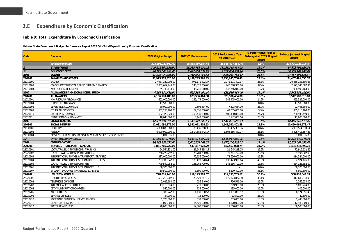## **2.E Expenditure by Economic Classification**

#### **Table 9: Total Expenditure by Economic Classification**

**Katsina State Government Budget Performance Report 2022 Q1 - Total Expenditure by Economic Classification**

<span id="page-25-1"></span><span id="page-25-0"></span>

| Code            | <b>Economic</b>                                        | 2022 Original Budget | 2022 Q1 Performance | 2022 Performance Year<br>to Date (Q1) | % Performance Year to<br>Date against 2022 Original<br><b>Budget</b> | <b>Balance (against Original</b><br><b>Budget</b> ) |
|-----------------|--------------------------------------------------------|----------------------|---------------------|---------------------------------------|----------------------------------------------------------------------|-----------------------------------------------------|
|                 | <b>Total Expenditure</b>                               | 323,296,220,961.00   | 28,565,497,854.46   | 28,565,497,854.46                     | 8.8%                                                                 | 294,730,723,106.54                                  |
|                 | <b>EXPENDITURES</b>                                    | 100.111.560.359.00   | 15.238.768.434.22   | 15.238.768.434.22                     | 15.2%                                                                | 84.872.791.924.78                                   |
| $\overline{21}$ | <b>PERSONNEL COST</b>                                  | 48,123,003,181.00    | 9,622,854,034.96    | 9,622,854,034.96                      | 20.0%                                                                | 38,500,149,146.04                                   |
| 2101            | <b>SALARY</b>                                          | 31,925,737,325.00    | 7,458,245,768.43    | 7,458,245,768.43                      | 23.4%                                                                | 24,467,491,556.57                                   |
| 210101          | <b>SALARIES AND WAGES</b>                              | 31,925,737,325.00    | 7,458,245,768.43    | 7,458,245,768.43                      | 23.4%                                                                | 24,467,491,556.57                                   |
| 21010101        | <b>SALARY</b>                                          | 27,937,329,908.00    | 7,071,171,402.37    | 7,071,171,402.37                      | 25.3%                                                                | 20,866,158,505.63                                   |
| 21010103        | CONSOLIDATED REVENUE FUND CHARGE- SALARIES             | 2,832,669,244.00     | 240,328,356.06      | 240,328,356.06                        | 8.5%                                                                 | 2,592,340,887.94                                    |
| 21010104        | <b>WAGES OF ADHOC STAFF</b>                            | 1,155,738,173.00     | 146,746,010.00      | 146,746,010.00                        | 12.7%                                                                | 1,008,992,163.00                                    |
| 2102            | ALLOWANCES AND SOCIAL CONTRIBUTION                     | 4,166,174,480.00     | 623,586,464.00      | 623,586,464.00                        | 15.0%                                                                | 3,542,588,016.00                                    |
| 210201          | <b>ALLOWANCES</b>                                      | 4,166,174,480.00     | 623,586,464.00      | 623,586,464.00                        | 15.0%                                                                | 3,542,588,016.00                                    |
| 21020101        | NON REGULAR ALLOWANCES                                 | 601,000,000.00       | 145,475,000.00      | 145,475,000.00                        | 24.2%                                                                | 455,525,000.00                                      |
| 21020104        | FURNITURE ALLOWANCE                                    | 17,500,000.00        |                     |                                       | 0.0%                                                                 | 17,500,000.00                                       |
| 21020108        | SEVERANCE ALLOWANCE                                    | 30,000,000.00        | 7,503,634.00        | 7,503,634.00                          | 25.0%                                                                | 22,496,366.00                                       |
| 21020109        | OTHER ALLOWANCES                                       | 1,867,253,160.00     | 62,035,000.00       | 62,035,000.00                         | 3.3%                                                                 | 1,805,218,160.00                                    |
| 21020110        | <b>SECURITY ALLOWANCES</b>                             | 1.632.373.320.00     | 403,430,830.00      | 403,430,830.00                        | 24.7%                                                                | 1,228,942,490.00                                    |
| 21020111        | <b>FRIDAY IMAMS ALLOWANCES</b>                         | 18,048,000.00        | 5.142.000.00        | 5,142,000.00                          | 28.5%                                                                | 12.906.000.00                                       |
| 2103            | SOCIAL BENEFITS                                        | 12,031,091,376.00    | 1,541,021,802.53    | 1,541,021,802.53                      | 12.8%                                                                | 10,490,069,573.47                                   |
| 210301          | <b>SOCIAL BENEFITS</b>                                 | 12,031,091,376.00    | 1,541,021,802.53    | 1,541,021,802.53                      | 12.8%                                                                | 10,490,069,573.47                                   |
| 21030101        | <b>GRATUITY</b>                                        | 6,000,000,000.00     | 36,435,360.36       | 36,435,360.36                         | 0.6%                                                                 | 5,963,564,639.64                                    |
| 21030102        | <b>PENSION</b>                                         | 6,000,000,000.00     | 1,504,586,442.17    | 1,504,586,442.17                      | 25.1%                                                                | 4,495,413,557.83                                    |
| 21030104        | PAYMENT OF BENEFITS TO PAST GOVERNORS/DEPUTY GOVERNORS | 31,091,376.00        | $\sim$              |                                       | 0.0%                                                                 | 31,091,376.00                                       |
| 22              | <b>OTHER RECURRENT COSTS</b>                           | 51,988,557,178.00    | 5,615,914,399.26    | 5,615,914,399.26                      | 10.8%                                                                | 46,372,642,778.74                                   |
| 2202            | <b>OVERHEAD COST</b>                                   | 20,762,853,595.00    | 3,607,154,502.57    | 3,607,154,502.57                      | 17.4%                                                                | 17,155,699,092.43                                   |
| 220201          | TRAVEL & TRANSPORT - GENERAL                           | 1,851,705,722.00     | 447,467,028.79      | 447,467,028.79                        | 24.2%                                                                | 1,404,238,693.21                                    |
| 22020101        | LOCAL TRAVEL & TRANSPORT: TRAINING                     | 94,564,831.00        | 21,645,218.15       | 21,645,218.15                         | 22.9%                                                                | 72,919,612.85                                       |
| 22020102        | LOCAL TRAVEL & TRANSPORT: OTHERS                       | 258,279,792.00       | 73,784,790.00       | 73,784,790.00                         | 28.6%                                                                | 184,495,002.00                                      |
| 22020103        | INTERNATIONAL TRAVEL & TRANSPORT: TRAINING             | 287,000,000.00       | 72,656,000.00       | 72,656,000.00                         | 25.3%                                                                | 214,344,000.00                                      |
| 22020104        | INTERNATIONAL TRAVEL & TRANSPORT: OTHERS               | 283,398,047.00       | 130,423,920.64      | 130,423,920.64                        | 46.0%                                                                | 152,974,126.36                                      |
| 22020105        | LOCAL TRAVEL & TRANSPORT: H.E.                         | 779,590,052.00       | 145,266,700.00      | 145,266,700.00                        | 18.6%                                                                | 634,323,352.00                                      |
| 22020106        | INTERNATIONAL TRAVEL & TRANSPORT: H.E.                 | 138,373,000.00       |                     |                                       | 0.0%                                                                 | 138,373,000.00                                      |
| 22020107        | STUDENT EXCHANGE TRAVELLING EXPENSES                   | 10,500,000.00        | 3,690,400.00        | 3,690,400.00                          | 35.1%                                                                | 6,809,600.00                                        |
| 220202          | <b>UTILITIES - GENERAL</b>                             | 728,031,748.00       | 219,193,703.67      | 219,193,703.67                        | 30.1%                                                                | 508,838,044.33                                      |
| 22020201        | <b>ELECTRICITY CHARGES</b>                             | 597,212,202.00       | 179,523,867.10      | 179,523,867.10                        | 30.1%                                                                | 417,688,334.90                                      |
| 22020202        | TELEPHONE CHARGES                                      | 3,026,180.00         | 756.546.00          | 756.546.00                            | 25.0%                                                                | 2,269,634.00                                        |
| 22020203        | <b>INTERNET ACCESS CHARGES</b>                         | 13,119,624.00        | 3,279,900.00        | 3,279,900.00                          | 25.0%                                                                | 9,839,724.00                                        |
| 22020204        | <b>DSTV SUBSCRIPTION CHARGES</b>                       | 540,000.00           | 135,000.00          | 135,000.00                            | 25.0%                                                                | 405,000.00                                          |
| 22020205        | <b>WATER RATES</b>                                     | 7,306,742.00         | 1,131,890.57        | 1,131,890.57                          | 15.5%                                                                | 6,174,851.43                                        |
| 22020206        | <b>SEWAGE CHARGES</b>                                  | 54,000.00            | 13,500.00           | 13,500.00                             | 25.0%                                                                | 40,500.00                                           |
| 22020210        | SOFTWARE CHARGES/ LICENCE RENEWAL                      | 1,773,000.00         | 333,000.00          | 333,000.00                            | 18.8%                                                                | 1,440,000.00                                        |
| 22020211        | STATE SECRETARIAT UTILITIES                            | 27,000,000.00        | 14,520,000.00       | 14,520,000.00                         | 53.8%                                                                | 12,480,000.00                                       |
| 22020212        | WATER BOARD (PSP)                                      | 78.000.000.00        | 19.500.000.00       | 19,500,000.00                         | 25.0%                                                                | 58,500,000.00                                       |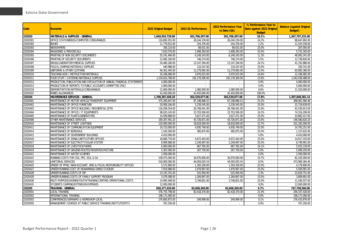| <b>Code</b> | <b>Economic</b>                                                        | 2022 Original Budget | 2022 Q1 Performance | 2022 Performance Year<br>to Date (Q1) | % Performance Year to<br>Date against 2022 Original<br><b>Budget</b> | <b>Balance (against Original</b><br><b>Budget</b> ) |
|-------------|------------------------------------------------------------------------|----------------------|---------------------|---------------------------------------|----------------------------------------------------------------------|-----------------------------------------------------|
| 220203      | <b>MATERIALS &amp; SUPPLIES - GENERAL</b>                              | 1,669,503,728.00     | 301,706,397.00      | 301,706,397.00                        | 18.1%                                                                | 1,367,797,331.00                                    |
| 22020301    | OFFICE STATIONERIES/COMPUTER CONSUMABLES                               | 116,892,051.00       | 28,244,159.00       | 28,244,159.00                         | 24.2%                                                                | 88,647,892.00                                       |
| 22020302    | <b>BOOKS</b>                                                           | 11.779.912.00        | 254.376.00          | 254.376.00                            | 2.2%                                                                 | 11,525,536.00                                       |
| 22020303    | NEWSPAPERS                                                             | 356,124.00           | 89,031.00           | 89,031.00                             | 25.0%                                                                | 267,093.00                                          |
| 22020304    | MAGAZINES & PERIODICALS                                                | 7,633,576.00         | 1,908,393.00        | 1,908,393.00                          | 25.0%                                                                | 5,725,183.00                                        |
| 22020305    | PRINTING OF NON SECURITY DOCUMENTS                                     | 55,241,484.00        | 6,249,243.00        | 6,249,243.00                          | 11.3%                                                                | 48.992.241.00                                       |
| 22020306    | PRINTING OF SECURITY DOCUMENTS                                         | 13,485,100.00        | 746,274.00          | 746,274.00                            | 5.5%                                                                 | 12,738,826.00                                       |
| 22020307    | DRUGS/LABORATORY/MEDICAL SUPPLIES                                      | 54,480,180.00        | 13,147,294.00       | 13, 147, 294.00                       | 24.1%                                                                | 41,332,886.00                                       |
| 22020308    | FIELD & CAMPING MATERIALS SUPPLIES                                     | 440,988.00           | 110,247.00          | 110,247.00                            | 25.0%                                                                | 330,741.00                                          |
| 22020309    | UNIFORMS & OTHER CLOTHING                                              | 94,361,445.00        | 11,279,065.00       | 11,279,065.00                         | 12.0%                                                                | 83,082,380.00                                       |
| 22020310    | TEACHING AIDS / INSTRUCTION MATERIALS                                  | 16,166,080.00        | 3,970,015.00        | 3,970,015.00                          | 24.6%                                                                | 12,196,065.00                                       |
| 22020311    | FOOD STUFF / CATERING MATERIALS SUPPLIES                               | 1,234,616,788.00     | 192,178,300.00      | 192,178,300.00                        | 15.6%                                                                | 1,042,438,488.00                                    |
| 22020312    | PRODUCTION, PUBLICATION AND CIRCULATION OF ANNUAL FINANCIAL STATEMENTS | 4,000,000.00         | $\sim$              |                                       | 0.0%                                                                 | 4.000.000.00                                        |
| 22020313    | PRODUCTION OF REPORTS TO PUBLIC ACCOUNTS COMMITTEE (PAC)               | 5,000,000.00         |                     |                                       | 0.0%                                                                 | 5,000,000.00                                        |
| 22020318    | DEMONSTRATION MATERIALS/CONSUMABLES                                    | 12,600,000.00        | 1,080,000.00        | 1,080,000.00                          | 8.6%                                                                 | 11,520,000.00                                       |
| 22020322    | <b>ROBES ALLOWANCES</b>                                                | 42,450,000.00        | 42,450,000.00       | 42,450,000.00                         | 100.0%                                                               |                                                     |
| 220204      | MAINTENANCE SERVICES - GENERAL                                         | 1,700,387,458.20     | 302,539,077.06      | 302,539,077.06                        | 17.8%                                                                | 1,397,848,381.14                                    |
| 22020401    | MAINTENANCE OF MOTOR VEHICLE/TRANSPORT EQUIPMENT                       | 375,260,647.00       | 87,198,686.52       | 87,198,686.52                         | 23.2%                                                                | 288,061,960.48                                      |
| 22020402    | MAINTENANCE OF OFFICE FURNITURE                                        | 20,958,184.00        | 5,239,545.00        | 5,239,545.00                          | 25.0%                                                                | 15,718,639.00                                       |
| 22020403    | MAINTENANCE OF OFFICE BUILDING / RESIDENTIAL QTRS                      | 118,299,354.00       | 26,768,441.00       | 26,768,441.00                         | 22.6%                                                                | 91,530,913.00                                       |
| 22020404    | MAINTENANCE OF OFFICE / IT EQUIPMENTS                                  | 98,020,145.00        | 23,703,936.00       | 23,703,936.00                         | 24.2%                                                                | 74,316,209.00                                       |
| 22020405    | MAINTENANCE OF PLANTS/GENERATORS                                       | 14,509,888.00        | 3,627,471.00        | 3,627,471.00                          | 25.0%                                                                | 10,882,417.00                                       |
| 22020406    | OTHER MAINTENANCE SERVICES                                             | 190,307,491.20       | 43,726,871.00       | 43,726,871.00                         | 23.0%                                                                | 146,580,620.20                                      |
| 22020410    | MAINTENANCE OF STREET LIGHTINGS                                        | 120,000,000.00       | 18,818,000.00       | 18,818,000.00                         | 15.7%                                                                | 101,182,000.00                                      |
| 22020411    | MAINTENANCE OF COMMUNICATION EQUIPMENT                                 | 19,723,000.00        | 4,930,749.00        | 4,930,749.00                          | 25.0%                                                                | 14,792,251.00                                       |
| 22020414    | MAINTENANCE OF BOREHOLE                                                | 1,543,500.00         | 385,875.00          | 385,875.00                            | 25.0%                                                                | 1,157,625.00                                        |
| 22020415    | MAINTENANCE OF GOVERNMENT BUILDINGS                                    | 4,410,000.00         |                     |                                       | 0.0%                                                                 | 4,410,000.00                                        |
| 22020416    | MAINTENANCE OF ZONAL/UNITS/OTHER OFFICES                               | 18,689,776.00        | 4,672,443.00        | 4,672,443.00                          | 25.0%                                                                | 14,017,333.00                                       |
| 22020417    | MAINTENANCE OF ELECTRICITY/SOLAR SYSTEM                                | 8,999,988.00         | 2.249.997.00        | 2.249.997.00                          | 25.0%                                                                | 6,749,991.00                                        |
| 22020418    | MAINTENANCE OF LIVESTOCK/FARMS                                         | 6,000,000.00         | 967.782.00          | 967,782.00                            | 16.1%                                                                | 5,032,218.00                                        |
| 22020419    | MAINTENANCE OF GRAZING ROUTES/RESERVES/PASTURE                         | 5,367,000.00         | 267,750.00          | 267,750.00                            | 5.0%                                                                 | 5,099,250.00                                        |
| 22020421    | MAINTENANCE OF WATER SCHEMES                                           | 2,500,000.00         | $\sim$              | $\sim$                                | 0.0%                                                                 | 2,500,000.00                                        |
| 22020422    | RUNNING COSTS FOR COS, PPS, SSA, & SA                                  | 109,075,000.00       | 26,970,000.00       | 26,970,000.00                         | 24.7%                                                                | 82,105,000.00                                       |
| 22020423    | JANITORIAL SERVICES                                                    | 518,000,000.00       | 44,093,635.54       | 44,093,635.54                         | 8.5%                                                                 | 473,906,364.46                                      |
| 22020425    | UPKEEP OF PFMU, MAIN ACCOUNT, DMO & FISCAL RESPONSIBILITY OFFICES      | 5,572,800.00         | 1,393,200.00        | 1,393,200.00                          | 25.0%                                                                | 4.179.600.00                                        |
| 22020427    | UPKEEP/RUNNING COST OF MUHAMMADU DIKKO STADIUM                         | 7,919,988.00         | 1,979,997.00        | 1,979,997.00                          | 25.0%                                                                | 5,939,991.00                                        |
| 22020428    | UPKEEP/RUNNING COSTS OF IDP                                            | 23,155,701.00        | 525,950.00          | 525,950.00                            | 2.3%                                                                 | 22,629,751.00                                       |
| 22020429    | UPKEEP/RUNNING COSTS OF FAMILY SUPPORT PROGRAM                         | 5,079,588.00         | 1,269,897.00        | 1,269,897.00                          | 25.0%                                                                | 3.809.691.00                                        |
| 22020430    | MULTI-PURPOSE/WOMEN/YOUTH/TRAINING CENTRES OPERATIONAL COSTS           | 14,995,408.00        | 3,748,851.00        | 3,748,851.00                          | 25.0%                                                                | 11,246,557.00                                       |
| 22020431    | STUDENTS CAMPING/EXTENSION EXPENSES                                    | 12,000,000.00        |                     |                                       | 0.0%                                                                 | 12,000,000.00                                       |
| 220205      | <b>TRAINING - GENERAL</b>                                              | 850,377,929.00       | 82,668,369.00       | 82,668,369.00                         | 9.7%                                                                 | 767,709,560.00                                      |
| 22020501    | <b>LOCAL TRAINING</b>                                                  | 376,755,798.00       | 82,418,370.00       | 82,418,370.00                         | 21.9%                                                                | 294,337,428.00                                      |
| 22020502    | INTERNATIONAL TRAINING                                                 | 196,171,000.00       |                     |                                       | 0.0%                                                                 | 196,171,000.00                                      |
| 22020503    | CONFERENCES/SEMINARS & WORKSHOP-LOCAL                                  | 276,683,875.00       | 249,999.00          | 249,999.00                            | 0.1%                                                                 | 276,433,876.00                                      |
| 22020505    | MANAGEMENT COURSES AT PUBLIC SERVICE TRAINING INSTITUTE(PSTI)          | 767,256.00           | $\sim$              |                                       | 0.0%                                                                 | 767,256.00                                          |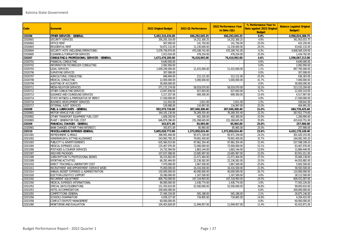| <b>Code</b> | <b>Economic</b>                              | 2022 Original Budget | 2022 Q1 Performance | 2022 Performance Year<br>to Date $(Q1)$ | % Performance Year to<br>Date against 2022 Original<br><b>Budget</b> | <b>Balance (against Original</b><br><b>Budget</b> ) |
|-------------|----------------------------------------------|----------------------|---------------------|-----------------------------------------|----------------------------------------------------------------------|-----------------------------------------------------|
| 220206      | OTHER SERVICES - GENERAL                     | 5,492,316,434.00     | 496,292,045.25      | 496,292,045.25                          | 9.0%                                                                 | 4,996,024,388.75                                    |
| 22020601    | <b>SECURITY SERVICES</b>                     | 356,205,316.00       | 14,252,300.25       | 14,252,300.25                           | 4.0%                                                                 | 341,953,015.75                                      |
| 22020602    | <b>OFFICE RENT</b>                           | 567,000.00           | 141,750.00          | 141,750.00                              | 25.0%                                                                | 425,250.00                                          |
| 22020603    | RESIDENTIAL RENT                             | 54,872,132.00        | 11,230,000.00       | 11,230,000.00                           | 20.5%                                                                | 43,642,132.00                                       |
| 22020604    | SECURITY VOTE (INCLUDING OPERATIONS)         | 5,078,758,970.00     | 470,189,741.00      | 470,189,741.00                          | 9.3%                                                                 | 4,608,569,229.00                                    |
| 22020605    | CLEANING & FUMIGATION SERVICES               | 1,913,016.00         | 478,254.00          | 478,254.00                              | 25.0%                                                                | 1,434,762.00                                        |
| 220207      | CONSULTING & PROFESSIONAL SERVICES - GENERAL | 1,672,478,205.00     | 76,410,992.00       | 76,410,992.00                           | 4.6%                                                                 | 1,596,067,213.00                                    |
| 22020701    | FINANCIAL CONSULTING                         | 9,640,000.00         |                     |                                         | 0.0%                                                                 | 9,640,000.00                                        |
| 22020702    | INFORMATION TECHNOLOGY CONSULTING            | 2,092,956.00         | $\sim$              |                                         | 0.0%                                                                 | 2,092,956.00                                        |
| 22020703    | <b>LEGAL SERVICES</b>                        | 1,009,200,000.00     | 11,415,000.00       | 11,415,000.00                           | 1.1%                                                                 | 997,785,000.00                                      |
| 22020706    | SURVEYING SERVICES                           | 307.008.00           |                     |                                         | 0.0%                                                                 | 307.008.00                                          |
| 22020707    | AGRICULTURAL CONSULTING                      | 848,484.00           | 212,121.00          | 212,121.00                              | 25.0%                                                                | 636,363.00                                          |
| 22020708    | MEDICAL CONSULTING                           | 12,000,000.00        | 5.000.000.00        | 5.000.000.00                            | 41.7%                                                                | 7,000,000.00                                        |
| 22020709    | AUDITING OF ACCOUNTS                         | 30,000,000.00        |                     |                                         | 0.0%                                                                 | 30,000,000.00                                       |
| 22020711    | <b>MEDIA RELATION SERVICES</b>               | 571, 172, 274.00     | 58,019,070.00       | 58,019,070.00                           | 10.2%                                                                | 513, 153, 204.00                                    |
| 22020712    | OTHER CONSULTING SERVICES                    | 13,847,836.00        | 927,693.00          | 927,693.00                              | 6.7%                                                                 | 12,920,143.00                                       |
| 22020713    | GUIDANCE AND COUNSELING SERVICES             | 5,217,207.00         | 699,300.00          | 699,300.00                              | 13.4%                                                                | 4,517,907.00                                        |
| 22020714    | STATE WITNESS & PREROGATIVE OF MERCY         | 17,500,000.00        |                     |                                         | 0.0%                                                                 | 17,500,000.00                                       |
| 22020716    | BUSINESS DEVELOPMENT SERVICES                | 112,452.00           | 2,811.00            | 2,811.00                                | 2.5%                                                                 | 109,641.00                                          |
| 22020717    | <b>EXTERNAL AUDIT SERVICES</b>               | 539,988.00           | 134.997.00          | 134.997.00                              | 25.0%                                                                | 404.991.00                                          |
| 220208      | FUEL & LUBRICANTS - GENERAL                  | 992,679,726.00       | 307,940,300.40      | 307,940,300.40                          | 31.0%                                                                | 684,739,425.60                                      |
| 22020801    | MOTOR VEHICLE FUEL COST                      | 344.191.130.00       | 76,269,355.40       | 76,269,355.40                           | 22.2%                                                                | 267.921.774.60                                      |
| 22020802    | OTHER TRANSPORT EQUIPMENT FUEL COST          | 1,609,200.00         | 402,300.00          | 402,300.00                              | 25.0%                                                                | 1,206,900.00                                        |
| 22020803    | PLANT / GENERATOR FUEL COST                  | 646,879,396.00       | 231,268,645.00      | 231,268,645.00                          | 35.8%                                                                | 415,610,751.00                                      |
| 220209      | FINANCIAL CHARGES - GENERAL                  | 343,871.00           | 85,965.00           | 85,965.00                               | 25.0%                                                                | 257,906.00                                          |
| 22020901    | BANK CHARGES (OTHER THAN INTEREST)           | 343,871.00           | 85,965.00           | 85,965.00                               | 25.0%                                                                | 257,906.00                                          |
| 220210      | <b>MISCELLANEOUS EXPENSES GENERAL</b>        | 5,805,028,773.80     | 1,372,850,624.40    | 1,372,850,624.40                        | 23.6%                                                                | 4,432,178,149.40                                    |
| 22021001    | REFRESHMENT & MEALS                          | 396,991,494.00       | 95,971,339.00       | 95,971,339.00                           | 24.2%                                                                | 301,020,155.00                                      |
| 22021002    | HONORARIUM & SITTING ALLOWANCE               | 243,993,795.20       | 79,901,450.00       | 79,901,450.00                           | 32.7%                                                                | 164,092,345.20                                      |
| 22021003    | PUBLICITY & ADVERTISEMENTS                   | 635,560,553.60       | 97,962,354.40       | 97,962,354.40                           | 15.4%                                                                | 537,598,199.20                                      |
| 22021004    | MEDICAL EXPENSES-LOCAL                       | 135,467,976.00       | 72,000,000.00       | 72,000,000.00                           | 53.1%                                                                | 63,467,976.00                                       |
| 22021006    | POSTAGES & COURIER SERVICES                  | 14,732,584.00        | 1,863,144.00        | 1,863,144.00                            | 12.6%                                                                | 12,869,440.00                                       |
| 22021007    | <b>WELFARE PACKAGES</b>                      | 107,637,008.00       | 23,685,997.00       | 23,685,997.00                           | 22.0%                                                                | 83,951,011.00                                       |
| 22021008    | SUBSCRIPTION TO PROFESSIONAL BODIES          | 56,155,602.00        | 21,071,464.00       | 21,071,464.00                           | 37.5%                                                                | 35,084,138.00                                       |
| 22021009    | SPORTING ACTIVITIES                          | 66,292,464.00        | 22,236,582.00       | 22,236,582.00                           | 33.5%                                                                | 44,055,882.00                                       |
| 22021010    | DIRECT TEACHING & LABORATORY COST            | 7,470,000.00         | 1,867,500.00        | 1,867,500.00                            | 25.0%                                                                | 5,602,500.00                                        |
| 22021011    | RECRUITMENT AND APPOINTMENT (SERVICE WIDE)   | 75,000,000.00        | 16,416,500.00       | 16,416,500.00                           | 21.9%                                                                | 58,583,500.00                                       |
| 22021014    | ANNUAL BUDGET EXPENSES & ADMINISTRATION      | 150,000,000.00       | 40,000,000.00       | 40,000,000.00                           | 26.7%                                                                | 110.000.000.00                                      |
| 22021020    | ELECTION-LOGISTICS SUPPORT                   | 29,280,000.00        | 1,167,500.00        | 1,167,500.00                            | 4.0%                                                                 | 28,112,500.00                                       |
| 22021042    | RECURRENT ADJUSTMENT                         | 806,750,000.00       | 197,318,993.00      | 197,318,993.00                          | 24.5%                                                                | 609,431,007.00                                      |
| 22021050    | MEDICAL EXPENSES-INTERNATIONAL               | 80,000,000.00        | 2,436,774.00        | 2,436,774.00                            | 3.0%                                                                 | 77,563,226.00                                       |
| 22021052    | SPECIAL DAYS/CELEBRATIONS                    | 151,593,610.00       | 52,500,000.00       | 52,500,000.00                           | 34.6%                                                                | 99,093,610.00                                       |
| 22021053    | HOTEL ACCOMMODATION                          | 200,000,000.00       | $\sim$              |                                         | 0.0%                                                                 | 200,000,000.00                                      |
| 22021055    | COMPETITIONS-GENERAL                         | 27,440,334.00        | 565,188.00          | 565,188.00                              | 2.1%                                                                 | 26,875,146.00                                       |
| 22021056    | SCHOOLS EXAMINATION                          | 4,939,227.00         | 734,805.00          | 734,805.00                              | 14.9%                                                                | 4,204,422.00                                        |
| 22021058    | CONFLICT/DISPUTE MANAGEMENT                  | 60,000,000.00        |                     |                                         | 0.0%                                                                 | 60,000,000.00                                       |
| 22021060    | MONITORING AND EVALUATION                    | 104,403,828.00       | 11,949,957.00       | 11,949,957.00                           | 11.4%                                                                | 92,453,871.00                                       |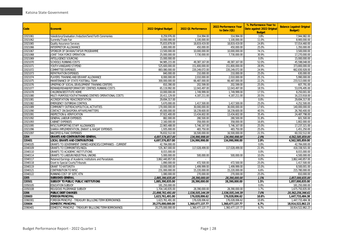| <b>Code</b> | <b>Economic</b>                                            | 2022 Original Budget | 2022 Q1 Performance | 2022 Performance Year<br>to Date (Q1) | % Performance Year to<br>Date against 2022 Original<br><b>Budget</b> | <b>Balance (against Original</b><br><b>Budget</b> ) |
|-------------|------------------------------------------------------------|----------------------|---------------------|---------------------------------------|----------------------------------------------------------------------|-----------------------------------------------------|
| 22021061    | Valedictory/Graduation /Induction/Send Forth Ceremonies    | 8,259,976.00         | 314,994.00          | 314,994.00                            | 3.8%                                                                 | 7,944,982.00                                        |
| 22021062    | Summits/Trade Fair                                         | 10,000,000.00        | 1,100,000.00        | 1,100,000.00                          | 11.0%                                                                | 8,900,000.00                                        |
| 22021065    | <b>Quality Assurance Services</b>                          | 75,833,879.00        | 18,819,419.00       | 18,819,419.00                         | 24.8%                                                                | 57,014,460.00                                       |
| 22021066    | INTERPRETOR ALLOWANCE                                      | 1,800,000.00         | 450,000.00          | 450,000.00                            | 25.0%                                                                | 1,350,000.00                                        |
| 22021067    | SPONSOR OF DA'AWA/TAFSIR PROGRAMME                         | 13,500,000.00        | 10,000,000.00       | 10,000,000.00                         | 74.1%                                                                | 3,500,000.00                                        |
| 22021068    | JOINT TASK FORCE OPERATION                                 | 25,000,000.00        | 7,730,000.00        | 7,730,000.00                          | 30.9%                                                                | 17,270,000.00                                       |
| 22021069    | INTELLIGENCE SOURCING                                      | 15,000,000.00        | $\sim$              | $\sim$                                | 0.0%                                                                 | 15,000,000.00                                       |
| 22021070    | SCHOOLS RUNNING COSTS                                      | 94,985,215.00        | 49,387,167.00       | 49,387,167.00                         | 52.0%                                                                | 45,598,048.00                                       |
| 22021071    | YOUTH VANGUARD STIPEND                                     | 525,600,000.00       | 151,800,000.00      | 151,800,000.00                        | 28.9%                                                                | 373,800,000.00                                      |
| 22021072    | COMMITTEE EXPENSES                                         | 883,080,000.00       | 220,249,072.00      | 220,249,072.00                        | 24.9%                                                                | 662,830,928.00                                      |
| 22021073    | REPATRIATION EXPENSES                                      | 840,000.00           | 210,000.00          | 210,000.00                            | 25.0%                                                                | 630,000.00                                          |
| 22021074    | PLAYERS TRAINING AND DEVIANT ALLOWANCE                     | 8,000,000.00         | 2,010,000.00        | 2,010,000.00                          | 25.1%                                                                | 5,990,000.00                                        |
| 22021075    | MAINTENANCE OF STATE FOOTBALL TEAM                         | 300,000,000.00       | 66,487,000.00       | 66,487,000.00                         | 22.2%                                                                | 233,513,000.00                                      |
| 22021076    | UPKEPING OF SOCIAL DEVELOPMENT TRAINING CENTERS            | 810,390.00           | 202,599.00          | 202,599.00                            | 25.0%                                                                | 607.791.00                                          |
| 22021077    | REMAND/REHAB/REFORMATORY CENTRES RUNNING COSTS             | 65,119,992.00        | 12.043.497.00       | 12.043.497.00                         | 18.5%                                                                | 53.076.495.00                                       |
| 22021078    | CHILDREN/DESTITUTE HOME                                    | 10,000,000.00        | 1,749,999.00        | 1,749,999.00                          | 17.5%                                                                | 8,250,001.00                                        |
| 22021080    | MULTI-PURPOSE/YOUTH/TRAINING CENTRES OPERATIONAL COSTS     | 20,411,129.00        | 4.187.211.00        | 4,187,211.00                          | 20.5%                                                                | 16,223,918.00                                       |
| 22021081    | ACCREDITATION/ REACCREDITATION                             | 29,694,317.00        |                     |                                       | 0.0%                                                                 | 29,694,317.00                                       |
| 22021082    | <b>EMERGENCY OUTBREAK CONTROL</b>                          | 5,670,000.00         | 1,417,500.00        | 1,417,500.00                          | 25.0%                                                                | 4,252,500.00                                        |
| 22021089    | COMMUNITY OUTREACH/POLITICAL ACTIVITIES                    | 170,000,000.00       | 30.000.000.00       | 30.000.000.00                         | 17.6%                                                                | 140,000,000.00                                      |
| 22021090    | CONTACT ON DIASPORA AFFAIRS/MATTERS                        | 45,000,000.00        | 18,239,600.00       | 18,239,600.00                         | 40.5%                                                                | 26,760,400.00                                       |
| 22021091    | <b>INSPECTION &amp; VERIFICATION</b>                       | 37,922,400.00        | 13,434,602.00       | 13,434,602.00                         | 35.4%                                                                | 24,487,798.00                                       |
| 22021092    | <b>GENERAL LABOUR EXPENSES</b>                             | 882,000.00           | 280,500.00          | 280,500.00                            | 31.8%                                                                | 601,500.00                                          |
| 22021093    | <b>CABINET EXPENSES</b>                                    | 2,160,000.00         | 358,000.00          | 358,000.00                            | 16.6%                                                                | 1,802,000.00                                        |
| 22021095    | NYSC/SUPPORTING STAFF ALLOWANCES                           | 22,983,488.00        | 5,746,167.00        | 5,746,167.00                          | 25.0%                                                                | 17,237,321.00                                       |
| 22021096    | SHARIA IMPLEMENTATION, ZAKKAT & WAQAF EXPENSES             | 1,935,000.00         | 483,750.00          | 483,750.00                            | 25.0%                                                                | 1,451,250.00                                        |
| 22021097    | NACOFED & FAAC EXPENSES                                    | 76,832,512.00        | 16,500,000.00       | 16,500,000.00                         | 21.5%                                                                | 60,332,512.00                                       |
| 2204        | <b>GRANTS AND CONTRIBUTIONS GENERAL</b>                    | 4,697,576,857.00     | 134,990,998.00      | 134,990,998.00                        | 2.9%                                                                 | 4,562,585,859.00                                    |
| 220401      | <b>LOCAL GRANTS AND CONTRIBUTIONS</b>                      | 4,697,576,857.00     | 134,990,998.00      | 134,990,998.00                        | 2.9%                                                                 | 4,562,585,859.00                                    |
| 22040105    | GRANTS TO GOVERNMENT OWNED AGENCIES/COMPANIES - CURRENT    | 42,784,000.00        |                     |                                       | 0.0%                                                                 | 42.784.000.00                                       |
| 22040109    | <b>GRANTS TO COMMUNITIES/NGOS</b>                          | 535,367,000.00       | 117,028,499.00      | 117,028,499.00                        | 21.9%                                                                | 418,338,501.00                                      |
| 22040110    | <b>GRANTS TO ACADEMIC INSTITUTIONS</b>                     | 8,015,000.00         |                     |                                       | 0.0%                                                                 | 8,015,000.00                                        |
| 22040114    | <b>GRANTS TO LABOUR/INDUSTRIAL UNIONS</b>                  | 5,000,000.00         | 500,000.00          | 500,000.00                            | 10.0%                                                                | 4,500,000.00                                        |
| 22040117    | Retained Earnings of Academic Institutions and Parastatals | 3,862,440,857.00     |                     |                                       | 0.0%                                                                 | 3,862,440,857.00                                    |
| 22040118    | Grant to Special Courts/Tribunals                          | 1,890,000.00         | 472,500.00          | 472,500.00                            | 25.0%                                                                | 1,417,500.00                                        |
| 22040119    | <b>GRANT TO KATSROTA</b>                                   | 10,000,000.00        | 1,499,999.00        | 1,499,999.00                          | 15.0%                                                                | 8,500,001.00                                        |
| 22040121    | CONTRIBUTION TO NYSC                                       | 231,000,000.00       | 15,220,000.00       | 15,220,000.00                         | 6.6%                                                                 | 215,780,000.00                                      |
| 22040122    | RUNNING COST OF SDTC KTN                                   | 1,080,000.00         | 270,000.00          | 270,000.00                            | 25.0%                                                                | 810,000.00                                          |
| 2205        | <b>SUBSIDIES GENERAL</b>                                   | 1,885,390,835.00     | 28,390,000.00       | 28,390,000.00                         | 1.5%                                                                 | 1,857,000,835.00                                    |
| 220501      | SUBSIDY TO PUBLIC/PUBLIC INSTITUTIONS                      | 1,885,390,835.00     | 28,390,000.00       | 28,390,000.00                         | 1.5%                                                                 | 1,857,000,835.00                                    |
| 22050105    | <b>EDUCATION SUBSIDY</b>                                   | 181,250,000.00       |                     |                                       | 0.0%                                                                 | 181,250,000.00                                      |
| 22050108    | RELIGIOUS PILGRIMAGE SUBSIDY                               | 1,704,140,835.00     | 28,390,000.00       | 28,390,000.00                         | 1.7%                                                                 | 1,675,750,835.00                                    |
| 2206        | <b>PUBLIC DEBT CHARGES</b>                                 | 21,898,761,491.00    | 1,536,505,144.39    | 1,536,505,144.39                      | 7.0%                                                                 | 20,362,256,346.61                                   |
| 220603      | <b>FOREIGN PRINCIPAL</b>                                   | 1,623,761,491.00     | 176,028,006.62      | 176,028,006.62                        | 10.8%                                                                | 1,447,733,484.38                                    |
| 22060301    | FOREIGN PRINCIPLE - TREASURY BILL/LONG TERM BORROWINGS     | 1,623,761,491.00     | 176,028,006.62      | 176,028,006.62                        | 10.8%                                                                | 1,447,733,484.38                                    |
| 220604      | <b>DOMESTIC PRINCIPAL</b>                                  | 20,275,000,000.00    | 1,360,477,137.77    | 1,360,477,137.77                      | 6.7%                                                                 | 18,914,522,862.23                                   |
| 22060401    | DOMESTIC PRINCIPLE - TREASURY BILL/LONG TERM BORROWINGS    | 20.275.000.000.00    | 1,360,477,137.77    | 1,360,477,137.77                      | 6.7%                                                                 | 18,914,522,862.23                                   |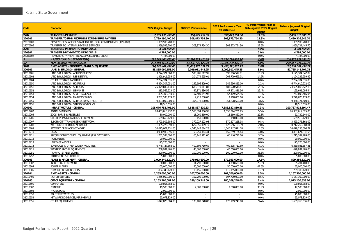|                                  |                                                              |                       |                          | 2022 Performance Year | % Performance Year to                       | <b>Balance (against Original</b> |
|----------------------------------|--------------------------------------------------------------|-----------------------|--------------------------|-----------------------|---------------------------------------------|----------------------------------|
| <b>Code</b>                      | <b>Economic</b>                                              | 2022 Original Budget  | 2022 Q1 Performance      | to Date (Q1)          | Date against 2022 Original<br><b>Budget</b> | <b>Budget</b> )                  |
| 2207                             | <b>TRANSFERS-PAYMENT</b>                                     | 2,739,190,400.00      | 308,873,754.30           | 308,873,754.30        | 11.3%                                       | 2,430,316,645.70                 |
| 220701                           | TRANSFER TO FUND RECURRENT EXPENDITURE-PAYMENT               | 2,739,190,400.00      | 308,873,754.30           | 308,873,754.30        | 11.3%                                       | 2,430,316,645.70                 |
| 22070103                         | PAYMENT OF SHARE OF STATE IGR TO LOCAL GOVERNMENTS (10% IGR) | 1,369,595,200.00      |                          |                       | 0.0%                                        | 1,369,595,200.00                 |
| 22070106                         | TRANSFER TO INTERNAL REVENUE SERVICES                        | 1,369,595,200.00      | 308,873,754.30           | 308,873,754.30        | 22.6%                                       | 1,060,721,445.70                 |
| 2208                             | TRANSFERS-PAYMENT TO INDIVIDUALS                             | 4,784,000.00          | $\sim$                   |                       | 0.0%                                        | 4,784,000.00                     |
| 220801                           | TRANSFERS-PAYMENT TO INDIVIDUALS                             | 4,784,000.00          | $\overline{\phantom{a}}$ | $\sim$                | 0.0%                                        | 4,784,000.00                     |
| 22080102                         | TRANSFERS-PAYMENT TO AGED/VULNERABLE GROUP                   | 4,784,000.00          |                          |                       | 0.0%                                        | 4,784,000.00                     |
|                                  | <b>ASSETS (CAPITAL EXPENDITURE)</b>                          | 223.184.660.602.00    | 13.326.729.420.24        | 13.326.729.420.24     | 6.0%                                        | 209.857.931.181.76               |
|                                  | <b>NON-CURRENT (FIXED) ASSETS</b>                            | 223,184,660,602.00    | 13,326,729,420.24        | 13,326,729,420.24     | 6.0%                                        | 209,857,931,181.76               |
| $\frac{3}{32}$ $\frac{32}{3201}$ | FIXED ASSETS - PROPERTY, PLANT & EQUIPMENT                   | 194, 167, 462, 488.00 | 11,463,371,031.73        | 11,463,371,031.73     | 5.9%                                        | 182,704,091,456.27               |
| 320101                           | <b>LAND &amp; BUILDING - GENERAL</b>                         | 53,865,060,153.00     | 2,099,911,445.25         | 2,099,911,445.25      | 3.9%                                        | 51,765,148,707.75                |
| 32010101                         | LAND & BUILDINGS - ADMINISTRATIVE                            | 3,774,371,360.00      | 598,986,517.91           | 598,986,517.91        | 15.9%                                       | 3,175,384,842.09                 |
| 32010102                         | LAND & BUILDINGS - RESIDENTIAL                               | 1,398,911,955.00      | 204,779,695.01           | 204,779,695.01        | 14.6%                                       | 1,194,132,259.99                 |
| 32010104                         | OTHER STORAGE FACILITIES                                     | 2,294,704,876.00      |                          |                       | 0.0%                                        | 2.294.704.876.00                 |
| 32010150                         | LAND & BUILDINGS - HOSPITALS                                 | 6,894,307,051.00      | 149,696,829.00           | 149,696,829.00        | 2.2%                                        | 6,744,610,222.00                 |
| 32010151                         | LAND & BUILDINGS - SCHOOLS                                   | 25,379,839,134.00     | 683,970,511.81           | 683,970,511.81        | 2.7%                                        | 24,695,868,622.19                |
| 32010152                         | LAND & BUILDINGS - LIBRARIES                                 | 213,562,923.00        | 47,871,836.56            | 47,871,836.56         | 22.4%                                       | 165,691,086.44                   |
| 32010153                         | LAND & BUILDINGS - SPORTING FACILTIES                        | 805,308,040.00        | 57,409,554.96            | 57,409,554.96         | 7.1%                                        | 747,898,485.04                   |
| 32010154                         | LAND & BUILDINGS - MARKETS/PARKS                             | 3,282,538,179.00      | 2,918,000.00             | 2,918,000.00          | 0.1%                                        | 3,279,620,179.00                 |
| 32010155                         | LAND & BUILDINGS - AGRICULTURAL FACILITIES                   | 9,803,000,000.00      | 354,278,500.00           | 354,278,500.00        | 3.6%                                        | 9,448,721,500.00                 |
| 32010156                         | LAND & BUILDINGS - STUDIO/WORKSHOP                           | 18,516,635.00         |                          |                       | 0.0%                                        | 18,516,635.00                    |
| 320102                           | <b>INFRASTRUCTURE - GENERAL</b>                              | 108,676,752,405.00    | 7,888,837,810.53         | 7,888,837,810.53      | 7.3%                                        | 100,787,914,594.47               |
| 32010202                         | <b>ROADS &amp; BRIDGES</b>                                   | 28,463,013,732.00     | 1,555,394,206.95         | 1,555,394,206.95      | 5.5%                                        | 26,907,619,525.05                |
| 32010205                         | ZOOS, PARKS & RESERVES                                       | 80,000,000.00         | 18,260,860.00            | 18,260,860.00         | 22.8%                                       | 61,739,140.00                    |
| 32010206                         | SECURITY INSTALLATIONS/ EQUIPMENT                            | 669,660,129.00        | 150.000.00               | 150.000.00            | 0.0%                                        | 669,510,129.00                   |
| 32010207                         | ELECTRICITY TRANSMISSION NETWORK                             | 3,793,502,586.00      | 370,227,223.98           | 370,227,223.98        | 9.8%                                        | 3,423,275,362.02                 |
| 32010208                         | WATER DISTRIBUTION NETWORK                                   | 31,335,225,998.00     | 622,956,109.19           | 622,956,109.19        | 2.0%                                        | 30,712,269,888.81                |
| 32010209                         | SEWAGE/ DRAINAGE NETWORK                                     | 30,625,001,131.00     | 4,546,747,824.28         | 4,546,747,824.28      | 14.8%                                       | 26,078,253,306.72                |
| 32010210                         | <b>DAMS</b>                                                  | 3.990.930.996.00      | 159,259,164.44           | 159,259,164.44        | 4.0%                                        | 3,831,671,831.56                 |
| 32010211                         | SPECIALISED RESEARCH EQUIPMENT (E.G. SATELLITE)              | 1,781,534,000.00      | 66,146,711.00            | 66,146,711.00         | 3.7%                                        | 1,715,387,289.00                 |
| 32010212                         | <b>MONUMENTS</b>                                             | 20.000.000.00         |                          |                       | 0.0%                                        | 20.000.000.00                    |
| 32010213                         | <b>HERITAGE ASSETS</b>                                       | 125,225,000.00        | $\sim$                   |                       | 0.0%                                        | 125,225,000.00                   |
| 32010214                         | BOREHOLES & OTHER WATER FACILITIES                           | 6,748,727,368.00      | 409,695,710.69           | 409,695,710.69        | 6.1%                                        | 6,339,031,657.31                 |
| 32010215                         | WASTE DISPOSAL EQUIPMENTS                                    | 738,931,465.00        | 40,000,000.00            | 40,000,000.00         | 5.4%                                        | 698,931,465.00                   |
| 32010251                         | TRAFFIC /STREET LIGHTS                                       | 300,000,000.00        | 100,000,000.00           | 100,000,000.00        | 33.3%                                       | 200,000,000.00                   |
| 32010252                         | ROAD SIGNS & FURNITURE                                       | 5,000,000.00          | $\sim$                   |                       | 0.0%                                        | 5,000,000.00                     |
| 320103                           | PLANT & MACHINERY - GENERAL                                  | 1,009,340,120.00      | 179,953,600.00           | 179,953,600.00        | 17.8%                                       | 829,386,520.00                   |
| 32010302                         | <b>INDUSTRIAL EQUIPMENT</b>                                  | 50,000,000.00         | 14,798,600.00            | 14,798,600.00         | 29.6%                                       | 35,201,400.00                    |
| 32010304                         | POWER PLANTS                                                 | 105,000,000.00        | 50,000,000.00            | 50,000,000.00         | 47.6%                                       | 55,000,000.00                    |
| 32010305                         | POWER GENERATING SETS                                        | 854,340,120.00        | 115,155,000.00           | 115,155,000.00        | 13.5%                                       | 739,185,120.00                   |
| 320104                           | <b>FIXED ASSETS - GENERAL</b>                                | 1,265,000,000.00      | 107,700,000.00           | 107,700,000.00        | 8.5%                                        | 1,157,300,000.00                 |
| 32010405                         | <b>MOTOR VEHICLES</b>                                        | 1,265,000,000.00      | 107,700,000.00           | 107,700,000.00        | 8.5%                                        | 1,157,300,000.00                 |
| 320105                           | <b>OFFICE EQUIPMENT - GENERAL</b>                            | 2,153,260,081.00      | 180,109,248.00           | 180,109,248.00        | 8.4%                                        | 1,973,150,833.00                 |
| 32010501                         | <b>COMPUTERS</b>                                             | 190,805,368.00        |                          |                       | 0.0%                                        | 190,805,368.00                   |
| 32010502                         | <b>PRINTERS</b>                                              | 19,500,000.00         | 7,000,000.00             | 7,000,000.00          | 35.9%                                       | 12,500,000.00                    |
| 32010508                         | <b>PROJECTORS</b>                                            | 2,000,000.00          | $\sim$                   |                       | 0.0%                                        | 2,000,000.00                     |
| 32010550                         | ROUTERS/SWITCHES                                             | 45,000,000.00         | $\sim$                   | $\sim$                | 0.0%                                        | 45,000,000.00                    |
| 32010553                         | NETWORKING DEVICES/PERIPHERALS                               | 53.078.829.00         | $\sim$                   |                       | 0.0%                                        | 53.078.829.00                    |
| 32010555                         | <b>OTHER EQUIPMENTS</b>                                      | 1,842,875,884.00      | 173,109,248.00           | 173.109.248.00        | 9.4%                                        | 1,669,766,636.00                 |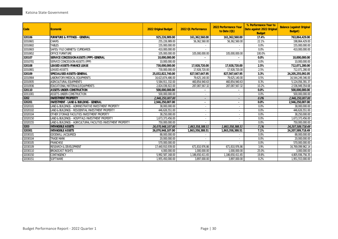| <b>Code</b> | Economic                                                       | 2022 Original Budget | 2022 Q1 Performance | 2022 Performance Year<br>to Date (Q1) | % Performance Year to<br>Date against 2022 Original<br><b>Budget</b> | <b>Balance (against Original</b><br><b>Budget</b> ) |
|-------------|----------------------------------------------------------------|----------------------|---------------------|---------------------------------------|----------------------------------------------------------------------|-----------------------------------------------------|
| 320106      | <b>FURNITURE &amp; FITTINGS - GENERAL</b>                      | 925,226,989.00       | 161,362,560.00      | 161,362,560.00                        | 17.4%                                                                | 763,864,429.00                                      |
| 32010601    | <b>CHAIRS</b>                                                  | 255,226,989.00       | 56,362,560.00       | 56.362.560.00                         | 22.1%                                                                | 198,864,429.00                                      |
| 32010602    | <b>TABLES</b>                                                  | 155,000,000.00       |                     |                                       | 0.0%                                                                 | 155,000,000.00                                      |
| 32010603    | SAFES/ FILE CABINETS/ CUPBOARDS                                | 410,000,000.00       |                     |                                       | 0.0%                                                                 | 410,000,000.00                                      |
| 32010652    | <b>OFFICE FURNITURE</b>                                        | 105,000,000.00       | 105,000,000.00      | 105,000,000.00                        | 100.0%                                                               |                                                     |
| 320107      | SERVICE CONCESSION ASSETS (PPP)-GENERAL                        | 10,000,000.00        |                     |                                       | 0.0%                                                                 | 10,000,000.00                                       |
| 32010701    | SERVICE CONCESSION ASSETS (PPP)                                | 10,000,000.00        |                     |                                       | 0.0%                                                                 | 10,000,000.00                                       |
| 320108      | LEASED ASSETS-FINANCE LEASE                                    | 730,000,000.00       | 17,928,720.00       | 17,928,720.00                         | 2.5%                                                                 | 712,071,280.00                                      |
| 32010801    | <b>LEASED ASSETS</b>                                           | 730,000,000.00       | 17,928,720.00       | 17,928,720.00                         | 2.5%                                                                 | 712,071,280.00                                      |
| 320109      | <b>SPECIALISED ASSETS-GENERAL</b>                              | 25.032.822.740.00    | 827,567,647.95      | 827,567,647.95                        | 3.3%                                                                 | 24,205,255,092.05                                   |
| 32010904    | LABORATORY/MEDICAL EOUIPMENTS                                  | 16,623,874,486.00    | 79,625,140.00       | 79,625,140.00                         | 0.5%                                                                 | 16,544,249,346.00                                   |
| 32010935    | AGRICULTURAL EQUIPMENTS                                        | 5,584,911,332.00     | 460,854,940.63      | 460,854,940.63                        | 8.3%                                                                 | 5,124,056,391.37                                    |
| 32010936    | EDUCATIONAL MATERIALS/EQUIPMENTS                               | 2,824,036,922.00     | 287,087,567.32      | 287,087,567.32                        | 10.2%                                                                | 2,536,949,354.68                                    |
| 320110      | <b>ASSETS-UNDER-CONSTRUCTION</b>                               | 500,000,000.00       |                     |                                       | 0.0%                                                                 | 500,000,000.00                                      |
| 32011001    | ASSETS-UNDER-CONSTRUCTION                                      | 500.000.000.00       |                     |                                       | 0.0%                                                                 | 500,000,000.00                                      |
| 3202        | <b>INVESTMENT PROPERTY</b>                                     | 2,946,250,007.00     |                     |                                       | 0.0%                                                                 | 2,946,250,007.00                                    |
| 320201      | <b>INVESTMENT - LAND &amp; BUILDING - GENERAL</b>              | 2,946,250,007.00     |                     |                                       | 0.0%                                                                 | 2,946,250,007.00                                    |
| 32020101    | LAND & BUILDINGS - ADMINISTRATIVE INVESTMENT PROPERTY          | 38,000,000.00        |                     |                                       | 0.0%                                                                 | 38,000,000.00                                       |
| 32020102    | LAND & BUILDINGS - RESIDENTIAL INVESTMENT PROPERTY             | 446,626,551.00       |                     |                                       | 0.0%                                                                 | 446,626,551.00                                      |
| 32020104    | OTHER STORAGE FACILITIES INVESTMENT PROPERTY                   | 38.250.000.00        | $\sim$              |                                       | 0.0%                                                                 | 38.250.000.00                                       |
| 32020150    | LAND & BUILDINGS - HOSPITALS INVESTMENT PROPERTY               | 1,673,373,456.00     |                     |                                       | 0.0%                                                                 | 1,673,373,456.00                                    |
| 32020155    | LAND & BUILDINGS - AGRICULTURAL FACILITIES INVESTMENT PROPERTY | 750,000,000.00       |                     |                                       | 0.0%                                                                 | 750,000,000.00                                      |
| 3203        | <b>INTANGIBLE ASSETS</b>                                       | 26,070,948,107.00    | 1,863,358,388.51    | 1,863,358,388.51                      | 7.1%                                                                 | 24,207,589,718.49                                   |
| 320301      | <b>INTANGIBLE ASSETS</b>                                       | 26,070,948,107.00    | 1,863,358,388.51    | 1,863,358,388.51                      | 7.1%                                                                 | 24,207,589,718.49                                   |
| 32030101    | <b>GOODWILL (ACQUIRED)</b>                                     | 88,000,000.00        |                     |                                       | 0.0%                                                                 | 88,000,000.00                                       |
| 32030104    | <b>TRADE MARK</b>                                              | 20,000,000.00        |                     |                                       | 0.0%                                                                 | 20,000,000.00                                       |
| 32030105    | <b>FRANCHISE</b>                                               | 570,000,000.00       |                     |                                       | 0.0%                                                                 | 570,000,000.00                                      |
| 32030109    | <b>RESEARCH &amp; DEVELOPMENT</b>                              | 17,440,910,939.00    | 671.810.976.86      | 671,810,976.86                        | 3.9%                                                                 | 16,769,099,962.14                                   |
| 32030110    | <b>BROADCAST RIGHTS</b>                                        | 4,000,000.00         | 1,000,000.00        | 1,000,000.00                          | 25.0%                                                                | 3,000,000.00                                        |
| 32030150    | <b>CONTINGENCY</b>                                             | 5,992,587,168.00     | 1,186,650,411.65    | 1,186,650,411.65                      | 19.8%                                                                | 4,805,936,756.35                                    |
| 32030151    | <b>SOFTWARE</b>                                                | 1,955,450,000.00     | 3,897,000.00        | 3,897,000.00                          | 0.2%                                                                 | 1,951,553,000.00                                    |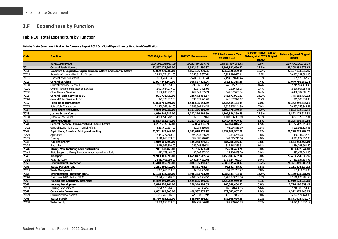## **2.F Expenditure by Function**

#### **Table 10: Total Expenditure by Function**

**Katsina State Government Budget Performance Report 2022 Q1 - Total Expenditure by Functional Classification**

<span id="page-31-1"></span><span id="page-31-0"></span>

| Code  | <b>Function</b>                                                       | 2022 Original Budget | 2022 Q1 Performance | 2022 Performance Year<br>to Date (Q1) | % Performance Year to<br>Date against 2022 Original<br><b>Budget</b> | <b>Balance (against Original</b><br><b>Budget</b> ) |
|-------|-----------------------------------------------------------------------|----------------------|---------------------|---------------------------------------|----------------------------------------------------------------------|-----------------------------------------------------|
|       | <b>Total Expenditure</b>                                              | 323,296,220,961.00   | 28.565.497.854.46   | 28,565,497,854.46                     | 8.8%                                                                 | 294,730,723,106.54                                  |
| 701   | <b>General Public Service</b>                                         | 62,897,123,667.00    | 7,591,891,690.37    | 7,591,891,690.37                      | 12.1%                                                                | 55,305,231,976.63                                   |
| 7011  | Executive & Legislative Organ, Financial Affairs and External Affairs | 27,009,239,585.00    | 4,852,126,239.05    | 4,852,126,239.05                      | 18.0%                                                                | 22, 157, 113, 345. 95                               |
| 70111 | Executive Organ and Legislative Organs                                | 13,348,774,611.00    | 2,357,586,627.61    | 2,357,586,627.61                      | 17.7%                                                                | 10,991,187,983.39                                   |
| 70112 | <b>Financial and Fiscal Affairs</b>                                   | 13,660,464,974.00    | 2,494,539,611.44    | 2,494,539,611.44                      | 18.3%                                                                | 11, 165, 925, 362.56                                |
| 7013  | <b>General Services</b>                                               | 12,997,344,169.00    | 956,587,315.26      | 956,587,315.26                        | 7.4%                                                                 | 12,040,756,853.74                                   |
| 70131 | <b>General Personnel Services</b>                                     | 2,963,629,653.00     | 248,065,233.57      | 248,065,233.57                        | 8.4%                                                                 | 2,715,564,419.43                                    |
| 70132 | Overall Planning and Statistical Services                             | 2,927,684,279.00     | 40,879,425.95       | 40,879,425.95                         | 1.4%                                                                 | 2,886,804,853.05                                    |
| 70133 | <b>Other General Services</b>                                         | 7,106,030,237.00     | 667,642,655.74      | 667,642,655.74                        | 9.4%                                                                 | 6,438,387,581.26                                    |
| 7016  | <b>General Public Services N.E.C</b>                                  | 991,778,422.00       | 246,672,991.67      | 246,672,991.67                        | 24.9%                                                                | 745,105,430.33                                      |
| 70161 | General Public Services N.E.C                                         | 991,778,422.00       | 246,672,991.67      | 246,672,991.67                        | 24.9%                                                                | 745, 105, 430.33                                    |
| 7017  | <b>Public Debt Transactions</b>                                       | 21,898,761,491.00    | 1,536,505,144.39    | 1,536,505,144.39                      | 7.0%                                                                 | 20,362,256,346.61                                   |
| 70171 | <b>Public Debt Transactions</b>                                       | 21,898,761,491.00    | 1,536,505,144.39    | 1,536,505,144.39                      | 7.0%                                                                 | 20,362,256,346.61                                   |
| 703   | <b>Public Order and Safety</b>                                        | 4,930,549,287.00     | 1,107,376,369.69    | 1,107,376,369.69                      | 22.5%                                                                | 3,823,172,917.31                                    |
| 7033  | <b>Justice &amp; Law Courts</b>                                       | 4,930,549,287.00     | 1,107,376,369.69    | 1,107,376,369.69                      | 22.5%                                                                | 3,823,172,917.31                                    |
| 70331 | Justice & Law Courts                                                  | 4,930,549,287.00     | 1,107,376,369.69    | 1,107,376,369.69                      | 22.5%                                                                | 3,823,172,917.31                                    |
| 704   | <b>Economic Affairs</b>                                               | 59,563,102,843.00    | 3,267,496,090.42    | 3,267,496,090.42                      | 5.5%                                                                 | 56,295,606,752.58                                   |
| 7041  | General Economic, Commercial and Labour Affairs                       | 4,257,617,637.00     | 62,054,816.59       | 62,054,816.59                         | 1.5%                                                                 | 4,195,562,820.41                                    |
| 70411 | General Economic and Commercial Affairs                               | 4,257,617,637.00     | 62,054,816.59       | 62,054,816.59                         | 1.5%                                                                 | 4,195,562,820.41                                    |
| 7042  | Agriculture, Forestry, Fishing and Hunting                            | 21,561,342,942.00    | 1,332,618,952.28    | 1,332,618,952.28                      | 6.2%                                                                 | 20,228,723,989.72                                   |
| 70421 | Agriculture                                                           | 12,451,277,469.00    | 970,533,236.28      | 970,533,236.28                        | 7.8%                                                                 | 11,480,744,232.72                                   |
| 70422 | Forestry                                                              | 9,110,065,473.00     | 362,085,716.00      | 362,085,716.00                        | 4.0%                                                                 | 8,747,979,757.00                                    |
| 7043  | <b>Fuel and Energy</b>                                                | 3,919,561,800.00     | 385,268,236.31      | 385,268,236.31                        | 9.8%                                                                 | 3,534,293,563.69                                    |
| 70435 | Electricity                                                           | 3,919,561,800.00     | 385,268,236.31      | 385,268,236.31                        | 9.8%                                                                 | 3,534,293,563.69                                    |
| 7044  | Mining, Manufacturing and Construction                                | 911.178.468.00       | 27,706,423.20       | 27.706.423.20                         | 3.0%                                                                 | 883,472,044.80                                      |
| 70441 | State Support to Mining Resources other than mineral fuels            | 911,178,468.00       | 27.706.423.20       | 27,706,423.20                         | 3.0%                                                                 | 883,472,044.80                                      |
| 7045  | <b>Transport</b>                                                      | 28,913,401,996.00    | 1,459,847,662.04    | 1,459,847,662.04                      | 5.0%                                                                 | 27,453,554,333.96                                   |
| 70451 | Road Transport                                                        | 28,913,401,996.00    | 1,459,847,662.04    | 1,459,847,662.04                      | 5.0%                                                                 | 27,453,554,333.96                                   |
| 705   | <b>Environmental Protection</b>                                       | 33,410,085,396.00    | 5,088,195,490.47    | 5,088,195,490.47                      | 15.2%                                                                | 28,321,889,905.53                                   |
| 7051  | <b>Waste Management</b>                                               | 1,281,666,410.00     | 99,851,785.97       | 99,851,785.97                         | 7.8%                                                                 | 1,181,814,624.03                                    |
| 70511 | Waste Management                                                      | 1,281,666,410.00     | 99,851,785.97       | 99,851,785.97                         | 7.8%                                                                 | 1,181,814,624.03                                    |
| 7056  | <b>Environmental Protection NE.C.</b>                                 | 32,128,418,986.00    | 4,988,343,704.50    | 4,988,343,704.50                      | 15.5%                                                                | 27,140,075,281.50                                   |
| 70561 | Environmental Protection N.E.C                                        | 32,128,418,986.00    | 4,988,343,704.50    | 4,988,343,704.50                      | 15.5%                                                                | 27,140,075,281.50                                   |
| 706   | <b>Housing and Community Amenities</b>                                | 49,439,949,199.00    | 1,529,825,959.35    | 1,529,825,959.35                      | 3.1%                                                                 | 47,910,123,239.65                                   |
| 7061  | <b>Housing Development</b>                                            | 2,876,528,764.00     | 160,348,404.55      | 160,348,404.55                        | 5.6%                                                                 | 2,716,180,359.45                                    |
| 70611 | <b>Housing Development</b>                                            | 2,876,528,764.00     | 160,348,404.55      | 160,348,404.55                        | 5.6%                                                                 | 2,716,180,359.45                                    |
| 7062  | <b>Community Development</b>                                          | 6,802,465,306.00     | 479,537,857.97      | 479,537,857.97                        | 7.0%                                                                 | 6,322,927,448.03                                    |
| 70621 | <b>Community Development</b>                                          | 6,802,465,306.00     | 479,537,857.97      | 479,537,857.97                        | 7.0%                                                                 | 6,322,927,448.03                                    |
| 7063  | <b>Water Supply</b>                                                   | 39,760,955,129.00    | 889,939,696.83      | 889,939,696.83                        | 2.2%                                                                 | 38,871,015,432.17                                   |
| 70631 | <b>Water Supply</b>                                                   | 39,760,955,129.00    | 889,939,696.83      | 889,939,696.83                        | 2.2%                                                                 | 38,871,015,432.17                                   |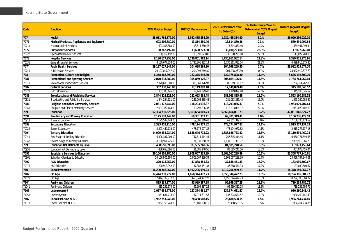| Code  | <b>Function</b>                               | 2022 Original Budget | 2022 Q1 Performance | 2022 Performance Year<br>to Date (Q1) | % Performance Year to<br>Date against 2022 Original<br><b>Budget</b> | <b>Balance (against Original</b><br><b>Budget</b> ) |
|-------|-----------------------------------------------|----------------------|---------------------|---------------------------------------|----------------------------------------------------------------------|-----------------------------------------------------|
| 707   | Health                                        | 38,011,764,577.00    | 1,982,465,354.90    | 1,982,465,354.90                      | 5.2%                                                                 | 36,029,299,222.10                                   |
| 7071  | Medical Products, Appliances and Equipment    | 603,306,880.00       | 13,814,880.46       | 13,814,880.46                         | 2.3%                                                                 | 589,491,999.54                                      |
| 70711 | <b>Pharmaceutical Products</b>                | 603,306,880.00       | 13,814,880.46       | 13,814,880.46                         | 2.3%                                                                 | 589,491,999.54                                      |
| 7072  | <b>Outpatient Services</b>                    | 150,762,492.00       | 33,690,223.00       | 33,690,223.00                         | 22.3%                                                                | 117,072,269.00                                      |
| 70722 | <b>Specialized Medical Services</b>           | 150,762,492.00       | 33,690,223.00       | 33,690,223.00                         | 22.3%                                                                | 117,072,269.00                                      |
| 7073  | <b>Hospital Services</b>                      | 8,130,677,258.00     | 1,730,861,982.14    | 1,730,861,982.14                      | 21.3%                                                                | 6,399,815,275.86                                    |
| 70731 | <b>General Hospital Services</b>              | 8,130,677,258.00     | 1,730,861,982.14    | 1,730,861,982.14                      | 21.3%                                                                | 6,399,815,275.86                                    |
| 7074  | <b>Public Health Services</b>                 | 29,127,017,947.00    | 204,098,269.30      | 204,098,269.30                        | 0.7%                                                                 | 28,922,919,677.70                                   |
| 70741 | <b>Public Health Services</b>                 | 29,127,017,947.00    | 204,098,269.30      | 204,098,269.30                        | 0.7%                                                                 | 28,922,919,677.70                                   |
| 708   | Recreation, Culture and Religion              | 6,358,568,399.00     | 722,375,898.30      | 722,375,898.30                        | 11.4%                                                                | 5,636,192,500.70                                    |
| 7081  | <b>Recreational and Sporting Services</b>     | 2,070,633,389.00     | 305,869,126.97      | 305,869,126.97                        | 14.8%                                                                | 1,764,764,262.03                                    |
| 70811 | Recreational and Sporting Services            | 2,070,633,389.00     | 305,869,126.97      | 305,869,126.97                        | 14.8%                                                                | 1,764,764,262.03                                    |
| 7082  | <b>Cultural Services</b>                      | 362,338,445.00       | 17,149,899.48       | 17,149,899.48                         | 4.7%                                                                 | 345, 188, 545.52                                    |
| 70821 | <b>Cultural Services</b>                      | 362,338,445.00       | 17,149,899.48       | 17,149,899.48                         | 4.7%                                                                 | 345, 188, 545.52                                    |
| 7083  | <b>Broadcasting and Publishing Services</b>   | 1,844,224,121.00     | 281,063,835.48      | 281,063,835.48                        | 15.2%                                                                | 1,563,160,285.52                                    |
| 70831 | Broadcasting and Publishing Services          | 1,844,224,121.00     | 281,063,835.48      | 281,063,835.48                        | 15.2%                                                                | 1,563,160,285.52                                    |
| 7084  | <b>Religious and Other Community Services</b> | 2,081,372,444.00     | 118,293,036.37      | 118,293,036.37                        | 5.7%                                                                 | 1,963,079,407.63                                    |
| 70841 | Religious and Other Community Services        | 2,081,372,444.00     | 118,293,036.37      | 118,293,036.37                        | 5.7%                                                                 | 1,963,079,407.63                                    |
| 709   | Education                                     | 52,394,710,626.00    | 5,363,664,001.73    | 5,363,664,001.73                      | 10.2%                                                                | 47,031,046,624.27                                   |
| 7091  | Pre-Primary and Primary Education             | 7,175,537,449.00     | 69,301,319.41       | 69,301,319.41                         | 1.0%                                                                 | 7,106,236,129.59                                    |
| 70912 | <b>Primary Education</b>                      | 7,175,537,449.00     | 69,301,319.41       | 69,301,319.41                         | 1.0%                                                                 | 7,106,236,129.59                                    |
| 7092  | <b>Secondary Education</b>                    | 3,393,452,115.00     | 478,174,977.82      | 478,174,977.82                        | 14.1%                                                                | 2,915,277,137.18                                    |
| 70922 | Senior Secondary                              | 3,393,452,115.00     | 478,174,977.82      | 478,174,977.82                        | 14.1%                                                                | 2,915,277,137.18                                    |
| 7094  | <b>Tertiary Education</b>                     | 14,999,338,234.00    | 1,888,646,773.22    | 1,888,646,773.22                      | 12.6%                                                                | 13,110,691,460.78                                   |
| 70941 | First Stage of Tertiary Education             | 6,808,387,009.00     | 757,615,414.45      | 757,615,414.45                        | 11.1%                                                                | 6,050,771,594.55                                    |
| 70942 | Second Stage of Tertiary Education            | 8,190,951,225.00     | 1,131,031,358.77    | 1,131,031,358.77                      | 13.8%                                                                | 7,059,919,866.23                                    |
| 7095  | Education Not Definable by Level              | 438,658,696.00       | 81,585,240.56       | 81,585,240.56                         | 18.6%                                                                | 357,073,455.44                                      |
| 70951 | Education Not Definable by Level              | 438,658,696.00       | 81,585,240.56       | 81,585,240.56                         | 18.6%                                                                | 357,073,455.44                                      |
| 7096  | <b>Subsidiary Services to Education</b>       | 26, 166, 805, 180.00 | 2,808,067,239.39    | 2,808,067,239.39                      | 10.7%                                                                | 23,358,737,940.61                                   |
| 70961 | Subsidiary Services to Education              | 26, 166, 805, 180.00 | 2,808,067,239.39    | 2,808,067,239.39                      | 10.7%                                                                | 23,358,737,940.61                                   |
| 7097  | <b>R&amp;D Education</b>                      | 220,918,952.00       | 37,888,451.33       | 37,888,451.33                         | 17.2%                                                                | 183,030,500.67                                      |
| 70971 | R&D Education                                 | 220,918,952.00       | 37,888,451.33       | 37,888,451.33                         | 17.2%                                                                | 183,030,500.67                                      |
| 710   | Social Protection                             | 16,290,366,967.00    | 1,912,206,999.23    | 1,912,206,999.23                      | 11.7%                                                                | 14,378,159,967.77                                   |
| 7102  | Old Age                                       | 12,444,739,777.00    | 1,650,344,472.23    | 1,650,344,472.23                      | 13.3%                                                                | 10,794,395,304.77                                   |
| 71021 | Old Age                                       | 12,444,739,777.00    | 1,650,344,472.23    | 1,650,344,472.23                      | 13.3%                                                                | 10,794,395,304.77                                   |
| 7104  | <b>Family and Children</b>                    | 815,239,174.00       | 95,999,387.28       | 95,999,387.28                         | 11.8%                                                                | 719,239,786.72                                      |
| 71041 | Family and Children                           | 815,239,174.00       | 95,999,387.28       | 95,999,387.28                         | 11.8%                                                                | 719,239,786.72                                      |
| 7105  | <b>Unemployment</b>                           | 1,067,634,773.00     | 137,374,631.57      | 137,374,631.57                        | 12.9%                                                                | 930,260,141.43                                      |
| 71051 | Unemployment                                  | 1,067,634,773.00     | 137,374,631.57      | 137,374,631.57                        | 12.9%                                                                | 930,260,141.43                                      |
| 7107  | Social Exclusion N. E. C                      | 1,962,753,243.00     | 28,488,508.15       | 28,488,508.15                         | 1.5%                                                                 | 1,934,264,734.85                                    |
| 71071 | Social Exclusion N. E. C                      | 1,962,753,243.00     | 28,488,508.15       | 28,488,508.15                         | 1.5%                                                                 | 1,934,264,734.85                                    |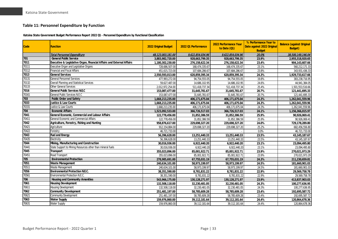#### **Table 11: Personnel Expenditure by Function**

**Katsina State Government Budget Performance Report 2022 Q1 - Personnel Expenditure by Functional Classification**

<span id="page-33-0"></span>

| Code  | <b>Function</b>                                                       | 2022 Original Budget | 2022 Q1 Performance | 2022 Performance Year<br>to Date (Q1) | % Performance Year to<br>Date against 2022 Original<br><b>Budget</b> | <b>Balance (against Original</b><br><b>Budget</b> ) |
|-------|-----------------------------------------------------------------------|----------------------|---------------------|---------------------------------------|----------------------------------------------------------------------|-----------------------------------------------------|
|       | <b>Total Personnel Expenditure</b>                                    | 48,123,003,181.00    | 9,622,854,034.96    | 9,622,854,034.96                      | 20.0%                                                                | 38,500,149,146.04                                   |
| 701   | <b>General Public Service</b>                                         | 3,883,982,720.00     | 928,663,799.35      | 928,663,799.35                        | 23.9%                                                                | 2,955,318,920.65                                    |
| 7011  | Executive & Legislative Organ, Financial Affairs and External Affairs | 1,180,302,230.00     | 276,158,622.34      | 276,158,622.34                        | 23.4%                                                                | 904,143,607.66                                      |
| 70111 | Executive Organ and Legislative Organs                                | 728,686,507.00       | 168,474,335.67      | 168,474,335.67                        | 23.1%                                                                | 560,212,171.33                                      |
| 70112 | <b>Financial and Fiscal Affairs</b>                                   | 451,615,723.00       | 107,684,286.67      | 107,684,286.67                        | 23.8%                                                                | 343,931,436.33                                      |
| 7013  | <b>General Services</b>                                               | 2,550,593,013.00     | 620,859,395.34      | 620,859,395.34                        | 24.3%                                                                | 1,929,733,617.66                                    |
| 70131 | <b>General Personnel Services</b>                                     | 477,993,272.00       | 94,754,555.05       | 94,754,555.05                         | 19.8%                                                                | 383,238,716.95                                      |
| 70132 | Overall Planning and Statistical Services                             | 59,627,487.00        | 14,686,102.95       | 14,686,102.95                         | 24.6%                                                                | 44,941,384.05                                       |
| 70133 | <b>Other General Services</b>                                         | 2,012,972,254.00     | 511,418,737.34      | 511,418,737.34                        | 25.4%                                                                | 1,501,553,516.66                                    |
| 7016  | <b>General Public Services N.E.C</b>                                  | 153,087,477.00       | 31,645,781.67       | 31,645,781.67                         | 20.7%                                                                | 121,441,695.33                                      |
| 70161 | General Public Services N.E.C                                         | 153,087,477.00       | 31,645,781.67       | 31,645,781.67                         | 20.7%                                                                | 121,441,695.33                                      |
| 703   | Public Order and Safety                                               | 1,668,213,235.00     | 406,171,675.04      | 406,171,675.04                        | 24.3%                                                                | 1,262,041,559.96                                    |
| 7033  | <b>Justice &amp; Law Courts</b>                                       | 1.668.213.235.00     | 406,171,675.04      | 406.171.675.04                        | 24.3%                                                                | 1,262,041,559.96                                    |
| 70331 | Justice & Law Courts                                                  | 1,668,213,235.00     | 406,171,675.04      | 406,171,675.04                        | 24.3%                                                                | 1,262,041,559.96                                    |
| 704   | <b>Economic Affairs</b>                                               | 1,523,092,533.00     | 366,726,517.03      | 366,726,517.03                        | 24.1%                                                                | 1,156,366,015.97                                    |
| 7041  | General Economic, Commercial and Labour Affairs                       | 122,778,456.00       | 31,852,386.59       | 31,852,386.59                         | 25.9%                                                                | 90,926,069.41                                       |
| 70411 | General Economic and Commercial Affairs                               | 122,778,456.00       | 31,852,386.59       | 31,852,386.59                         | 25.9%                                                                | 90,926,069.41                                       |
| 7042  | Agriculture, Forestry, Fishing and Hunting                            | 958,876,617.00       | 229,698,327.20      | 229,698,327.20                        | 24.0%                                                                | 729,178,289.80                                      |
| 70421 | Agriculture                                                           | 912,154,884.00       | 229,698,327.20      | 229,698,327.20                        | 25.2%                                                                | 682,456,556.80                                      |
| 70422 | Forestry                                                              | 46,721,733.00        |                     |                                       | 0.0%                                                                 | 46,721,733.00                                       |
| 7043  | <b>Fuel and Energy</b>                                                | 56,396,628.00        | 13,251,440.33       | 13,251,440.33                         | 23.5%                                                                | 43,145,187.67                                       |
| 70435 | Electricity                                                           | 56,396,628.00        | 13,251,440.33       | 13,251,440.33                         | 23.5%                                                                | 43, 145, 187. 67                                    |
| 7044  | Mining, Manufacturing and Construction                                | 30,016,936.00        | 6,922,440.20        | 6,922,440.20                          | 23.1%                                                                | 23,094,495.80                                       |
| 70441 | State Support to Mining Resources other than mineral fuels            | 30,016,936.00        | 6,922,440.20        | 6,922,440.20                          | 23.1%                                                                | 23,094,495.80                                       |
| 7045  | <b>Transport</b>                                                      | 355,023,896.00       | 85,001,922.71       | 85,001,922.71                         | 23.9%                                                                | 270,021,973.29                                      |
| 70451 | Road Transport                                                        | 355,023,896.00       | 85,001,922.71       | 85,001,922.71                         | 23.9%                                                                | 270,021,973.29                                      |
| 705   | <b>Environmental Protection</b>                                       | 278,985,691.00       | 67,755,031.19       | 67,755,031.19                         | 24.3%                                                                | 211,230,659.81                                      |
| 7051  | <b>Waste Management</b>                                               | 240,634,101.00       | 58,973,199.97       | 58,973,199.97                         | 24.5%                                                                | 181,660,901.03                                      |
| 70511 | Waste Management                                                      | 240,634,101.00       | 58,973,199.97       | 58,973,199.97                         | 24.5%                                                                | 181,660,901.03                                      |
| 7056  | <b>Environmental Protection N.E.C.</b>                                | 38,351,590.00        | 8,781,831.22        | 8,781,831.22                          | 22.9%                                                                | 29,569,758.78                                       |
| 70561 | Environmental Protection N.E.C.                                       | 38,351,590.00        | 8,781,831.22        | 8,781,831.22                          | 22.9%                                                                | 29,569,758.78                                       |
| 706   | Housing and Community Amenities                                       | 543,966,175.00       | 130,128,271.97      | 130,128,271.97                        | 23.9%                                                                | 413,837,903.03                                      |
| 7061  | <b>Housing Development</b>                                            | 132,508,118.00       | 32,230,481.05       | 32,230,481.05                         | 24.3%                                                                | 100,277,636.95                                      |
| 70611 | <b>Housing Development</b>                                            | 132,508,118.00       | 32,230,481.05       | 32,230,481.05                         | 24.3%                                                                | 100,277,636.95                                      |
| 7062  | <b>Community Development</b>                                          | 251,481,197.00       | 58,785,609.28       | 58,785,609.28                         | 23.4%                                                                | 192,695,587.72                                      |
| 70621 | <b>Community Development</b>                                          | 251,481,197.00       | 58,785,609.28       | 58,785,609.28                         | 23.4%                                                                | 192,695,587.72                                      |
| 7063  | <b>Water Supply</b>                                                   | 159,976,860.00       | 39,112,181.64       | 39,112,181.64                         | 24.4%                                                                | 120,864,678.36                                      |
| 70631 | <b>Water Supply</b>                                                   | 159.976.860.00       | 39,112,181.64       | 39,112,181.64                         | 24.4%                                                                | 120,864,678.36                                      |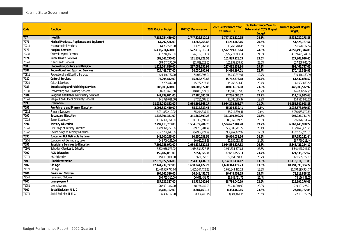| Code  | <b>Function</b>                               | 2022 Original Budget | 2022 Q1 Performance | 2022 Performance Year<br>to Date (Q1) | % Performance Year to<br>Date against 2022 Original<br><b>Budget</b> | <b>Balance (against Original</b><br><b>Budget</b> ) |
|-------|-----------------------------------------------|----------------------|---------------------|---------------------------------------|----------------------------------------------------------------------|-----------------------------------------------------|
| 707   | Health                                        | 7,186,054,489.00     | 1,747,822,310.15    | 1,747,822,310.15                      | 24.3%                                                                | 5,438,232,178.85                                    |
| 7071  | Medical Products, Appliances and Equipment    | 64,792,556.00        | 13,263,768.46       | 13,263,768.46                         | 20.5%                                                                | 51,528,787.54                                       |
| 70711 | Pharmaceutical Products                       | 64,792,556.00        | 13,263,768.46       | 13,263,768.46                         | 20.5%                                                                | 51,528,787.54                                       |
| 7073  | <b>Hospital Services</b>                      | 6,432,214,658.00     | 1,572,719,313.14    | 1,572,719,313.14                      | 24.5%                                                                | 4,859,495,344.86                                    |
| 70731 | General Hospital Services                     | 6,432,214,658.00     | 1,572,719,313.14    | 1,572,719,313.14                      | 24.5%                                                                | 4,859,495,344.86                                    |
| 7074  | <b>Public Health Services</b>                 | 689,047,275.00       | 161,839,228.55      | 161,839,228.55                        | 23.5%                                                                | 527,208,046.45                                      |
| 70741 | <b>Public Health Services</b>                 | 689,047,275.00       | 161,839,228.55      | 161,839,228.55                        | 23.5%                                                                | 527,208,046.45                                      |
| 708   | Recreation, Culture and Religion              | 1,229,544,880.00     | 237,082,132.94      | 237,082,132.94                        | 19.3%                                                                | 992,462,747.06                                      |
| 7081  | <b>Recreational and Sporting Services</b>     | 424,446,767.00       | 54,030,397.01       | 54,030,397.01                         | 12.7%                                                                | 370,416,369.99                                      |
| 70811 | Recreational and Sporting Services            | 424,446,767.00       | 54,030,397.01       | 54,030,397.01                         | 12.7%                                                                | 370,416,369.99                                      |
| 7082  | <b>Cultural Services</b>                      | 77,295,442.00        | 15,762,573.48       | 15,762,573.48                         | 20.4%                                                                | 61,532,868.52                                       |
| 70821 | <b>Cultural Services</b>                      | 77,295,442.00        | 15,762,573.48       | 15,762,573.48                         | 20.4%                                                                | 61,532,868.52                                       |
| 7083  | Broadcasting and Publishing Services          | 586,003,650.00       | 140,003,077.08      | 140,003,077.08                        | 23.9%                                                                | 446,000,572.92                                      |
| 70831 | Broadcasting and Publishing Services          | 586,003,650.00       | 140,003,077.08      | 140,003,077.08                        | 23.9%                                                                | 446,000,572.92                                      |
| 7084  | <b>Religious and Other Community Services</b> | 141,799,021.00       | 27,286,085.37       | 27,286,085.37                         | 19.2%                                                                | 114,512,935.63                                      |
| 70841 | Religious and Other Community Services        | 141,799,021.00       | 27,286,085.37       | 27,286,085.37                         | 19.2%                                                                | 114,512,935.63                                      |
| 709   | Education                                     | 18,936,240,862.00    | 3,984,392,863.17    | 3,984,392,863.17                      | 21.0%                                                                | 14,951,847,998.83                                   |
| 7091  | Pre-Primary and Primary Education             | 2,091,887,410.00     | 55,214,339.41       | 55,214,339.41                         | 2.6%                                                                 | 2,036,673,070.59                                    |
| 70912 | <b>Primary Education</b>                      | 2,091,887,410.00     | 55,214,339.41       | 55,214,339.41                         | 2.6%                                                                 | 2,036,673,070.59                                    |
| 7092  | <b>Secondary Education</b>                    | 1,336,396,351.00     | 341,369,599.26      | 341,369,599.26                        | 25.5%                                                                | 995,026,751.74                                      |
| 70922 | Senior Secondary                              | 1,336,396,351.00     | 341,369,599.26      | 341,369,599.26                        | 25.5%                                                                | 995,026,751.74                                      |
| 7094  | <b>Tertiary Education</b>                     | 7,797,113,703.00     | 1,534,672,704.78    | 1,534,672,704.78                      | 19.7%                                                                | 6,262,440,998.22                                    |
| 70941 | First Stage of Tertiary Education             | 2,269,378,755.00     | 569,705,281.79      | 569,705,281.79                        | 25.1%                                                                | 1,699,673,473.21                                    |
| 70942 | Second Stage of Tertiary Education            | 5,527,734,948.00     | 964, 967, 422. 99   | 964, 967, 422. 99                     | 17.5%                                                                | 4,562,767,525.01                                    |
| 7095  | Education Not Definable by Level              | 248,700,245.00       | 60,950,033.56       | 60,950,033.56                         | 24.5%                                                                | 187,750,211.44                                      |
| 70951 | Education Not Definable by Level              | 248,700,245.00       | 60,950,033.56       | 60,950,033.56                         | 24.5%                                                                | 187,750,211.44                                      |
| 7096  | Subsidiary Services to Education              | 7,302,956,072.00     | 1,954,534,827.83    | 1,954,534,827.83                      | 26.8%                                                                | 5,348,421,244.17                                    |
| 70961 | Subsidiary Services to Education              | 7,302,956,072.00     | 1,954,534,827.83    | 1,954,534,827.83                      | 26.8%                                                                | 5,348,421,244.17                                    |
| 7097  | <b>R&amp;D</b> Education                      | 159,187,081.00       | 37,651,358.33       | 37,651,358.33                         | 23.7%                                                                | 121,535,722.67                                      |
| 70971 | <b>R&amp;D Education</b>                      | 159,187,081.00       | 37,651,358.33       | 37,651,358.33                         | 23.7%                                                                | 121,535,722.67                                      |
| 710   | <b>Social Protection</b>                      | 12,872,922,596.00    | 1,754,111,434.12    | 1,754,111,434.12                      | 13.6%                                                                | 11,118,811,161.88                                   |
| 7102  | Old Age                                       | 12,444,739,777.00    | 1,650,344,472.23    | 1,650,344,472.23                      | 13.3%                                                                | 10,794,395,304.77                                   |
| 71021 | Old Age                                       | 12,444,739,777.00    | 1,650,344,472.23    | 1,650,344,472.23                      | 13.3%                                                                | 10,794,395,304.77                                   |
| 7104  | <b>Family and Children</b>                    | 104,765,310.00       | 26,648,451.75       | 26,648,451.75                         | 25.4%                                                                | 78,116,858.25                                       |
| 71041 | Family and Children                           | 104,765,310.00       | 26,648,451.75       | 26,648,451.75                         | 25.4%                                                                | 78,116,858.25                                       |
| 7105  | <b>Unemployment</b>                           | 287,931,317.00       | 68,734,040.99       | 68,734,040.99                         | 23.9%                                                                | 219,197,276.01                                      |
| 71051 | Unemployment                                  | 287,931,317.00       | 68,734,040.99       | 68,734,040.99                         | 23.9%                                                                | 219, 197, 276.01                                    |
| 7107  | Social Exclusion N. E. C                      | 35,486,192.00        | 8,384,469.15        | 8,384,469.15                          | 23.6%                                                                | 27,101,722.85                                       |
| 71071 | Social Exclusion N. E. C                      | 35,486,192.00        | 8,384,469.15        | 8,384,469.15                          | 23.6%                                                                | 27, 101, 722.85                                     |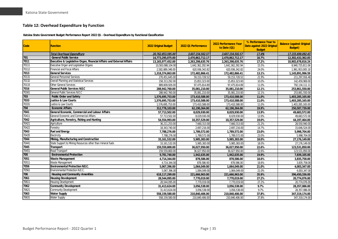#### **Table 12: Overhead Expenditure by Function**

**Katsina State Government Budget Performance Report 2022 Q1 - Overhead Expenditure by Functional Classification**

<span id="page-35-0"></span>

| <b>Code</b> | <b>Function</b>                                                       | 2022 Original Budget | 2022 Q1 Performance | 2022 Performance Year<br>to Date (Q1) | % Performance Year to<br>Date against 2022 Original<br><b>Budget</b> | <b>Balance (against Original</b><br><b>Budget</b> ) |
|-------------|-----------------------------------------------------------------------|----------------------|---------------------|---------------------------------------|----------------------------------------------------------------------|-----------------------------------------------------|
|             | <b>Total Overhead Expenditure</b>                                     | 20.762.853.595.00    | 3,607,154,502.57    | 3,607,154,502.57                      | 17.4%                                                                | 17,155,699,092.43                                   |
| 701         | <b>General Public Service</b>                                         | 14,773,295,075.00    | 2,470,862,712.17    | 2,470,862,712.17                      | 16.7%                                                                | 12.302.432.362.83                                   |
| 7011        | Executive & Legislative Organ, Financial Affairs and External Affairs | 13,165,977,452.00    | 2,263,298,635.76    | 2,263,298,635.76                      | 17.2%                                                                | 10,902,678,816.24                                   |
| 70111       | Executive Organ and Legislative Organs                                | 10,583,088,104.00    | 1,642,362,292.94    | 1,642,362,292.94                      | 15.5%                                                                | 8,940,725,811.06                                    |
| 70112       | <b>Financial and Fiscal Affairs</b>                                   | 2,582,889,348.00     | 620,936,342.82      | 620,936,342.82                        | 24.0%                                                                | 1,961,953,005.18                                    |
| 7013        | <b>General Services</b>                                               | 1,318,374,863.00     | 172,482,866.41      | 172,482,866.41                        | 13.1%                                                                | 1,145,891,996.59                                    |
| 70131       | <b>General Personnel Services</b>                                     | 270,451,645.00       | 59, 153, 728.52     | 59, 153, 728.52                       | 21.9%                                                                | 211,297,916.48                                      |
| 70132       | Overall Planning and Statistical Services                             | 158,313,292.00       | 15,853,323.00       | 15,853,323.00                         | 10.0%                                                                | 142,459,969.00                                      |
| 70133       | <b>Other General Services</b>                                         | 889,609,926.00       | 97,475,814.89       | 97,475,814.89                         | 11.0%                                                                | 792,134,111.11                                      |
| 7016        | <b>General Public Services N.E.C</b>                                  | 288,942,760.00       | 35,081,210.00       | 35,081,210.00                         | 12.1%                                                                | 253,861,550.00                                      |
| 70161       | General Public Services N.E.C                                         | 288,942,760.00       | 35,081,210.00       | 35,081,210.00                         | 12.1%                                                                | 253,861,550.00                                      |
| 703         | <b>Public Order and Safety</b>                                        | 1,576,695,753.00     | 173,410,588.00      | 173,410,588.00                        | 11.0%                                                                | 1,403,285,165.00                                    |
| 7033        | <b>Justice &amp; Law Courts</b>                                       | 1.576.695.753.00     | 173,410,588.00      | 173,410,588.00                        | 11.0%                                                                | 1,403,285,165.00                                    |
| 70331       | Justice & Law Courts                                                  | 1,576,695,753.00     | 173,410,588.00      | 173,410,588.00                        | 11.0%                                                                | 1,403,285,165.00                                    |
| 704         | <b>Economic Affairs</b>                                               | 312,778,103.00       | 62,190,364.00       | 62,190,364.00                         | 19.9%                                                                | 250,587,739.00                                      |
| 7041        | General Economic, Commercial and Labour Affairs                       | 57,713,502.00        | 8,029,930.00        | 8,029,930.00                          | 13.9%                                                                | 49,683,572.00                                       |
| 70411       | General Economic and Commercial Affairs                               | 57,713,502.00        | 8,029,930.00        | 8,029,930.00                          | 13.9%                                                                | 49,683,572.00                                       |
| 7042        | Agriculture, Forestry, Fishing and Hunting                            | 54,554,993.00        | 10,357,529.00       | 10,357,529.00                         | 19.0%                                                                | 44,197,464.00                                       |
| 70421       | Agriculture                                                           | 36,211,253.00        | 7,660,313.00        | 7,660,313.00                          | 21.2%                                                                | 28,550,940.00                                       |
| 70422       | Forestry                                                              | 18,343,740.00        | 2,697,216.00        | 2,697,216.00                          | 14.7%                                                                | 15,646,524.00                                       |
| 7043        | <b>Fuel and Energy</b>                                                | 7,788,276.00         | 1,789,572.00        | 1,789,572.00                          | 23.0%                                                                | 5,998,704.00                                        |
| 70435       | Electricity                                                           | 7,788,276.00         | 1,789,572.00        | 1,789,572.00                          | 23.0%                                                                | 5,998,704.00                                        |
| 7044        | Mining, Manufacturing and Construction                                | 33,161,532.00        | 5,985,383.00        | 5,985,383.00                          | 18.0%                                                                | 27,176,149.00                                       |
| 70441       | State Support to Mining Resources other than mineral fuels            | 33,161,532.00        | 5,985,383.00        | 5,985,383.00                          | 18.0%                                                                | 27,176,149.00                                       |
| 7045        | <b>Transport</b>                                                      | 159,559,800.00       | 36,027,950.00       | 36,027,950.00                         | 22.6%                                                                | 123,531,850.00                                      |
| 70451       | Road Transport                                                        | 159,559,800.00       | 36,027,950.00       | 36,027,950.00                         | 22.6%                                                                | 123,531,850.00                                      |
| 705         | <b>Environmental Protection</b>                                       | 9,781,740.00         | 1,942,635.00        | 1,942,635.00                          | 19.9%                                                                | 7,839,105.00                                        |
| 7051        | <b>Waste Management</b>                                               | 4,714,344.00         | 878.586.00          | 878,586.00                            | 18.6%                                                                | 3,835,758.00                                        |
| 70511       | Waste Management                                                      | 4,714,344.00         | 878,586.00          | 878,586.00                            | 18.6%                                                                | 3,835,758.00                                        |
| 7056        | <b>Environmental Protection N.E.C.</b>                                | 5,067,396.00         | 1,064,049.00        | 1,064,049.00                          | 21.0%                                                                | 4,003,347.00                                        |
| 70561       | Environmental Protection N.E.C.                                       | 5,067,396.00         | 1,064,049.00        | 1,064,049.00                          | 21.0%                                                                | 4,003,347.00                                        |
| 706         | Housing and Community Amenities                                       | 618,117,299.00       | 221,666,963.00      | 221,666,963.00                        | 35.9%                                                                | 396,450,336.00                                      |
| 7061        | <b>Housing Development</b>                                            | 28,544,095.00        | 7,770,019.00        | 7,770,019.00                          | 27.2%                                                                | 20,774,076.00                                       |
| 70611       | <b>Housing Development</b>                                            | 28,544,095.00        | 7,770,019.00        | 7,770,019.00                          | 27.2%                                                                | 20,774,076.00                                       |
| 7062        | <b>Community Development</b>                                          | 31,413,624.00        | 3,056,538.00        | 3,056,538.00                          | 9.7%                                                                 | 28,357,086.00                                       |
| 70621       | Community Development                                                 | 31,413,624.00        | 3,056,538.00        | 3,056,538.00                          | 9.7%                                                                 | 28,357,086.00                                       |
| 7063        | <b>Water Supply</b>                                                   | 558,159,580.00       | 210,840,406.00      | 210,840,406.00                        | 37.8%                                                                | 347,319,174.00                                      |
| 70631       | <b>Water Supply</b>                                                   | 558,159,580.00       | 210,840,406.00      | 210,840,406.00                        | 37.8%                                                                | 347,319,174.00                                      |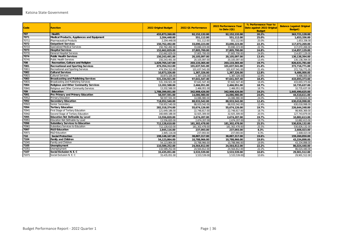| Code  | <b>Function</b>                               | <b>2022 Original Budget</b> | 2022 Q1 Performance | <b>2022 Performance Year</b><br>to Date (Q1) | % Performance Year to<br>Date against 2022 Original<br><b>Budget</b> | <b>Balance (against Original</b><br><b>Budget</b> ) |
|-------|-----------------------------------------------|-----------------------------|---------------------|----------------------------------------------|----------------------------------------------------------------------|-----------------------------------------------------|
| 707   | Health                                        | 455,873,260.00              | 92,152,132.00       | 92,152,132.00                                | 20.2%                                                                | 363,721,128.00                                      |
| 7071  | Medical Products, Appliances and Equipment    | 2.204.448.00                | 551.112.00          | 551.112.00                                   | 25.0%                                                                | 1.653.336.00                                        |
| 70711 | <b>Pharmaceutical Products</b>                | 2,204,448.00                | 551,112.00          | 551,112.00                                   | 25.0%                                                                | 1,653,336.00                                        |
| 7072  | <b>Outpatient Services</b>                    | 150,762,492.00              | 33,690,223.00       | 33,690,223.00                                | 22.3%                                                                | 117,072,269.00                                      |
| 70722 | <b>Specialized Medical Services</b>           | 150,762,492.00              | 33,690,223.00       | 33.690.223.00                                | 22.3%                                                                | 117,072,269.00                                      |
| 7073  | <b>Hospital Services</b>                      | 152,662,829.00              | 37,805,700.00       | 37,805,700.00                                | 24.8%                                                                | 114,857,129.00                                      |
| 70731 | <b>General Hospital Services</b>              | 152,662,829.00              | 37,805,700.00       | 37,805,700.00                                | 24.8%                                                                | 114,857,129.00                                      |
| 7074  | <b>Public Health Services</b>                 | 150,243,491.00              | 20,105,097.00       | 20,105,097.00                                | 13.4%                                                                | 130,138,394.00                                      |
| 70741 | <b>Public Health Services</b>                 | 150,243,491.00              | 20,105,097.00       | 20,105,097.00                                | 13.4%                                                                | 130,138,394.00                                      |
| 708   | Recreation, Culture and Religion              | 1.029.765.147.00            | 203, 133, 365.40    | 203, 133, 365.40                             | 19.7%                                                                | 826,631,781.60                                      |
| 7081  | <b>Recreational and Sporting Services</b>     | 474,354,312.00              | 101,637,541.00      | 101,637,541.00                               | 21.4%                                                                | 372,716,771.00                                      |
| 70811 | Recreational and Sporting Services            | 474,354,312.00              | 101,637,541.00      | 101,637,541.00                               | 21.4%                                                                | 372,716,771.00                                      |
| 7082  | <b>Cultural Services</b>                      | 10,873,326.00               | 1,387,326.00        | 1,387,326.00                                 | 12.8%                                                                | 9,486,000.00                                        |
| 70821 | <b>Cultural Services</b>                      | 10,873,326.00               | 1,387,326.00        | 1,387,326.00                                 | 12.8%                                                                | 9.486.000.00                                        |
| 7083  | <b>Broadcasting and Publishing Services</b>   | 531,334,921.00              | 97,641,547.40       | 97,641,547.40                                | 18.4%                                                                | 433,693,373.60                                      |
| 70831 | Broadcasting and Publishing Services          | 531,334,921.00              | 97,641,547.40       | 97,641,547.40                                | 18.4%                                                                | 433,693,373.60                                      |
| 7084  | <b>Religious and Other Community Services</b> | 13,202,588.00               | 2,466,951.00        | 2,466,951.00                                 | 18.7%                                                                | 10,735,637.00                                       |
| 70841 | Religious and Other Community Services        | 13,202,588.00               | 2,466,951.00        | 2,466,951.00                                 | 18.7%                                                                | 10,735,637.00                                       |
| 709   | Education                                     | 1,788,399,051.00            | 342,908,426.00      | 342,908,426.00                               | 19.2%                                                                | 1,445,490,625.00                                    |
| 7091  | Pre-Primary and Primary Education             | 58.597.591.00               | 14.086.980.00       | 14.086.980.00                                | 24.0%                                                                | 44,510,611.00                                       |
| 70912 | <b>Primary Education</b>                      | 58,597,591.00               | 14,086,980.00       | 14,086,980.00                                | 24.0%                                                                | 44,510,611.00                                       |
| 7092  | <b>Secondary Education</b>                    | 718,952,540.00              | 88,933,542.00       | 88,933,542.00                                | 12.4%                                                                | 630,018,998.00                                      |
| 70922 | Senior Secondary                              | 718.952.540.00              | 88,933,542.00       | 88.933.542.00                                | 12.4%                                                                | 630,018,998.00                                      |
| 7094  | <b>Tertiary Education</b>                     | 282.318.374.00              | 55.674.126.00       | 55.674.126.00                                | 19.7%                                                                | 226,644,248.00                                      |
| 70941 | First Stage of Tertiary Education             | 121,649,186.00              | 22,748,817.00       | 22,748,817.00                                | 18.7%                                                                | 98,900,369.00                                       |
| 70942 | Second Stage of Tertiary Education            | 160,669,188.00              | 32,925,309.00       | 32,925,309.00                                | 20.5%                                                                | 127,743,879.00                                      |
| 7095  | <b>Education Not Definable by Level</b>       | 13,556,820.00               | 2,674,207.00        | 2,674,207.00                                 | 19.7%                                                                | 10,882,613.00                                       |
| 70951 | Education Not Definable by Level              | 13,556,820.00               | 2.674.207.00        | 2,674,207.00                                 | 19.7%                                                                | 10,882,613.00                                       |
| 7096  | <b>Subsidiary Services to Education</b>       | 712.128.610.00              | 181.302.478.00      | 181.302.478.00                               | 25.5%                                                                | 530.826.132.00                                      |
| 70961 | Subsidiary Services to Education              | 712,128,610.00              | 181,302,478.00      | 181,302,478.00                               | 25.5%                                                                | 530,826,132.00                                      |
| 7097  | <b>R&amp;D</b> Education                      | 2,845,116.00                | 237.093.00          | 237,093.00                                   | 8.3%                                                                 | 2,608,023.00                                        |
| 70971 | R&D Education                                 | 2.845.116.00                | 237.093.00          | 237,093.00                                   | 8.3%                                                                 | 2,608,023.00                                        |
| 710   | <b>Social Protection</b>                      | 198,148,167.00              | 38.887.317.00       | 38.887.317.00                                | 19.6%                                                                | 159.260.850.00                                      |
| 7104  | <b>Family and Children</b>                    | 54,123,864.00               | 10,788,966.00       | 10,788,966.00                                | 19.9%                                                                | 43,334,898.00                                       |
| 71041 | Family and Children                           | 54,123,864.00               | 10,788,966.00       | 10,788,966.00                                | 19.9%                                                                | 43,334,898.00                                       |
| 7105  | Unemployment                                  | 110,589,252.00              | 24,564,812.00       | 24,564,812.00                                | 22.2%                                                                | 86,024,440.00                                       |
| 71051 | Unemployment                                  | 110,589,252.00              | 24.564.812.00       | 24.564.812.00                                | 22.2%                                                                | 86,024,440.00                                       |
| 7107  | Social Exclusion N. E. C                      | 33,435,051.00               | 3,533,539.00        | 3,533,539.00                                 | 10.6%                                                                | 29,901,512.00                                       |
| 71071 | Social Exclusion N. E. C                      | 33,435,051.00               | 3,533,539.00        | 3,533,539.00                                 | 10.6%                                                                | 29,901,512.00                                       |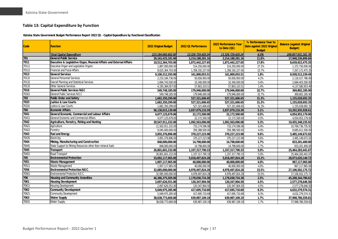### **Table 13: Capital Expenditure by Function**

**Katsina State Government Budget Performance Report 2022 Q1 - Capital Expenditure by Functional Classification**

<span id="page-37-0"></span>

| Code  | Function                                                              | 2022 Original Budget | 2022 Q1 Performance | 2022 Performance Year<br>to Date (Q1) | % Performance Year to<br>Date against 2022 Original<br><b>Budget</b> | <b>Balance (against Original</b><br><b>Budget</b> ) |
|-------|-----------------------------------------------------------------------|----------------------|---------------------|---------------------------------------|----------------------------------------------------------------------|-----------------------------------------------------|
|       | <b>Total Capital Expenditure</b>                                      | 223,184,660,602.00   | 13,326,729,420.24   | 13,326,729,420.24                     | 6.0%                                                                 | 209,857,931,181.76                                  |
| 701   | <b>General Public Service</b>                                         | 20,162,425,181.00    | 2,214,188,281.16    | 2,214,188,281.16                      | 11.0%                                                                | 17,948,236,899.84                                   |
| 7011  | Executive & Legislative Organ, Financial Affairs and External Affairs | 10,512,364,703.00    | 1,872,442,227.65    | 1,872,442,227.65                      | 17.8%                                                                | 8,639,922,475.35                                    |
| 70111 | Executive Organ and Legislative Organs                                | 1,887,000,000.00     | 514,250,000.00      | 514,250,000.00                        | 27.3%                                                                | 1,372,750,000.00                                    |
| 70112 | <b>Financial and Fiscal Affairs</b>                                   | 8,625,364,703.00     | 1,358,192,227.65    | 1,358,192,227.65                      | 15.7%                                                                | 7,267,172,475.35                                    |
| 7013  | <b>General Services</b>                                               | 9,100,312,293.00     | 161,800,053.51      | 161,800,053.51                        | 1.8%                                                                 | 8,938,512,239.49                                    |
| 70131 | General Personnel Services                                            | 2,210,184,736.00     | 93,656,950.00       | 93,656,950.00                         | 4.2%                                                                 | 2,116,527,786.00                                    |
| 70132 | Overall Planning and Statistical Services                             | 2,694,743,500.00     | 10,340,000.00       | 10,340,000.00                         | 0.4%                                                                 | 2,684,403,500.00                                    |
| 70133 | <b>Other General Services</b>                                         | 4,195,384,057.00     | 57,803,103.51       | 57,803,103.51                         | 1.4%                                                                 | 4,137,580,953.49                                    |
| 7016  | <b>General Public Services N.E.C</b>                                  | 549,748,185.00       | 179,946,000.00      | 179,946,000.00                        | 32.7%                                                                | 369,802,185.00                                      |
| 70161 | General Public Services N.E.C                                         | 549,748,185.00       | 179,946,000.00      | 179,946,000.00                        | 32.7%                                                                | 369,802,185.00                                      |
| 703   | <b>Public Order and Safety</b>                                        | 1,682,350,299.00     | 527,321,606.65      | 527.321.606.65                        | 31.3%                                                                | 1,155,028,692.35                                    |
| 7033  | <b>Justice &amp; Law Courts</b>                                       | 1,682,350,299.00     | 527,321,606.65      | 527,321,606.65                        | 31.3%                                                                | 1,155,028,692.35                                    |
| 70331 | Justice & Law Courts                                                  | 1,682,350,299.00     | 527,321,606.65      | 527,321,606.65                        | 31.3%                                                                | 1,155,028,692.35                                    |
| 704   | <b>Economic Affairs</b>                                               | 56,130,015,139.00    | 2,837,079,210.39    | 2,837,079,210.39                      | 5.1%                                                                 | 53,292,935,928.61                                   |
| 7041  | General Economic, Commercial and Labour Affairs                       | 4,077,125,679.00     | 22,172,500.00       | 22,172,500.00                         | 0.5%                                                                 | 4,054,953,179.00                                    |
| 70411 | General Economic and Commercial Affairs                               | 4,077,125,679.00     | 22,172,500.00       | 22,172,500.00                         | 0.5%                                                                 | 4,054,953,179.00                                    |
| 7042  | Agriculture, Forestry, Fishing and Hunting                            | 20,547,911,332.00    | 1,092,563,096.08    | 1,092,563,096.08                      | 5.3%                                                                 | 19,455,348,235.92                                   |
| 70421 | Agriculture                                                           | 11,502,911,332.00    | 733,174,596.08      | 733,174,596.08                        | 6.4%                                                                 | 10,769,736,735.92                                   |
| 70422 | Forestry                                                              | 9,045,000,000.00     | 359,388,500.00      | 359,388,500.00                        | 4.0%                                                                 | 8,685,611,500.00                                    |
| 7043  | <b>Fuel and Energy</b>                                                | 3,855,376,896.00     | 370,227,223.98      | 370,227,223.98                        | 9.6%                                                                 | 3,485,149,672.02                                    |
| 70435 | Electricity                                                           | 3.855.376.896.00     | 370.227.223.98      | 370.227.223.98                        | 9.6%                                                                 | 3.485.149.672.02                                    |
| 7044  | Mining, Manufacturing and Construction                                | 848,000,000.00       | 14,798,600.00       | 14,798,600.00                         | 1.7%                                                                 | 833,201,400.00                                      |
| 70441 | State Support to Mining Resources other than mineral fuels            | 848,000,000.00       | 14,798,600.00       | 14,798,600.00                         | 1.7%                                                                 | 833,201,400.00                                      |
| 7045  | <b>Transport</b>                                                      | 26,801,601,232.00    | 1,337,317,790.33    | 1,337,317,790.33                      | 5.0%                                                                 | 25,464,283,441.67                                   |
| 70451 | Road Transport                                                        | 26,801,601,232.00    | 1,337,317,790.33    | 1,337,317,790.33                      | 5.0%                                                                 | 25,464,283,441.67                                   |
| 705   | <b>Environmental Protection</b>                                       | 33,092,117,965.00    | 5,018,497,824.28    | 5,018,497,824.28                      | 15.2%                                                                | 28,073,620,140.72                                   |
| 7051  | <b>Waste Management</b>                                               | 1,007,117,965.00     | 40,000,000.00       | 40,000,000.00                         | 4.0%                                                                 | 967,117,965.00                                      |
| 70511 | Waste Management                                                      | 1,007,117,965.00     | 40,000,000.00       | 40,000,000.00                         | 4.0%                                                                 | 967,117,965.00                                      |
| 7056  | <b>Environmental Protection N.E.C.</b>                                | 32,085,000,000.00    | 4,978,497,824.28    | 4,978,497,824.28                      | 15.5%                                                                | 27,106,502,175.72                                   |
| 70561 | Environmental Protection N.E.C                                        | 32,085,000,000.00    | 4,978,497,824.28    | 4,978,497,824.28                      | 15.5%                                                                | 27,106,502,175.72                                   |
| 706   | Housing and Community Amenities                                       | 46,386,375,505.00    | 1,178,030,724.38    | 1,178,030,724.38                      | 2.5%                                                                 | 45,208,344,780.62                                   |
| 7061  | <b>Housing Development</b>                                            | 2,697,626,551.00     | 120,347,904.50      | 120,347,904.50                        | 4.5%                                                                 | 2,577,278,646.50                                    |
| 70611 | <b>Housing Development</b>                                            | 2,697,626,551.00     | 120,347,904.50      | 120, 347, 904.50                      | 4.5%                                                                 | 2,577,278,646.50                                    |
| 7062  | <b>Community Development</b>                                          | 5,049,975,285.00     | 417,695,710.69      | 417,695,710.69                        | 8.3%                                                                 | 4,632,279,574.31                                    |
| 70621 | <b>Community Development</b>                                          | 5,049,975,285.00     | 417,695,710.69      | 417,695,710.69                        | 8.3%                                                                 | 4,632,279,574.31                                    |
| 7063  | <b>Water Supply</b>                                                   | 38,638,773,669.00    | 639,987,109.19      | 639,987,109.19                        | 1.7%                                                                 | 37,998,786,559.81                                   |
| 70631 | Water Supply                                                          | 38,638,773,669.00    | 639,987,109.19      | 639,987,109.19                        | 1.7%                                                                 | 37,998,786,559.81                                   |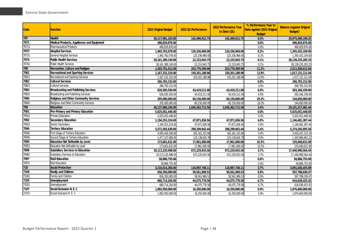| <b>Code</b> | <b>Function</b>                             | 2022 Original Budget | 2022 Q1 Performance | 2022 Performance Year<br>to Date (Q1) | % Performance Year to<br>Date against 2022 Original<br><b>Budget</b> | <b>Balance (against Original</b><br><b>Budget</b> ) |
|-------------|---------------------------------------------|----------------------|---------------------|---------------------------------------|----------------------------------------------------------------------|-----------------------------------------------------|
| 707         | <b>Health</b>                               | 30,117,981,103.00    | 142,490,912.75      | 142,490,912.75                        | 0.5%                                                                 | 29,975,490,190.25                                   |
| 7071        | Medical Products, Appliances and Equipment  | 490,829,876.00       |                     |                                       | 0.0%                                                                 | 490,829,876.00                                      |
| 70711       | <b>Pharmaceutical Products</b>              | 490,829,876.00       |                     |                                       | 0.0%                                                                 | 490,829,876.00                                      |
| 7073        | <b>Hospital Services</b>                    | 1,465,762,078.00     | 120,336,969.00      | 120,336,969.00                        | 8.2%                                                                 | 1,345,425,109.00                                    |
| 70731       | <b>General Hospital Services</b>            | 1,465,762,078.00     | 120,336,969.00      | 120,336,969.00                        | 8.2%                                                                 | 1,345,425,109.00                                    |
| 7074        | <b>Public Health Services</b>               | 28, 161, 389, 149.00 | 22, 153, 943. 75    | 22, 153, 943. 75                      | 0.1%                                                                 | 28,139,235,205.25                                   |
| 70741       | <b>Public Health Services</b>               | 28, 161, 389, 149.00 | 22, 153, 943. 75    | 22, 153, 943. 75                      | 0.1%                                                                 | 28, 139, 235, 205. 25                               |
| 708         | Recreation, Culture and Religion            | 2,265,701,012.00     | 253,770,399.96      | 253,770,399.96                        | 11.2%                                                                | 2,011,930,612.04                                    |
| 7081        | <b>Recreational and Sporting Services</b>   | 1,167,332,310.00     | 150,201,188.96      | 150,201,188.96                        | 12.9%                                                                | 1,017,131,121.04                                    |
| 70811       | Recreational and Sporting Services          | 1,167,332,310.00     | 150,201,188.96      | 150,201,188.96                        | 12.9%                                                                | 1,017,131,121.04                                    |
| 7082        | <b>Cultural Services</b>                    | 266,783,152.00       |                     |                                       | 0.0%                                                                 | 266,783,152.00                                      |
| 70821       | <b>Cultural Services</b>                    | 266,783,152.00       |                     |                                       | 0.0%                                                                 | 266,783,152.00                                      |
| 7083        | <b>Broadcasting and Publishing Services</b> | 626,585,550.00       | 43,419,211.00       | 43,419,211.00                         | 6.9%                                                                 | 583,166,339.00                                      |
| 70831       | Broadcasting and Publishing Services        | 626,585,550.00       | 43,419,211.00       | 43,419,211.00                         | 6.9%                                                                 | 583,166,339.00                                      |
| 7084        | Religious and Other Community Services      | 205,000,000.00       | 60,150,000.00       | 60,150,000.00                         | 29.3%                                                                | 144,850,000.00                                      |
| 70841       | Religious and Other Community Services      | 205,000,000.00       | 60,150,000.00       | 60,150,000.00                         | 29.3%                                                                | 144,850,000.00                                      |
| 709         | Education                                   | 30,137,680,194.00    | 1,036,362,712.56    | 1,036,362,712.56                      | 3.4%                                                                 | 29, 101, 317, 481.44                                |
| 7091        | Pre-Primary and Primary Education           | 5,025,052,448.00     |                     |                                       | 0.0%                                                                 | 5,025,052,448.00                                    |
| 70912       | Primary Education                           | 5,025,052,448.00     |                     |                                       | 0.0%                                                                 | 5,025,052,448.00                                    |
| 7092        | <b>Secondary Education</b>                  | 1,194,353,224.00     | 47,871,836.56       | 47,871,836.56                         | 4.0%                                                                 | 1,146,481,387.44                                    |
| 70922       | Senior Secondary                            | 1,194,353,224.00     | 47,871,836.56       | 47,871,836.56                         | 4.0%                                                                 | 1,146,481,387.44                                    |
| 7094        | <b>Tertiary Education</b>                   | 5,572,565,638.00     | 298,299,942.44      | 298,299,942.44                        | 5.4%                                                                 | 5,274,265,695.56                                    |
| 70941       | First Stage of Tertiary Education           | 4,095,458,549.00     | 165, 161, 315.66    | 165, 161, 315.66                      | 4.0%                                                                 | 3,930,297,233.34                                    |
| 70942       | Second Stage of Tertiary Education          | 1,477,107,089.00     | 133, 138, 626. 78   | 133, 138, 626. 78                     | 9.0%                                                                 | 1,343,968,462.22                                    |
| 7095        | Education Not Definable by Level            | 173,601,631.00       | 17,961,000.00       | 17,961,000.00                         | 10.3%                                                                | 155,640,631.00                                      |
| 70951       | Education Not Definable by Level            | 173,601,631.00       | 17,961,000.00       | 17,961,000.00                         | 10.3%                                                                | 155,640,631.00                                      |
| 7096        | <b>Subsidiary Services to Education</b>     | 18,113,220,498.00    | 672,229,933.56      | 672,229,933.56                        | 3.7%                                                                 | 17,440,990,564.44                                   |
| 70961       | Subsidiary Services to Education            | 18,113,220,498.00    | 672,229,933.56      | 672,229,933.56                        | 3.7%                                                                 | 17,440,990,564.44                                   |
| 7097        | <b>R&amp;D</b> Education                    | 58,886,755.00        |                     |                                       | 0.0%                                                                 | 58,886,755.00                                       |
| 70971       | R&D Education                               | 58,886,755.00        |                     |                                       | 0.0%                                                                 | 58,886,755.00                                       |
| 710         | <b>Social Protection</b>                    | 3,210,014,204.00     | 118,987,748.11      | 118,987,748.11                        | 3.7%                                                                 | 3,091,026,455.89                                    |
| 7104        | <b>Family and Children</b>                  | 656,350,000.00       | 58,561,969.53       | 58,561,969.53                         | 8.9%                                                                 | 597,788,030.47                                      |
| 71041       | Family and Children                         | 656,350,000.00       | 58,561,969.53       | 58,561,969.53                         | 8.9%                                                                 | 597,788,030.47                                      |
| 7105        | <b>Unemployment</b>                         | 660,714,204.00       | 44,075,778.58       | 44,075,778.58                         | 6.7%                                                                 | 616,638,425.42                                      |
| 71051       | Unemployment                                | 660,714,204.00       | 44,075,778.58       | 44,075,778.58                         | 6.7%                                                                 | 616,638,425.42                                      |
| 7107        | Social Exclusion N. E. C                    | 1,892,950,000.00     | 16,350,000.00       | 16,350,000.00                         | 0.9%                                                                 | 1,876,600,000.00                                    |
| 71071       | Social Exclusion N. E. C                    | 1,892,950,000.00     | 16,350,000.00       | 16,350,000.00                         | 0.9%                                                                 | 1,876,600,000.00                                    |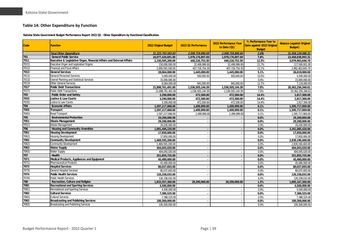#### **Table 14: Other Expenditure by Function**

**Katsina State Government Budget Performance Report 2022 Q1 - Other Expenditure by Functional Classification**

<span id="page-39-0"></span>

| Code  | <b>Function</b>                                                       | 2022 Original Budget | 2022 Q1 Performance | 2022 Performance Year<br>to Date (Q1) | % Performance Year to<br>Date against 2022 Original<br><b>Budget</b> | <b>Balance (against Original</b><br>Budget) |
|-------|-----------------------------------------------------------------------|----------------------|---------------------|---------------------------------------|----------------------------------------------------------------------|---------------------------------------------|
|       | <b>Total Other Expenditure</b>                                        | 31,225,703,583.00    | 2,008,759,896.69    | 2,008,759,896.69                      | 5.9%                                                                 | 31,956,134,086.31                           |
| 701   | <b>General Public Service</b>                                         | 24,077,420,691.00    | 1,978,176,897.69    | 1,978,176,897.69                      | 7.8%                                                                 | 23,468,838,993.31                           |
| 7011  | Executive & Legislative Organ, Financial Affairs and External Affairs | 2,150,595,200.00     | 440,226,753.30      | 440,226,753.30                        | 12.5%                                                                | 3,079,963,646.70                            |
| 70111 | Executive Organ and Legislative Organs                                | 150,000,000.00       | 32,499,999.00       | 32,499,999.00                         | 21.7%                                                                | 117,500,001.00                              |
| 70112 | <b>Financial and Fiscal Affairs</b>                                   | 2,000,595,200.00     | 407,726,754.30      | 407,726,754.30                        | 12.1%                                                                | 2,962,463,645.70                            |
| 7013  | <b>General Services</b>                                               | 28,064,000.00        | 1,445,000.00        | 1,445,000.00                          | 5.1%                                                                 | 26,619,000.00                               |
| 70131 | <b>General Personnel Services</b>                                     | 5,000,000.00         | 500,000.00          | 500,000.00                            | 10.0%                                                                | 4,500,000.00                                |
| 70132 | <b>Overall Planning and Statistical Services</b>                      | 15,000,000.00        |                     |                                       | 0.0%                                                                 | 15,000,000.00                               |
| 70133 | <b>Other General Services</b>                                         | 8,064,000.00         | 945,000.00          | 945,000.00                            | 11.7%                                                                | 7,119,000.00                                |
| 7017  | <b>Public Debt Transactions</b>                                       | 21,898,761,491.00    | 1,536,505,144.39    | 1,536,505,144.39                      | 7.0%                                                                 | 20,362,256,346.61                           |
| 70171 | <b>Public Debt Transactions</b>                                       | 21,898,761,491.00    | 1,536,505,144.39    | 1,536,505,144.39                      | 7.0%                                                                 | 20,362,256,346.61                           |
| 703   | <b>Public Order and Safety</b>                                        | 3,290,000.00         | 472,500.00          | 472,500.00                            | 14.4%                                                                | 2,817,500.00                                |
| 7033  | Justice & Law Courts                                                  | 3,290,000.00         | 472,500.00          | 472,500.00                            | 14.4%                                                                | 2,817,500.00                                |
| 70331 | Justice & Law Courts                                                  | 3,290,000.00         | 472,500.00          | 472,500.00                            | 14.4%                                                                | 2,817,500.00                                |
| 704   | <b>Economic Affairs</b>                                               | 1,597,217,068.00     | 1,499,999.00        | 1,499,999.00                          | 0.1%                                                                 | 1,595,717,069.00                            |
| 7045  | <b>Transport</b>                                                      | 1,597,217,068.00     | 1,499,999.00        | 1,499,999.00                          | 0.1%                                                                 | 1,595,717,069.00                            |
| 70451 | Road Transport                                                        | 1,597,217,068.00     | 1,499,999.00        | 1,499,999.00                          | 0.1%                                                                 | 1,595,717,069.00                            |
| 705   | <b>Environmental Protection</b>                                       | 29,200,000.00        |                     |                                       | 0.0%                                                                 | 29,200,000.00                               |
| 7051  | <b>Waste Management</b>                                               | 29,200,000.00        |                     |                                       | 0.0%                                                                 | 29,200,000.00                               |
| 70511 | Waste Management                                                      | 29,200,000.00        |                     |                                       | 0.0%                                                                 | 29,200,000.00                               |
| 706   | <b>Housing and Community Amenities</b>                                | 1,891,490,220.00     |                     |                                       | 0.0%                                                                 | 3,261,085,420.00                            |
| 7061  | <b>Housing Development</b>                                            | 17,850,000.00        |                     |                                       | 0.0%                                                                 | 17,850,000.00                               |
| 70611 | <b>Housing Development</b>                                            | 17,850,000.00        |                     | $\overline{\phantom{a}}$              | 0.0%                                                                 | 17,850,000.00                               |
| 7062  | <b>Community Development</b>                                          | 1,469,595,200.00     |                     |                                       | 0.0%                                                                 | 2,839,190,400.00                            |
| 70621 | <b>Community Development</b>                                          | 1,469,595,200.00     |                     |                                       | 0.0%                                                                 | 2,839,190,400.00                            |
| 7063  | <b>Water Supply</b>                                                   | 404,045,020.00       |                     | $\blacksquare$                        | 0.0%                                                                 | 404,045,020.00                              |
| 70631 | <b>Water Supply</b>                                                   | 404,045,020.00       |                     |                                       | 0.0%                                                                 | 404,045,020.00                              |
| 707   | Health                                                                | 251,855,725.00       |                     |                                       | 0.0%                                                                 | 251,855,725.00                              |
| 7071  | Medical Products, Appliances and Equipment                            | 45,480,000.00        |                     |                                       | 0.0%                                                                 | 45,480,000.00                               |
| 70711 | <b>Pharmaceutical Products</b>                                        | 45,480,000.00        |                     |                                       | 0.0%                                                                 | 45,480,000.00                               |
| 7073  | <b>Hospital Services</b>                                              | 80,037,693.00        |                     |                                       | 0.0%                                                                 | 80,037,693.00                               |
| 70731 | <b>General Hospital Services</b>                                      | 80,037,693.00        |                     |                                       | 0.0%                                                                 | 80,037,693.00                               |
| 7074  | <b>Public Health Services</b>                                         | 126,338,032.00       |                     |                                       | 0.0%                                                                 | 126,338,032.00                              |
| 70741 | <b>Public Health Services</b>                                         | 126,338,032.00       |                     |                                       | 0.0%                                                                 | 126,338,032.00                              |
| 708   | Recreation, Culture and Religion                                      | 1,833,557,360.00     | 28,390,000.00       | 28,390,000.00                         | 1.5%                                                                 | 1,805,167,360.00                            |
| 7081  | <b>Recreational and Sporting Services</b>                             | 4,500,000.00         |                     |                                       | 0.0%                                                                 | 4,500,000.00                                |
| 70811 | Recreational and Sporting Services                                    | 4,500,000.00         |                     |                                       | 0.0%                                                                 | 4,500,000.00                                |
| 7082  | <b>Cultural Services</b>                                              | 7,386,525.00         |                     |                                       | 0.0%                                                                 | 7,386,525.00                                |
| 70821 | <b>Cultural Services</b>                                              | 7,386,525.00         |                     |                                       | 0.0%                                                                 | 7,386,525.00                                |
| 7083  | <b>Broadcasting and Publishing Services</b>                           | 100,300,000.00       |                     |                                       | 0.0%                                                                 | 100,300,000.00                              |
| 70831 | Broadcasting and Publishing Services                                  | 100,300,000.00       |                     |                                       | 0.0%                                                                 | 100,300,000.00                              |